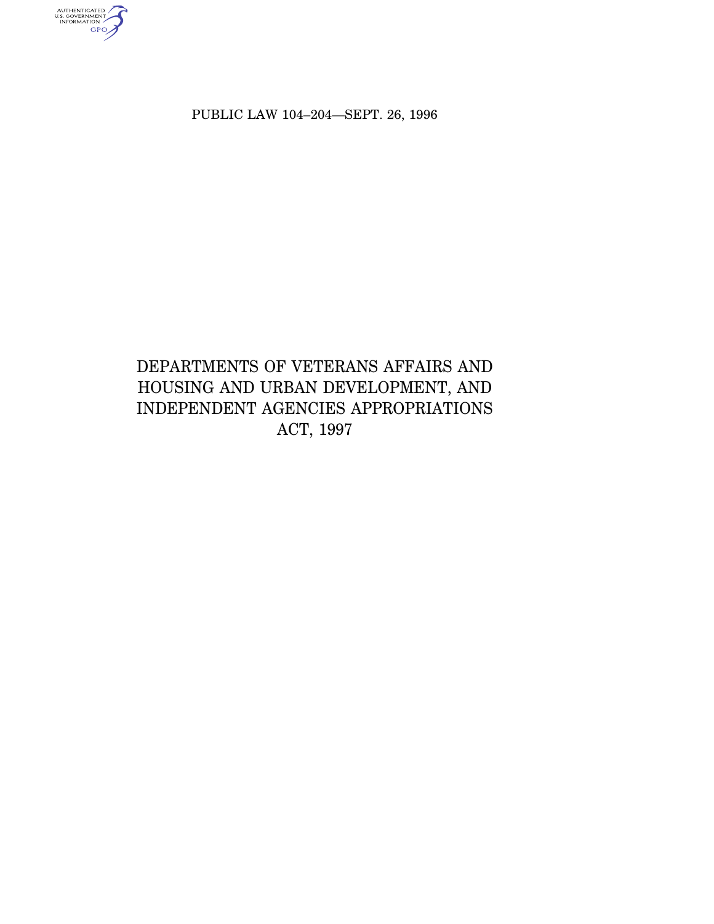PUBLIC LAW 104–204—SEPT. 26, 1996

AUTHENTICATED<br>U.S. GOVERNMENT<br>INFORMATION

# DEPARTMENTS OF VETERANS AFFAIRS AND HOUSING AND URBAN DEVELOPMENT, AND INDEPENDENT AGENCIES APPROPRIATIONS ACT, 1997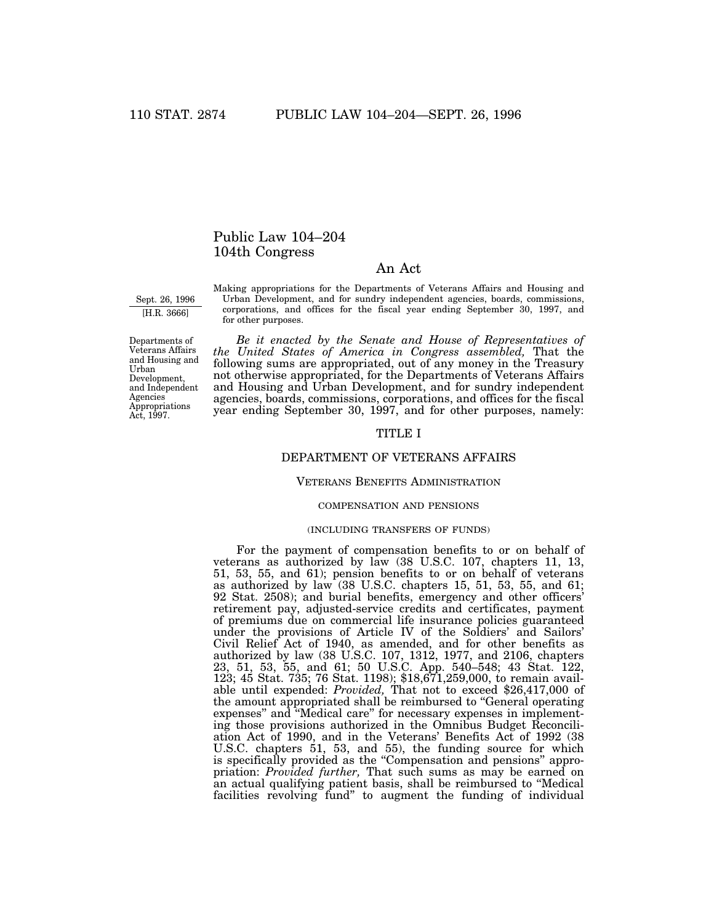# Public Law 104–204 104th Congress

# An Act

Sept. 26, 1996 [H.R. 3666]

Making appropriations for the Departments of Veterans Affairs and Housing and Urban Development, and for sundry independent agencies, boards, commissions, corporations, and offices for the fiscal year ending September 30, 1997, and for other purposes.

Departments of Veterans Affairs and Housing and Urban Development, and Independent Agencies Appropriations Act, 1997.

*Be it enacted by the Senate and House of Representatives of the United States of America in Congress assembled,* That the following sums are appropriated, out of any money in the Treasury not otherwise appropriated, for the Departments of Veterans Affairs and Housing and Urban Development, and for sundry independent agencies, boards, commissions, corporations, and offices for the fiscal year ending September 30, 1997, and for other purposes, namely:

## TITLE I

## DEPARTMENT OF VETERANS AFFAIRS

## VETERANS BENEFITS ADMINISTRATION

## COMPENSATION AND PENSIONS

#### (INCLUDING TRANSFERS OF FUNDS)

For the payment of compensation benefits to or on behalf of veterans as authorized by law (38 U.S.C. 107, chapters 11, 13, 51, 53, 55, and 61); pension benefits to or on behalf of veterans as authorized by law (38 U.S.C. chapters 15, 51, 53, 55, and 61; 92 Stat. 2508); and burial benefits, emergency and other officers' retirement pay, adjusted-service credits and certificates, payment of premiums due on commercial life insurance policies guaranteed under the provisions of Article IV of the Soldiers' and Sailors' Civil Relief Act of 1940, as amended, and for other benefits as authorized by law (38 U.S.C. 107, 1312, 1977, and 2106, chapters 23, 51, 53, 55, and 61; 50 U.S.C. App. 540–548; 43 Stat. 122, 123; 45 Stat. 735; 76 Stat. 1198); \$18,671,259,000, to remain available until expended: *Provided,* That not to exceed \$26,417,000 of the amount appropriated shall be reimbursed to ''General operating expenses'' and ''Medical care'' for necessary expenses in implementing those provisions authorized in the Omnibus Budget Reconciliation Act of 1990, and in the Veterans' Benefits Act of 1992 (38 U.S.C. chapters 51, 53, and 55), the funding source for which is specifically provided as the ''Compensation and pensions'' appropriation: *Provided further,* That such sums as may be earned on an actual qualifying patient basis, shall be reimbursed to ''Medical facilities revolving fund'' to augment the funding of individual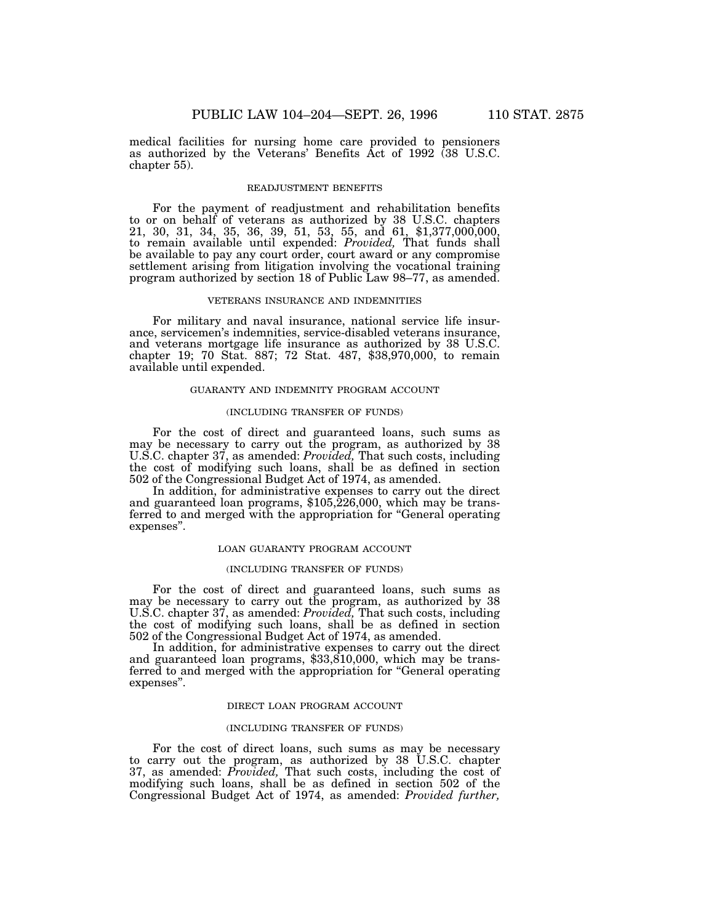medical facilities for nursing home care provided to pensioners as authorized by the Veterans' Benefits Act of 1992 (38 U.S.C. chapter 55).

## READJUSTMENT BENEFITS

For the payment of readjustment and rehabilitation benefits to or on behalf of veterans as authorized by 38 U.S.C. chapters 21, 30, 31, 34, 35, 36, 39, 51, 53, 55, and 61, \$1,377,000,000, to remain available until expended: *Provided,* That funds shall be available to pay any court order, court award or any compromise settlement arising from litigation involving the vocational training program authorized by section 18 of Public Law 98–77, as amended.

## VETERANS INSURANCE AND INDEMNITIES

For military and naval insurance, national service life insurance, servicemen's indemnities, service-disabled veterans insurance, and veterans mortgage life insurance as authorized by 38 U.S.C. chapter 19; 70 Stat. 887; 72 Stat. 487, \$38,970,000, to remain available until expended.

## GUARANTY AND INDEMNITY PROGRAM ACCOUNT

#### (INCLUDING TRANSFER OF FUNDS)

For the cost of direct and guaranteed loans, such sums as may be necessary to carry out the program, as authorized by 38 U.S.C. chapter 37, as amended: *Provided,* That such costs, including the cost of modifying such loans, shall be as defined in section 502 of the Congressional Budget Act of 1974, as amended.

In addition, for administrative expenses to carry out the direct and guaranteed loan programs, \$105,226,000, which may be transferred to and merged with the appropriation for ''General operating expenses''.

#### LOAN GUARANTY PROGRAM ACCOUNT

## (INCLUDING TRANSFER OF FUNDS)

For the cost of direct and guaranteed loans, such sums as may be necessary to carry out the program, as authorized by 38 U.S.C. chapter 37, as amended: *Provided,* That such costs, including the cost of modifying such loans, shall be as defined in section 502 of the Congressional Budget Act of 1974, as amended.

In addition, for administrative expenses to carry out the direct and guaranteed loan programs, \$33,810,000, which may be transferred to and merged with the appropriation for "General operating expenses''.

## DIRECT LOAN PROGRAM ACCOUNT

## (INCLUDING TRANSFER OF FUNDS)

For the cost of direct loans, such sums as may be necessary to carry out the program, as authorized by 38 U.S.C. chapter 37, as amended: *Provided,* That such costs, including the cost of modifying such loans, shall be as defined in section 502 of the Congressional Budget Act of 1974, as amended: *Provided further,*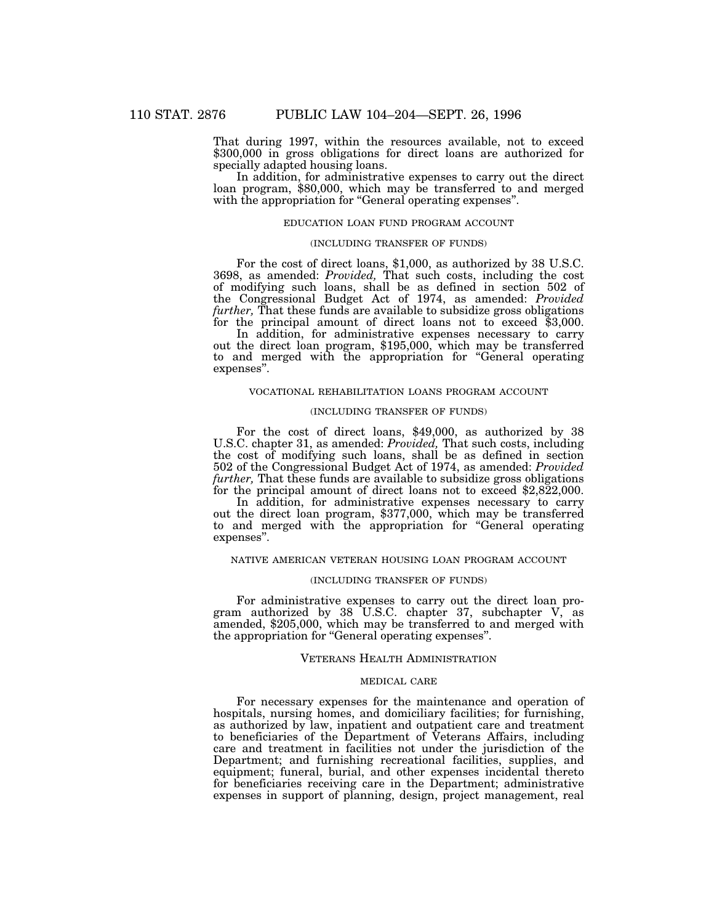That during 1997, within the resources available, not to exceed \$300,000 in gross obligations for direct loans are authorized for specially adapted housing loans.

In addition, for administrative expenses to carry out the direct loan program, \$80,000, which may be transferred to and merged with the appropriation for "General operating expenses".

## EDUCATION LOAN FUND PROGRAM ACCOUNT

## (INCLUDING TRANSFER OF FUNDS)

For the cost of direct loans, \$1,000, as authorized by 38 U.S.C. 3698, as amended: *Provided,* That such costs, including the cost of modifying such loans, shall be as defined in section 502 of the Congressional Budget Act of 1974, as amended: *Provided further,* That these funds are available to subsidize gross obligations for the principal amount of direct loans not to exceed \$3,000.

In addition, for administrative expenses necessary to carry out the direct loan program, \$195,000, which may be transferred to and merged with the appropriation for ''General operating expenses''.

## VOCATIONAL REHABILITATION LOANS PROGRAM ACCOUNT

#### (INCLUDING TRANSFER OF FUNDS)

For the cost of direct loans, \$49,000, as authorized by 38 U.S.C. chapter 31, as amended: *Provided,* That such costs, including the cost of modifying such loans, shall be as defined in section 502 of the Congressional Budget Act of 1974, as amended: *Provided for the principal amount of direct loans not to exceed \$2,822,000.*<br>In addition, for administrative expenses necessary to carry

out the direct loan program, \$377,000, which may be transferred to and merged with the appropriation for ''General operating expenses''.

#### NATIVE AMERICAN VETERAN HOUSING LOAN PROGRAM ACCOUNT

## (INCLUDING TRANSFER OF FUNDS)

For administrative expenses to carry out the direct loan program authorized by 38 U.S.C. chapter 37, subchapter V, as amended, \$205,000, which may be transferred to and merged with the appropriation for ''General operating expenses''.

#### VETERANS HEALTH ADMINISTRATION

## MEDICAL CARE

For necessary expenses for the maintenance and operation of hospitals, nursing homes, and domiciliary facilities; for furnishing, as authorized by law, inpatient and outpatient care and treatment to beneficiaries of the Department of Veterans Affairs, including care and treatment in facilities not under the jurisdiction of the Department; and furnishing recreational facilities, supplies, and equipment; funeral, burial, and other expenses incidental thereto for beneficiaries receiving care in the Department; administrative expenses in support of planning, design, project management, real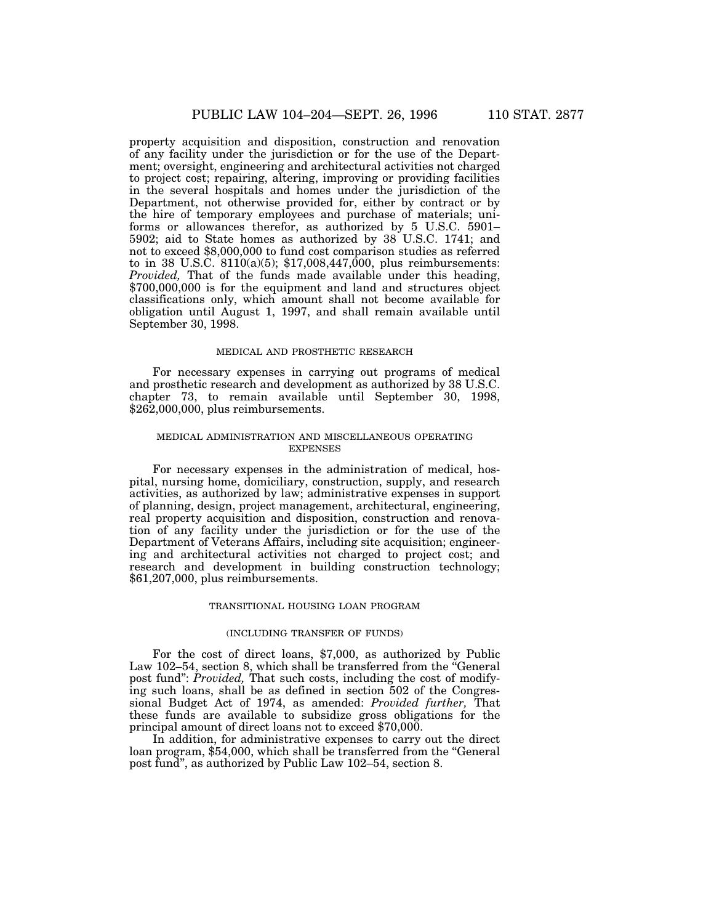property acquisition and disposition, construction and renovation of any facility under the jurisdiction or for the use of the Department; oversight, engineering and architectural activities not charged to project cost; repairing, altering, improving or providing facilities in the several hospitals and homes under the jurisdiction of the Department, not otherwise provided for, either by contract or by the hire of temporary employees and purchase of materials; uniforms or allowances therefor, as authorized by 5 U.S.C. 5901– 5902; aid to State homes as authorized by 38 U.S.C. 1741; and not to exceed \$8,000,000 to fund cost comparison studies as referred to in 38 U.S.C.  $8110(a)(5)$ ; \$17,008,447,000, plus reimbursements: *Provided,* That of the funds made available under this heading, \$700,000,000 is for the equipment and land and structures object classifications only, which amount shall not become available for obligation until August 1, 1997, and shall remain available until September 30, 1998.

#### MEDICAL AND PROSTHETIC RESEARCH

For necessary expenses in carrying out programs of medical and prosthetic research and development as authorized by 38 U.S.C. chapter 73, to remain available until September 30, 1998, \$262,000,000, plus reimbursements.

## MEDICAL ADMINISTRATION AND MISCELLANEOUS OPERATING **EXPENSES**

For necessary expenses in the administration of medical, hospital, nursing home, domiciliary, construction, supply, and research activities, as authorized by law; administrative expenses in support of planning, design, project management, architectural, engineering, real property acquisition and disposition, construction and renovation of any facility under the jurisdiction or for the use of the Department of Veterans Affairs, including site acquisition; engineering and architectural activities not charged to project cost; and research and development in building construction technology; \$61,207,000, plus reimbursements.

#### TRANSITIONAL HOUSING LOAN PROGRAM

## (INCLUDING TRANSFER OF FUNDS)

For the cost of direct loans, \$7,000, as authorized by Public Law 102–54, section 8, which shall be transferred from the "General" post fund'': *Provided,* That such costs, including the cost of modifying such loans, shall be as defined in section 502 of the Congressional Budget Act of 1974, as amended: *Provided further,* That these funds are available to subsidize gross obligations for the principal amount of direct loans not to exceed \$70,000.

In addition, for administrative expenses to carry out the direct loan program, \$54,000, which shall be transferred from the "General" post fund'', as authorized by Public Law 102–54, section 8.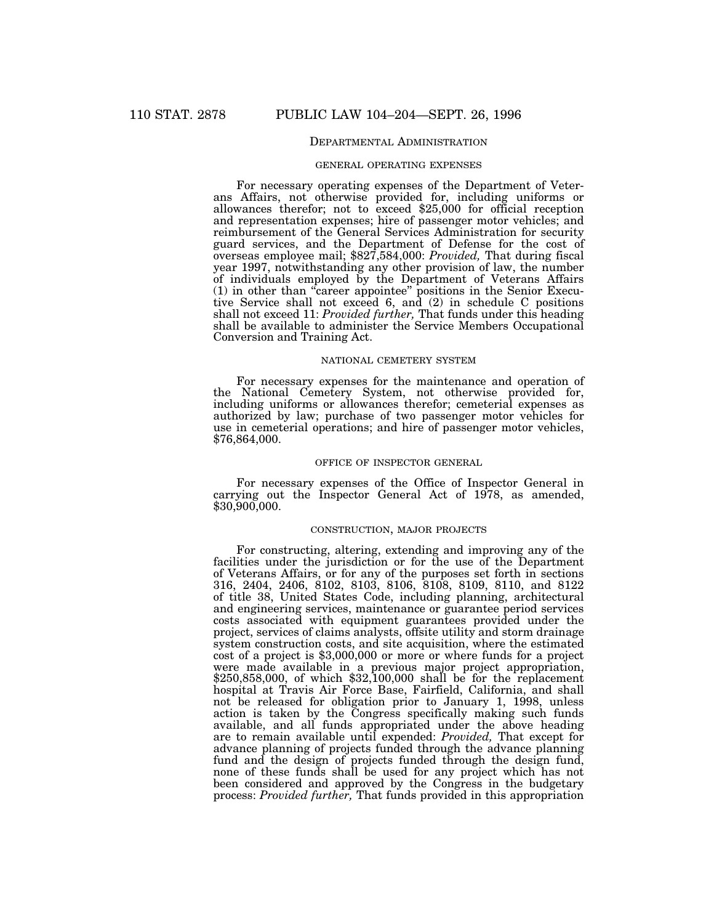## DEPARTMENTAL ADMINISTRATION

#### GENERAL OPERATING EXPENSES

For necessary operating expenses of the Department of Veterans Affairs, not otherwise provided for, including uniforms or allowances therefor; not to exceed \$25,000 for official reception and representation expenses; hire of passenger motor vehicles; and reimbursement of the General Services Administration for security guard services, and the Department of Defense for the cost of overseas employee mail; \$827,584,000: *Provided,* That during fiscal year 1997, notwithstanding any other provision of law, the number of individuals employed by the Department of Veterans Affairs (1) in other than ''career appointee'' positions in the Senior Executive Service shall not exceed 6, and (2) in schedule C positions shall not exceed 11: *Provided further,* That funds under this heading shall be available to administer the Service Members Occupational Conversion and Training Act.

## NATIONAL CEMETERY SYSTEM

For necessary expenses for the maintenance and operation of the National Cemetery System, not otherwise provided for, including uniforms or allowances therefor; cemeterial expenses as authorized by law; purchase of two passenger motor vehicles for use in cemeterial operations; and hire of passenger motor vehicles, \$76,864,000.

## OFFICE OF INSPECTOR GENERAL

For necessary expenses of the Office of Inspector General in carrying out the Inspector General Act of 1978, as amended, \$30,900,000.

## CONSTRUCTION, MAJOR PROJECTS

For constructing, altering, extending and improving any of the facilities under the jurisdiction or for the use of the Department of Veterans Affairs, or for any of the purposes set forth in sections 316, 2404, 2406, 8102, 8103, 8106, 8108, 8109, 8110, and 8122 of title 38, United States Code, including planning, architectural and engineering services, maintenance or guarantee period services costs associated with equipment guarantees provided under the project, services of claims analysts, offsite utility and storm drainage system construction costs, and site acquisition, where the estimated cost of a project is \$3,000,000 or more or where funds for a project were made available in a previous major project appropriation, \$250,858,000, of which \$32,100,000 shall be for the replacement hospital at Travis Air Force Base, Fairfield, California, and shall not be released for obligation prior to January 1, 1998, unless action is taken by the Congress specifically making such funds available, and all funds appropriated under the above heading are to remain available until expended: *Provided,* That except for advance planning of projects funded through the advance planning fund and the design of projects funded through the design fund, none of these funds shall be used for any project which has not been considered and approved by the Congress in the budgetary process: *Provided further,* That funds provided in this appropriation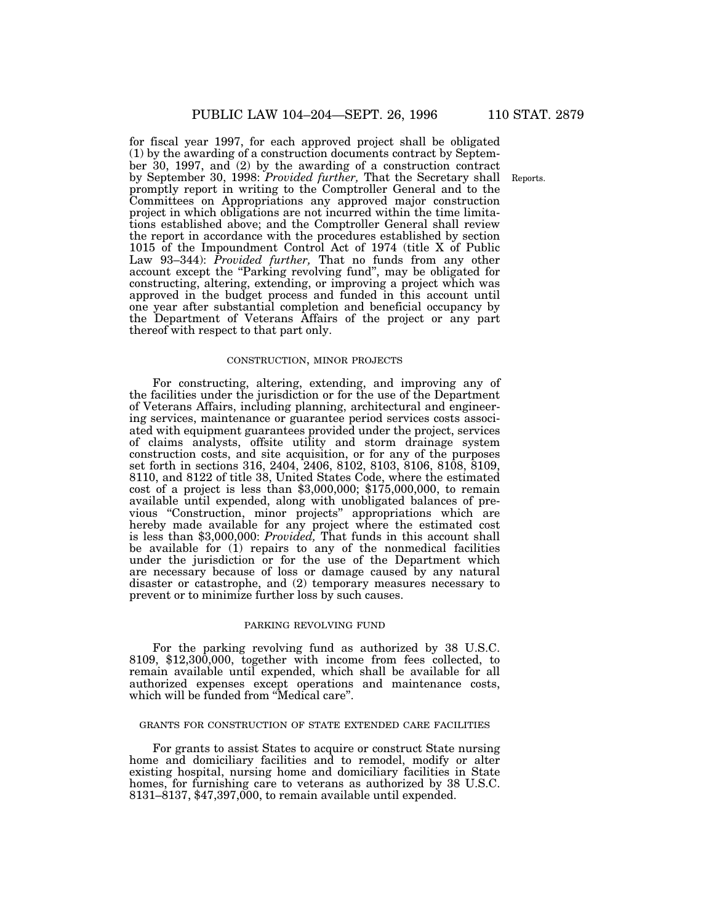for fiscal year 1997, for each approved project shall be obligated (1) by the awarding of a construction documents contract by September 30, 1997, and (2) by the awarding of a construction contract by September 30, 1998: *Provided further*, That the Secretary shall Reports. promptly report in writing to the Comptroller General and to the Committees on Appropriations any approved major construction project in which obligations are not incurred within the time limitations established above; and the Comptroller General shall review the report in accordance with the procedures established by section 1015 of the Impoundment Control Act of 1974 (title X of Public Law 93–344): *Provided further,* That no funds from any other account except the "Parking revolving fund", may be obligated for constructing, altering, extending, or improving a project which was approved in the budget process and funded in this account until one year after substantial completion and beneficial occupancy by the Department of Veterans Affairs of the project or any part thereof with respect to that part only.

## CONSTRUCTION, MINOR PROJECTS

For constructing, altering, extending, and improving any of the facilities under the jurisdiction or for the use of the Department of Veterans Affairs, including planning, architectural and engineering services, maintenance or guarantee period services costs associated with equipment guarantees provided under the project, services of claims analysts, offsite utility and storm drainage system construction costs, and site acquisition, or for any of the purposes set forth in sections 316, 2404, 2406, 8102, 8103, 8106, 8108, 8109, 8110, and 8122 of title 38, United States Code, where the estimated cost of a project is less than \$3,000,000; \$175,000,000, to remain available until expended, along with unobligated balances of previous ''Construction, minor projects'' appropriations which are hereby made available for any project where the estimated cost is less than \$3,000,000: *Provided,* That funds in this account shall be available for (1) repairs to any of the nonmedical facilities under the jurisdiction or for the use of the Department which are necessary because of loss or damage caused by any natural disaster or catastrophe, and (2) temporary measures necessary to prevent or to minimize further loss by such causes.

#### PARKING REVOLVING FUND

For the parking revolving fund as authorized by 38 U.S.C. 8109, \$12,300,000, together with income from fees collected, to remain available until expended, which shall be available for all authorized expenses except operations and maintenance costs, which will be funded from ''Medical care''.

## GRANTS FOR CONSTRUCTION OF STATE EXTENDED CARE FACILITIES

For grants to assist States to acquire or construct State nursing home and domiciliary facilities and to remodel, modify or alter existing hospital, nursing home and domiciliary facilities in State homes, for furnishing care to veterans as authorized by 38 U.S.C. 8131–8137, \$47,397,000, to remain available until expended.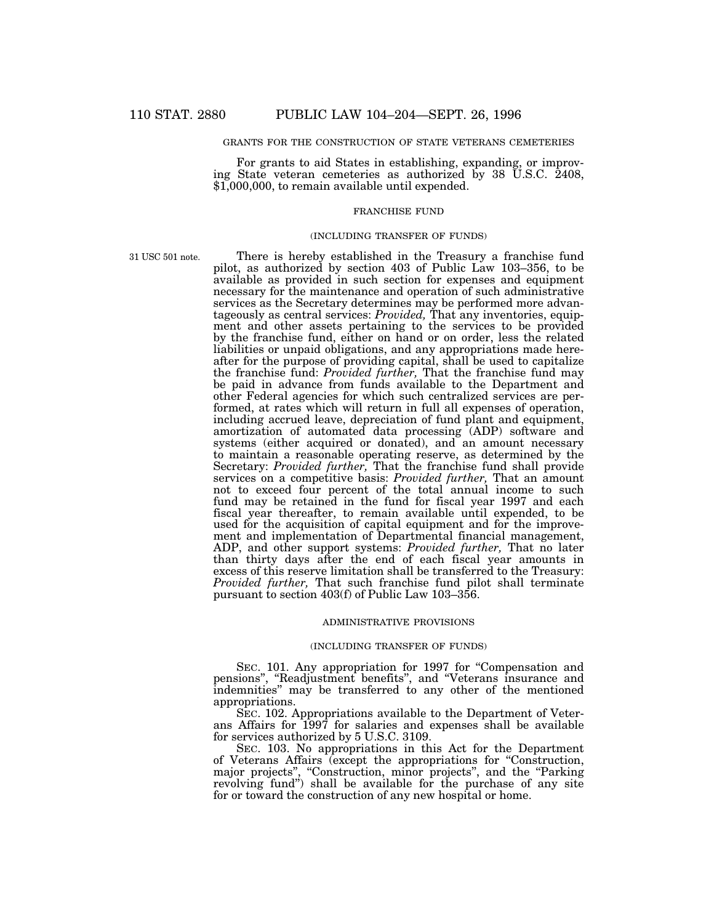## GRANTS FOR THE CONSTRUCTION OF STATE VETERANS CEMETERIES

For grants to aid States in establishing, expanding, or improving State veteran cemeteries as authorized by 38 U.S.C. 2408, \$1,000,000, to remain available until expended.

## FRANCHISE FUND

#### (INCLUDING TRANSFER OF FUNDS)

31 USC 501 note.

There is hereby established in the Treasury a franchise fund pilot, as authorized by section 403 of Public Law 103–356, to be available as provided in such section for expenses and equipment necessary for the maintenance and operation of such administrative services as the Secretary determines may be performed more advantageously as central services: *Provided,* That any inventories, equipment and other assets pertaining to the services to be provided by the franchise fund, either on hand or on order, less the related liabilities or unpaid obligations, and any appropriations made hereafter for the purpose of providing capital, shall be used to capitalize the franchise fund: *Provided further,* That the franchise fund may be paid in advance from funds available to the Department and other Federal agencies for which such centralized services are performed, at rates which will return in full all expenses of operation, including accrued leave, depreciation of fund plant and equipment, amortization of automated data processing (ADP) software and systems (either acquired or donated), and an amount necessary to maintain a reasonable operating reserve, as determined by the Secretary: *Provided further,* That the franchise fund shall provide services on a competitive basis: *Provided further,* That an amount not to exceed four percent of the total annual income to such fund may be retained in the fund for fiscal year 1997 and each fiscal year thereafter, to remain available until expended, to be used for the acquisition of capital equipment and for the improvement and implementation of Departmental financial management, ADP, and other support systems: *Provided further,* That no later than thirty days after the end of each fiscal year amounts in excess of this reserve limitation shall be transferred to the Treasury: *Provided further,* That such franchise fund pilot shall terminate pursuant to section 403(f) of Public Law 103–356.

#### ADMINISTRATIVE PROVISIONS

## (INCLUDING TRANSFER OF FUNDS)

SEC. 101. Any appropriation for 1997 for "Compensation and pensions'', ''Readjustment benefits'', and ''Veterans insurance and indemnities'' may be transferred to any other of the mentioned appropriations.

SEC. 102. Appropriations available to the Department of Veterans Affairs for 1997 for salaries and expenses shall be available for services authorized by 5 U.S.C. 3109.

SEC. 103. No appropriations in this Act for the Department of Veterans Affairs (except the appropriations for ''Construction, major projects", "Construction, minor projects", and the "Parking revolving fund'') shall be available for the purchase of any site for or toward the construction of any new hospital or home.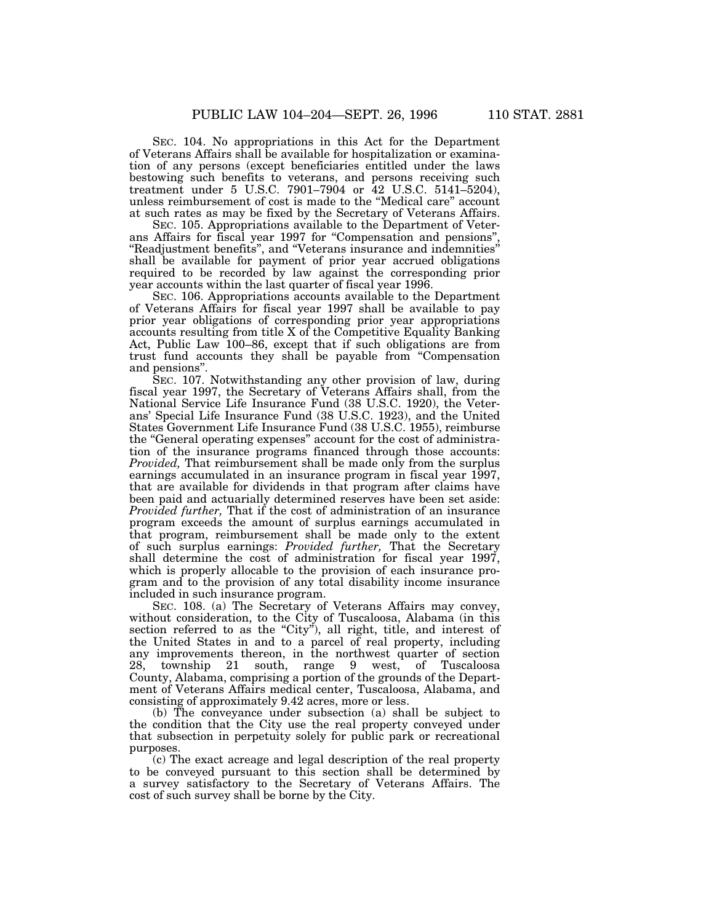SEC. 104. No appropriations in this Act for the Department of Veterans Affairs shall be available for hospitalization or examination of any persons (except beneficiaries entitled under the laws bestowing such benefits to veterans, and persons receiving such treatment under 5 U.S.C. 7901-7904 or 42 U.S.C. 5141-5204), unless reimbursement of cost is made to the ''Medical care'' account at such rates as may be fixed by the Secretary of Veterans Affairs.

SEC. 105. Appropriations available to the Department of Veterans Affairs for fiscal year 1997 for "Compensation and pensions" ''Readjustment benefits'', and ''Veterans insurance and indemnities'' shall be available for payment of prior year accrued obligations required to be recorded by law against the corresponding prior year accounts within the last quarter of fiscal year 1996.

SEC. 106. Appropriations accounts available to the Department of Veterans Affairs for fiscal year 1997 shall be available to pay prior year obligations of corresponding prior year appropriations accounts resulting from title X of the Competitive Equality Banking Act, Public Law 100–86, except that if such obligations are from trust fund accounts they shall be payable from ''Compensation and pensions''.

SEC. 107. Notwithstanding any other provision of law, during fiscal year 1997, the Secretary of Veterans Affairs shall, from the National Service Life Insurance Fund (38 U.S.C. 1920), the Veterans' Special Life Insurance Fund (38 U.S.C. 1923), and the United States Government Life Insurance Fund (38 U.S.C. 1955), reimburse the ''General operating expenses'' account for the cost of administration of the insurance programs financed through those accounts: *Provided,* That reimbursement shall be made only from the surplus earnings accumulated in an insurance program in fiscal year 1997, that are available for dividends in that program after claims have been paid and actuarially determined reserves have been set aside: *Provided further,* That if the cost of administration of an insurance program exceeds the amount of surplus earnings accumulated in that program, reimbursement shall be made only to the extent of such surplus earnings: *Provided further,* That the Secretary shall determine the cost of administration for fiscal year 1997, which is properly allocable to the provision of each insurance program and to the provision of any total disability income insurance included in such insurance program.

SEC. 108. (a) The Secretary of Veterans Affairs may convey, without consideration, to the City of Tuscaloosa, Alabama (in this section referred to as the "City"), all right, title, and interest of the United States in and to a parcel of real property, including any improvements thereon, in the northwest quarter of section 28, township 21 south, range 9 west, of Tuscaloosa 21 south, range 9 west, of Tuscaloosa County, Alabama, comprising a portion of the grounds of the Department of Veterans Affairs medical center, Tuscaloosa, Alabama, and consisting of approximately 9.42 acres, more or less.

(b) The conveyance under subsection (a) shall be subject to the condition that the City use the real property conveyed under that subsection in perpetuity solely for public park or recreational purposes.

(c) The exact acreage and legal description of the real property to be conveyed pursuant to this section shall be determined by a survey satisfactory to the Secretary of Veterans Affairs. The cost of such survey shall be borne by the City.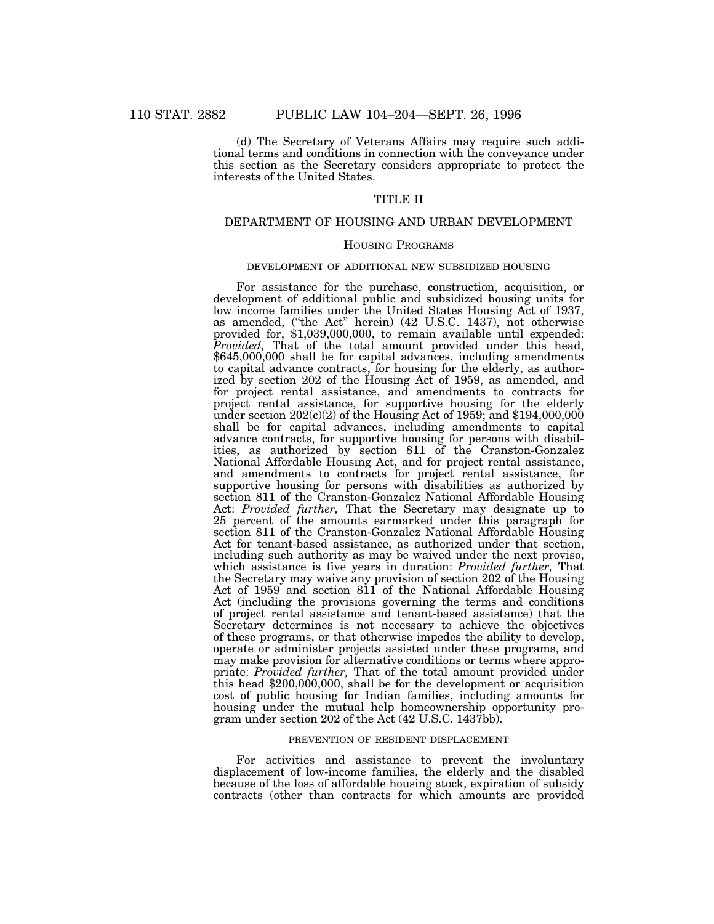(d) The Secretary of Veterans Affairs may require such additional terms and conditions in connection with the conveyance under this section as the Secretary considers appropriate to protect the interests of the United States.

## TITLE II

## DEPARTMENT OF HOUSING AND URBAN DEVELOPMENT

#### HOUSING PROGRAMS

#### DEVELOPMENT OF ADDITIONAL NEW SUBSIDIZED HOUSING

For assistance for the purchase, construction, acquisition, or development of additional public and subsidized housing units for low income families under the United States Housing Act of 1937, as amended, (''the Act'' herein) (42 U.S.C. 1437), not otherwise provided for, \$1,039,000,000, to remain available until expended: *Provided,* That of the total amount provided under this head, \$645,000,000 shall be for capital advances, including amendments to capital advance contracts, for housing for the elderly, as authorized by section 202 of the Housing Act of 1959, as amended, and for project rental assistance, and amendments to contracts for project rental assistance, for supportive housing for the elderly under section  $202(c)(2)$  of the Housing Act of 1959; and \$194,000,000 shall be for capital advances, including amendments to capital advance contracts, for supportive housing for persons with disabilities, as authorized by section 811 of the Cranston-Gonzalez National Affordable Housing Act, and for project rental assistance, and amendments to contracts for project rental assistance, for supportive housing for persons with disabilities as authorized by section 811 of the Cranston-Gonzalez National Affordable Housing Act: *Provided further,* That the Secretary may designate up to 25 percent of the amounts earmarked under this paragraph for section 811 of the Cranston-Gonzalez National Affordable Housing Act for tenant-based assistance, as authorized under that section, including such authority as may be waived under the next proviso, which assistance is five years in duration: *Provided further,* That the Secretary may waive any provision of section 202 of the Housing Act of 1959 and section 811 of the National Affordable Housing Act (including the provisions governing the terms and conditions of project rental assistance and tenant-based assistance) that the Secretary determines is not necessary to achieve the objectives of these programs, or that otherwise impedes the ability to develop, operate or administer projects assisted under these programs, and may make provision for alternative conditions or terms where appropriate: *Provided further,* That of the total amount provided under this head \$200,000,000, shall be for the development or acquisition cost of public housing for Indian families, including amounts for housing under the mutual help homeownership opportunity program under section 202 of the Act (42 U.S.C. 1437bb).

#### PREVENTION OF RESIDENT DISPLACEMENT

For activities and assistance to prevent the involuntary displacement of low-income families, the elderly and the disabled because of the loss of affordable housing stock, expiration of subsidy contracts (other than contracts for which amounts are provided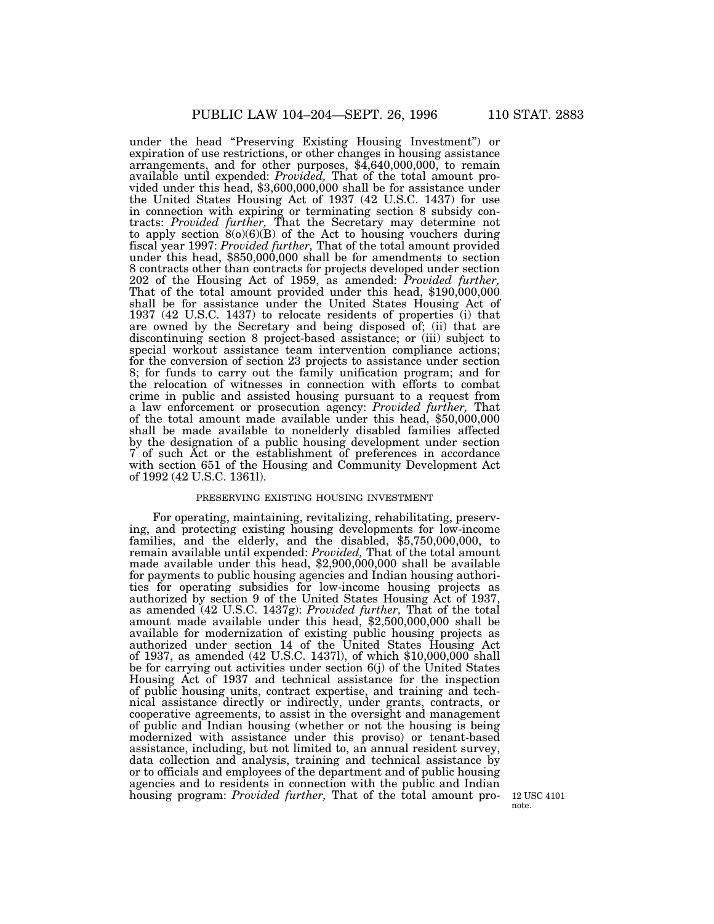under the head ''Preserving Existing Housing Investment'') or expiration of use restrictions, or other changes in housing assistance arrangements, and for other purposes,  $$4,640,000,000$ , to remain available until expended: *Provided*, That of the total amount provided under this head, \$3,600,000,000 shall be for assistance under the United States Housing Act of 1937 (42 U.S.C. 1437) for use in connection with expiring or terminating section 8 subsidy contracts: *Provided further,* That the Secretary may determine not to apply section 8(o)(6)(B) of the Act to housing vouchers during fiscal year 1997: *Provided further,* That of the total amount provided under this head, \$850,000,000 shall be for amendments to section 8 contracts other than contracts for projects developed under section 202 of the Housing Act of 1959, as amended: *Provided further,* That of the total amount provided under this head, \$190,000,000 shall be for assistance under the United States Housing Act of 1937 (42 U.S.C. 1437) to relocate residents of properties (i) that are owned by the Secretary and being disposed of; (ii) that are discontinuing section 8 project-based assistance; or (iii) subject to special workout assistance team intervention compliance actions; for the conversion of section 23 projects to assistance under section 8; for funds to carry out the family unification program; and for the relocation of witnesses in connection with efforts to combat crime in public and assisted housing pursuant to a request from a law enforcement or prosecution agency: *Provided further,* That of the total amount made available under this head, \$50,000,000 shall be made available to nonelderly disabled families affected by the designation of a public housing development under section 7 of such Act or the establishment of preferences in accordance with section 651 of the Housing and Community Development Act of 1992 (42 U.S.C. 1361l).

## PRESERVING EXISTING HOUSING INVESTMENT

For operating, maintaining, revitalizing, rehabilitating, preserving, and protecting existing housing developments for low-income families, and the elderly, and the disabled, \$5,750,000,000, to remain available until expended: *Provided,* That of the total amount made available under this head, \$2,900,000,000 shall be available for payments to public housing agencies and Indian housing authorities for operating subsidies for low-income housing projects as authorized by section 9 of the United States Housing Act of 1937, as amended (42 U.S.C. 1437g): *Provided further,* That of the total amount made available under this head, \$2,500,000,000 shall be available for modernization of existing public housing projects as authorized under section 14 of the United States Housing Act of 1937, as amended (42 U.S.C. 1437l), of which \$10,000,000 shall be for carrying out activities under section 6(j) of the United States Housing Act of 1937 and technical assistance for the inspection of public housing units, contract expertise, and training and technical assistance directly or indirectly, under grants, contracts, or cooperative agreements, to assist in the oversight and management of public and Indian housing (whether or not the housing is being modernized with assistance under this proviso) or tenant-based assistance, including, but not limited to, an annual resident survey, data collection and analysis, training and technical assistance by or to officials and employees of the department and of public housing agencies and to residents in connection with the public and Indian housing program: *Provided further,* That of the total amount pro- 12 USC 4101

note.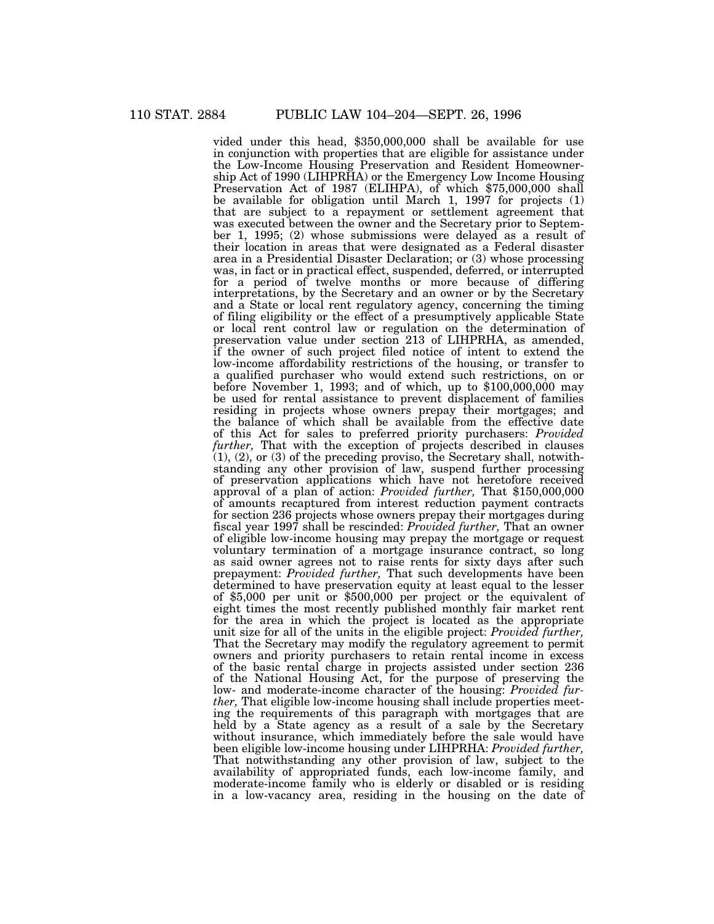vided under this head, \$350,000,000 shall be available for use in conjunction with properties that are eligible for assistance under the Low-Income Housing Preservation and Resident Homeownership Act of 1990 (LIHPRHA) or the Emergency Low Income Housing Preservation Act of 1987 (ELIHPA), of which \$75,000,000 shall be available for obligation until March 1, 1997 for projects (1) that are subject to a repayment or settlement agreement that was executed between the owner and the Secretary prior to September 1, 1995; (2) whose submissions were delayed as a result of their location in areas that were designated as a Federal disaster area in a Presidential Disaster Declaration; or (3) whose processing was, in fact or in practical effect, suspended, deferred, or interrupted for a period of twelve months or more because of differing interpretations, by the Secretary and an owner or by the Secretary and a State or local rent regulatory agency, concerning the timing of filing eligibility or the effect of a presumptively applicable State or local rent control law or regulation on the determination of preservation value under section 213 of LIHPRHA, as amended, if the owner of such project filed notice of intent to extend the low-income affordability restrictions of the housing, or transfer to a qualified purchaser who would extend such restrictions, on or before November 1, 1993; and of which, up to \$100,000,000 may be used for rental assistance to prevent displacement of families residing in projects whose owners prepay their mortgages; and the balance of which shall be available from the effective date of this Act for sales to preferred priority purchasers: *Provided further*, That with the exception of projects described in clauses  $(1)$ ,  $(2)$ , or  $(3)$  of the preceding proviso, the Secretary shall, notwithstanding any other provision of law, suspend further processing of preservation applications which have not heretofore received approval of a plan of action: *Provided further,* That \$150,000,000 of amounts recaptured from interest reduction payment contracts for section 236 projects whose owners prepay their mortgages during fiscal year 1997 shall be rescinded: *Provided further,* That an owner of eligible low-income housing may prepay the mortgage or request voluntary termination of a mortgage insurance contract, so long as said owner agrees not to raise rents for sixty days after such prepayment: *Provided further,* That such developments have been determined to have preservation equity at least equal to the lesser of \$5,000 per unit or \$500,000 per project or the equivalent of eight times the most recently published monthly fair market rent for the area in which the project is located as the appropriate unit size for all of the units in the eligible project: *Provided further,* That the Secretary may modify the regulatory agreement to permit owners and priority purchasers to retain rental income in excess of the basic rental charge in projects assisted under section 236 of the National Housing Act, for the purpose of preserving the low- and moderate-income character of the housing: *Provided further,* That eligible low-income housing shall include properties meeting the requirements of this paragraph with mortgages that are held by a State agency as a result of a sale by the Secretary without insurance, which immediately before the sale would have been eligible low-income housing under LIHPRHA: *Provided further,* That notwithstanding any other provision of law, subject to the availability of appropriated funds, each low-income family, and moderate-income family who is elderly or disabled or is residing in a low-vacancy area, residing in the housing on the date of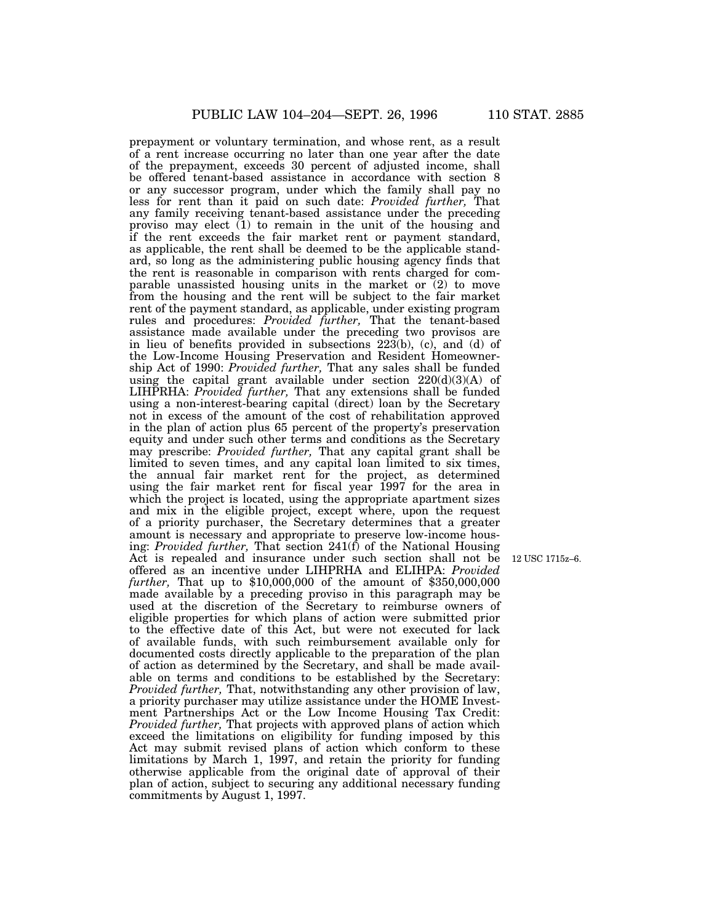prepayment or voluntary termination, and whose rent, as a result of a rent increase occurring no later than one year after the date of the prepayment, exceeds 30 percent of adjusted income, shall be offered tenant-based assistance in accordance with section 8 or any successor program, under which the family shall pay no less for rent than it paid on such date: *Provided further,* That any family receiving tenant-based assistance under the preceding proviso may elect  $(1)$  to remain in the unit of the housing and if the rent exceeds the fair market rent or payment standard, as applicable, the rent shall be deemed to be the applicable standard, so long as the administering public housing agency finds that the rent is reasonable in comparison with rents charged for comparable unassisted housing units in the market or (2) to move from the housing and the rent will be subject to the fair market rent of the payment standard, as applicable, under existing program rules and procedures: *Provided further,* That the tenant-based assistance made available under the preceding two provisos are in lieu of benefits provided in subsections  $22\overline{3}$ (b), (c), and (d) of the Low-Income Housing Preservation and Resident Homeownership Act of 1990: *Provided further,* That any sales shall be funded using the capital grant available under section 220(d)(3)(A) of LIHPRHA: *Provided further,* That any extensions shall be funded using a non-interest-bearing capital (direct) loan by the Secretary not in excess of the amount of the cost of rehabilitation approved in the plan of action plus 65 percent of the property's preservation equity and under such other terms and conditions as the Secretary may prescribe: *Provided further,* That any capital grant shall be limited to seven times, and any capital loan limited to six times, the annual fair market rent for the project, as determined using the fair market rent for fiscal year 1997 for the area in which the project is located, using the appropriate apartment sizes and mix in the eligible project, except where, upon the request of a priority purchaser, the Secretary determines that a greater amount is necessary and appropriate to preserve low-income housing: *Provided further,* That section 241(f) of the National Housing Act is repealed and insurance under such section shall not be offered as an incentive under LIHPRHA and ELIHPA: *Provided further,* That up to \$10,000,000 of the amount of \$350,000,000 made available by a preceding proviso in this paragraph may be used at the discretion of the Secretary to reimburse owners of eligible properties for which plans of action were submitted prior to the effective date of this Act, but were not executed for lack of available funds, with such reimbursement available only for documented costs directly applicable to the preparation of the plan of action as determined by the Secretary, and shall be made available on terms and conditions to be established by the Secretary: *Provided further,* That, notwithstanding any other provision of law, a priority purchaser may utilize assistance under the HOME Investment Partnerships Act or the Low Income Housing Tax Credit: *Provided further,* That projects with approved plans of action which exceed the limitations on eligibility for funding imposed by this Act may submit revised plans of action which conform to these limitations by March 1, 1997, and retain the priority for funding otherwise applicable from the original date of approval of their plan of action, subject to securing any additional necessary funding commitments by August 1, 1997.

12 USC 1715z–6.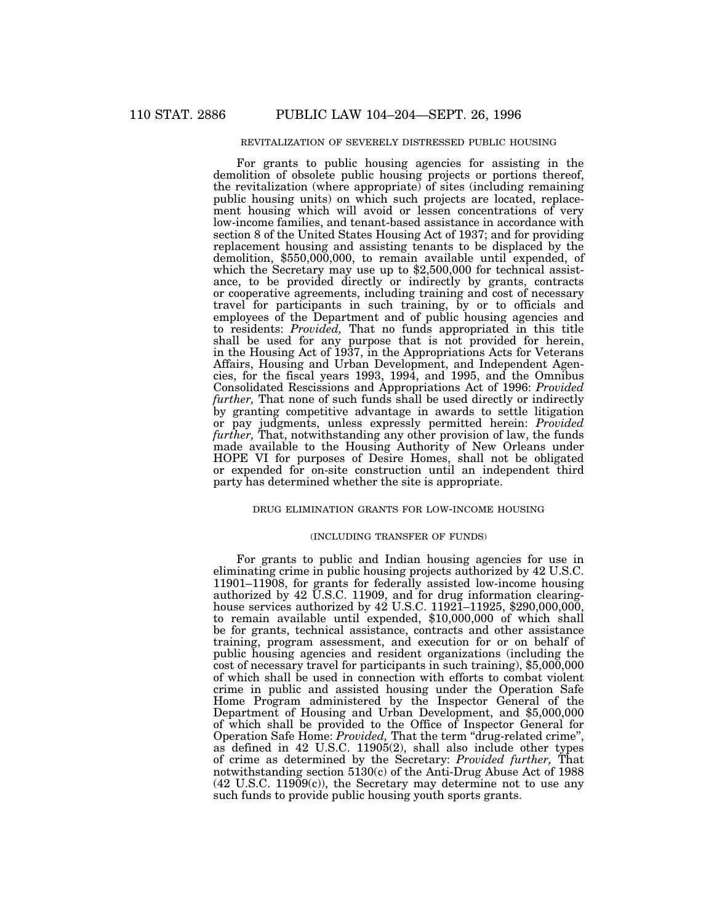## REVITALIZATION OF SEVERELY DISTRESSED PUBLIC HOUSING

For grants to public housing agencies for assisting in the demolition of obsolete public housing projects or portions thereof, the revitalization (where appropriate) of sites (including remaining public housing units) on which such projects are located, replacement housing which will avoid or lessen concentrations of very low-income families, and tenant-based assistance in accordance with section 8 of the United States Housing Act of 1937; and for providing replacement housing and assisting tenants to be displaced by the demolition, \$550,000,000, to remain available until expended, of which the Secretary may use up to \$2,500,000 for technical assistance, to be provided directly or indirectly by grants, contracts or cooperative agreements, including training and cost of necessary travel for participants in such training, by or to officials and employees of the Department and of public housing agencies and to residents: *Provided,* That no funds appropriated in this title shall be used for any purpose that is not provided for herein, in the Housing Act of 1937, in the Appropriations Acts for Veterans Affairs, Housing and Urban Development, and Independent Agencies, for the fiscal years 1993, 1994, and 1995, and the Omnibus Consolidated Rescissions and Appropriations Act of 1996: *Provided further,* That none of such funds shall be used directly or indirectly by granting competitive advantage in awards to settle litigation or pay judgments, unless expressly permitted herein: *Provided further,* That, notwithstanding any other provision of law, the funds made available to the Housing Authority of New Orleans under HOPE VI for purposes of Desire Homes, shall not be obligated or expended for on-site construction until an independent third party has determined whether the site is appropriate.

#### DRUG ELIMINATION GRANTS FOR LOW-INCOME HOUSING

#### (INCLUDING TRANSFER OF FUNDS)

For grants to public and Indian housing agencies for use in eliminating crime in public housing projects authorized by 42 U.S.C. 11901–11908, for grants for federally assisted low-income housing authorized by 42 U.S.C. 11909, and for drug information clearinghouse services authorized by 42 U.S.C. 11921–11925, \$290,000,000, to remain available until expended, \$10,000,000 of which shall be for grants, technical assistance, contracts and other assistance training, program assessment, and execution for or on behalf of public housing agencies and resident organizations (including the cost of necessary travel for participants in such training), \$5,000,000 of which shall be used in connection with efforts to combat violent crime in public and assisted housing under the Operation Safe Home Program administered by the Inspector General of the Department of Housing and Urban Development, and \$5,000,000 of which shall be provided to the Office of Inspector General for Operation Safe Home: *Provided,* That the term ''drug-related crime'', as defined in 42 U.S.C. 11905(2), shall also include other types of crime as determined by the Secretary: *Provided further,* That notwithstanding section 5130(c) of the Anti-Drug Abuse Act of 1988 (42 U.S.C. 11909(c)), the Secretary may determine not to use any such funds to provide public housing youth sports grants.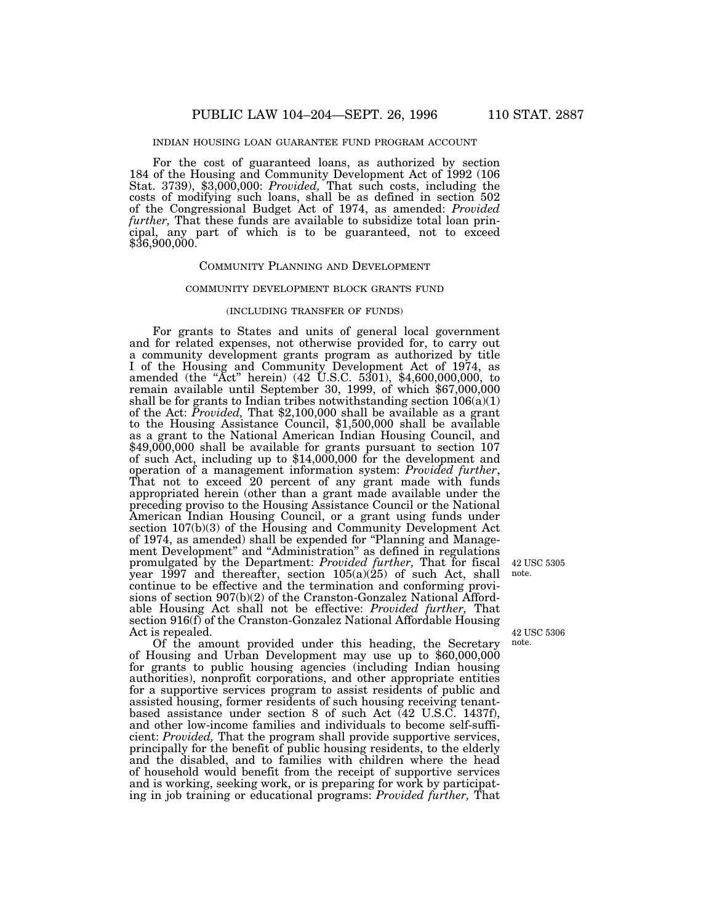## INDIAN HOUSING LOAN GUARANTEE FUND PROGRAM ACCOUNT

For the cost of guaranteed loans, as authorized by section 184 of the Housing and Community Development Act of 1992 (106 Stat. 3739), \$3,000,000: *Provided,* That such costs, including the costs of modifying such loans, shall be as defined in section 502 of the Congressional Budget Act of 1974, as amended: *Provided further,* That these funds are available to subsidize total loan principal, any part of which is to be guaranteed, not to exceed \$36,900,000.

#### COMMUNITY PLANNING AND DEVELOPMENT

#### COMMUNITY DEVELOPMENT BLOCK GRANTS FUND

## (INCLUDING TRANSFER OF FUNDS)

For grants to States and units of general local government and for related expenses, not otherwise provided for, to carry out a community development grants program as authorized by title I of the Housing and Community Development Act of 1974, as amended (the "Act" herein) (42 U.S.C. 5301), \$4,600,000,000, to remain available until September 30, 1999, of which \$67,000,000 shall be for grants to Indian tribes notwithstanding section  $106(a)(1)$ of the Act: *Provided,* That \$2,100,000 shall be available as a grant to the Housing Assistance Council, \$1,500,000 shall be available as a grant to the National American Indian Housing Council, and \$49,000,000 shall be available for grants pursuant to section 107 of such Act, including up to \$14,000,000 for the development and operation of a management information system: *Provided further*, That not to exceed 20 percent of any grant made with funds appropriated herein (other than a grant made available under the preceding proviso to the Housing Assistance Council or the National American Indian Housing Council, or a grant using funds under section 107(b)(3) of the Housing and Community Development Act of 1974, as amended) shall be expended for ''Planning and Management Development'' and ''Administration'' as defined in regulations promulgated by the Department: *Provided further,* That for fiscal year 1997 and thereafter, section 105(a)(25) of such Act, shall continue to be effective and the termination and conforming provisions of section 907(b)(2) of the Cranston-Gonzalez National Affordable Housing Act shall not be effective: *Provided further,* That section 916(f) of the Cranston-Gonzalez National Affordable Housing Act is repealed.

Of the amount provided under this heading, the Secretary of Housing and Urban Development may use up to \$60,000,000 for grants to public housing agencies (including Indian housing authorities), nonprofit corporations, and other appropriate entities for a supportive services program to assist residents of public and assisted housing, former residents of such housing receiving tenantbased assistance under section 8 of such Act (42 U.S.C. 1437f), and other low-income families and individuals to become self-sufficient: *Provided,* That the program shall provide supportive services, principally for the benefit of public housing residents, to the elderly and the disabled, and to families with children where the head of household would benefit from the receipt of supportive services and is working, seeking work, or is preparing for work by participating in job training or educational programs: *Provided further,* That

42 USC 5305 note.

42 USC 5306 note.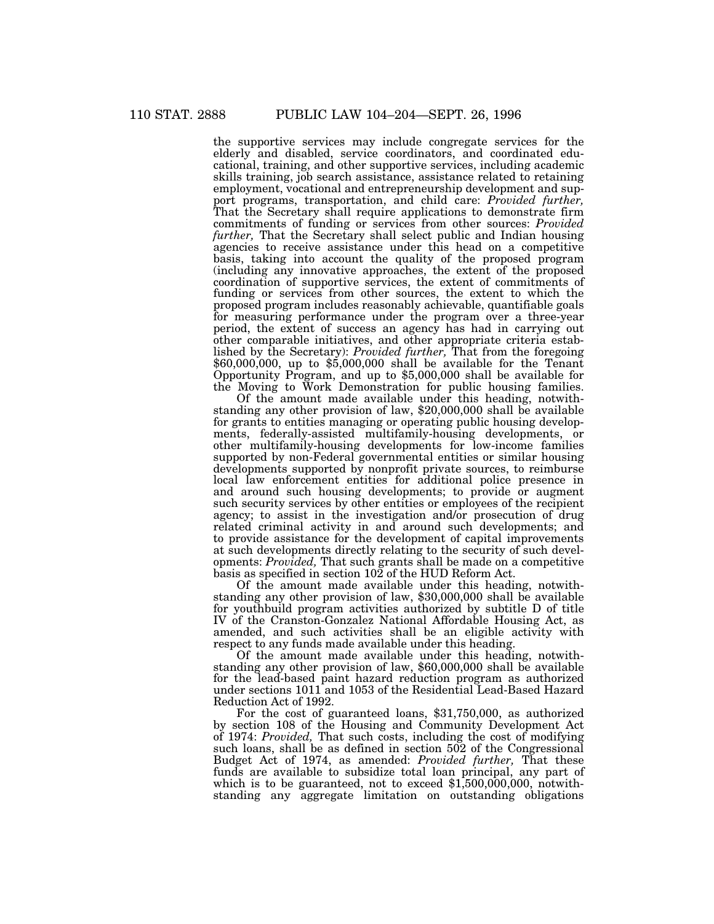the supportive services may include congregate services for the elderly and disabled, service coordinators, and coordinated educational, training, and other supportive services, including academic skills training, job search assistance, assistance related to retaining employment, vocational and entrepreneurship development and support programs, transportation, and child care: *Provided further,* That the Secretary shall require applications to demonstrate firm commitments of funding or services from other sources: *Provided further,* That the Secretary shall select public and Indian housing agencies to receive assistance under this head on a competitive basis, taking into account the quality of the proposed program (including any innovative approaches, the extent of the proposed coordination of supportive services, the extent of commitments of funding or services from other sources, the extent to which the proposed program includes reasonably achievable, quantifiable goals for measuring performance under the program over a three-year period, the extent of success an agency has had in carrying out other comparable initiatives, and other appropriate criteria established by the Secretary): *Provided further,* That from the foregoing \$60,000,000, up to \$5,000,000 shall be available for the Tenant Opportunity Program, and up to \$5,000,000 shall be available for the Moving to Work Demonstration for public housing families.

Of the amount made available under this heading, notwithstanding any other provision of law, \$20,000,000 shall be available for grants to entities managing or operating public housing developments, federally-assisted multifamily-housing developments, or other multifamily-housing developments for low-income families supported by non-Federal governmental entities or similar housing developments supported by nonprofit private sources, to reimburse local law enforcement entities for additional police presence in and around such housing developments; to provide or augment such security services by other entities or employees of the recipient agency; to assist in the investigation and/or prosecution of drug related criminal activity in and around such developments; and to provide assistance for the development of capital improvements at such developments directly relating to the security of such developments: *Provided,* That such grants shall be made on a competitive basis as specified in section 102 of the HUD Reform Act.

Of the amount made available under this heading, notwithstanding any other provision of law, \$30,000,000 shall be available for youthbuild program activities authorized by subtitle D of title IV of the Cranston-Gonzalez National Affordable Housing Act, as amended, and such activities shall be an eligible activity with respect to any funds made available under this heading.

Of the amount made available under this heading, notwithstanding any other provision of law, \$60,000,000 shall be available for the lead-based paint hazard reduction program as authorized under sections 1011 and 1053 of the Residential Lead-Based Hazard Reduction Act of 1992.

For the cost of guaranteed loans, \$31,750,000, as authorized by section 108 of the Housing and Community Development Act of 1974: *Provided,* That such costs, including the cost of modifying such loans, shall be as defined in section 502 of the Congressional Budget Act of 1974, as amended: *Provided further,* That these funds are available to subsidize total loan principal, any part of which is to be guaranteed, not to exceed  $$1,500,000,000$ , notwithstanding any aggregate limitation on outstanding obligations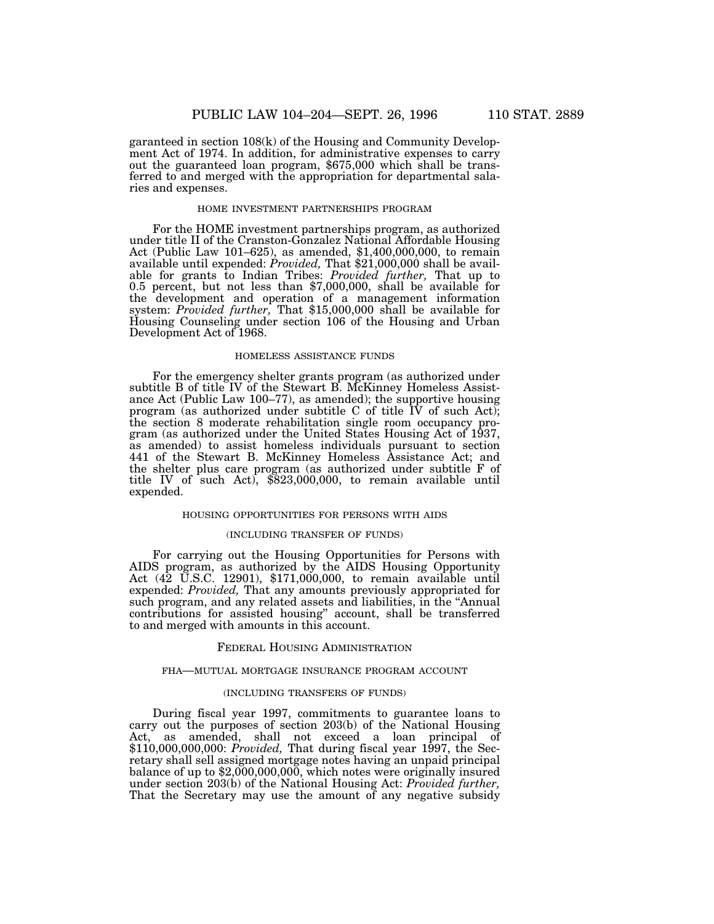garanteed in section 108(k) of the Housing and Community Development Act of 1974. In addition, for administrative expenses to carry out the guaranteed loan program, \$675,000 which shall be transferred to and merged with the appropriation for departmental salaries and expenses.

#### HOME INVESTMENT PARTNERSHIPS PROGRAM

For the HOME investment partnerships program, as authorized under title II of the Cranston-Gonzalez National Affordable Housing Act (Public Law 101–625), as amended, \$1,400,000,000, to remain available until expended: *Provided,* That \$21,000,000 shall be available for grants to Indian Tribes: *Provided further,* That up to 0.5 percent, but not less than \$7,000,000, shall be available for the development and operation of a management information system: *Provided further,* That \$15,000,000 shall be available for Housing Counseling under section 106 of the Housing and Urban Development Act of 1968.

#### HOMELESS ASSISTANCE FUNDS

For the emergency shelter grants program (as authorized under subtitle B of title IV of the Stewart B. McKinney Homeless Assistance Act (Public Law 100–77), as amended); the supportive housing program (as authorized under subtitle C of title  $\overline{IV}$  of such Act); the section 8 moderate rehabilitation single room occupancy program (as authorized under the United States Housing Act of 1937, as amended) to assist homeless individuals pursuant to section 441 of the Stewart B. McKinney Homeless Assistance Act; and the shelter plus care program (as authorized under subtitle F of title IV of such Act), \$823,000,000, to remain available until expended.

## HOUSING OPPORTUNITIES FOR PERSONS WITH AIDS

#### (INCLUDING TRANSFER OF FUNDS)

For carrying out the Housing Opportunities for Persons with AIDS program, as authorized by the AIDS Housing Opportunity Act (42 U.S.C. 12901), \$171,000,000, to remain available until expended: *Provided,* That any amounts previously appropriated for such program, and any related assets and liabilities, in the "Annual contributions for assisted housing'' account, shall be transferred to and merged with amounts in this account.

## FEDERAL HOUSING ADMINISTRATION

## FHA—MUTUAL MORTGAGE INSURANCE PROGRAM ACCOUNT

## (INCLUDING TRANSFERS OF FUNDS)

During fiscal year 1997, commitments to guarantee loans to carry out the purposes of section 203(b) of the National Housing Act, as amended, shall not exceed a loan principal of \$110,000,000,000: *Provided,* That during fiscal year 1997, the Secretary shall sell assigned mortgage notes having an unpaid principal balance of up to \$2,000,000,000, which notes were originally insured under section 203(b) of the National Housing Act: *Provided further,* That the Secretary may use the amount of any negative subsidy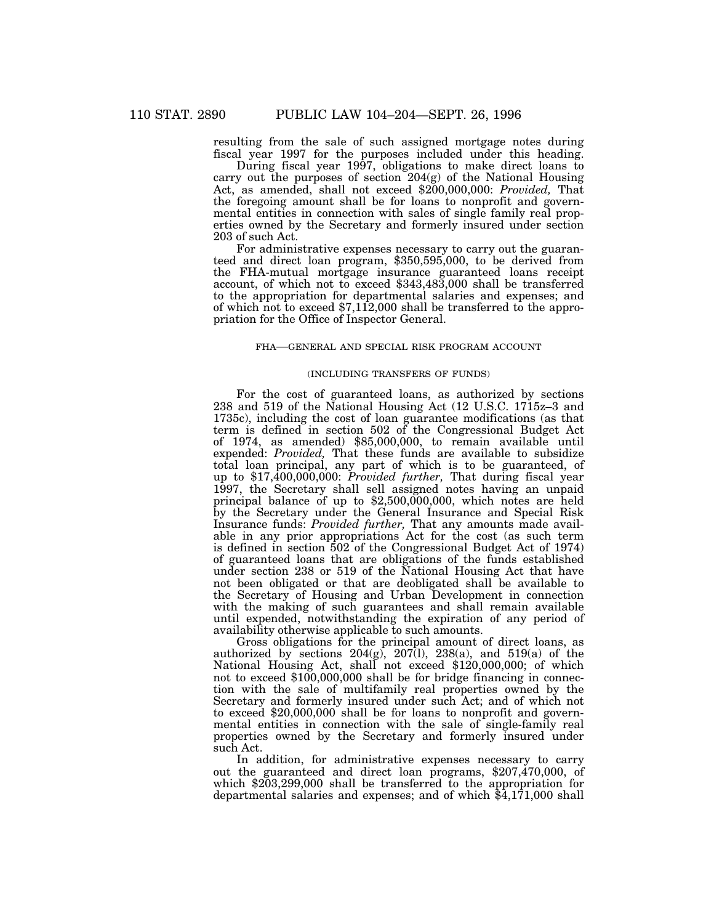resulting from the sale of such assigned mortgage notes during fiscal year 1997 for the purposes included under this heading.

During fiscal year 1997, obligations to make direct loans to carry out the purposes of section 204(g) of the National Housing Act, as amended, shall not exceed \$200,000,000: *Provided,* That the foregoing amount shall be for loans to nonprofit and governmental entities in connection with sales of single family real properties owned by the Secretary and formerly insured under section 203 of such Act.

For administrative expenses necessary to carry out the guaranteed and direct loan program, \$350,595,000, to be derived from the FHA-mutual mortgage insurance guaranteed loans receipt account, of which not to exceed \$343,483,000 shall be transferred to the appropriation for departmental salaries and expenses; and of which not to exceed \$7,112,000 shall be transferred to the appropriation for the Office of Inspector General.

## FHA—GENERAL AND SPECIAL RISK PROGRAM ACCOUNT

## (INCLUDING TRANSFERS OF FUNDS)

For the cost of guaranteed loans, as authorized by sections 238 and 519 of the National Housing Act (12 U.S.C. 1715z–3 and 1735c), including the cost of loan guarantee modifications (as that term is defined in section 502 of the Congressional Budget Act of 1974, as amended) \$85,000,000, to remain available until expended: *Provided,* That these funds are available to subsidize total loan principal, any part of which is to be guaranteed, of up to \$17,400,000,000: *Provided further,* That during fiscal year 1997, the Secretary shall sell assigned notes having an unpaid principal balance of up to  $$2,500,000,000$ , which notes are held by the Secretary under the General Insurance and Special Risk Insurance funds: *Provided further,* That any amounts made available in any prior appropriations Act for the cost (as such term is defined in section 502 of the Congressional Budget Act of 1974) of guaranteed loans that are obligations of the funds established under section 238 or 519 of the National Housing Act that have not been obligated or that are deobligated shall be available to the Secretary of Housing and Urban Development in connection with the making of such guarantees and shall remain available until expended, notwithstanding the expiration of any period of availability otherwise applicable to such amounts.

Gross obligations for the principal amount of direct loans, as authorized by sections  $204(g)$ ,  $207(1)$ ,  $238(a)$ , and  $519(a)$  of the National Housing Act, shall not exceed \$120,000,000; of which not to exceed \$100,000,000 shall be for bridge financing in connection with the sale of multifamily real properties owned by the Secretary and formerly insured under such Act; and of which not to exceed \$20,000,000 shall be for loans to nonprofit and governmental entities in connection with the sale of single-family real properties owned by the Secretary and formerly insured under such Act.

In addition, for administrative expenses necessary to carry out the guaranteed and direct loan programs, \$207,470,000, of which \$203,299,000 shall be transferred to the appropriation for departmental salaries and expenses; and of which \$4,171,000 shall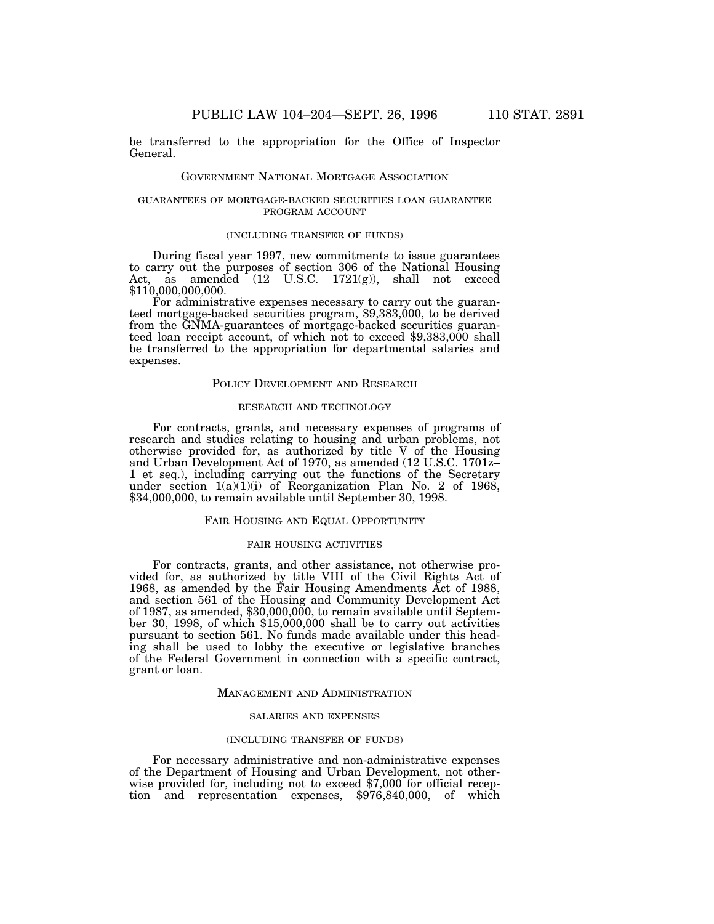be transferred to the appropriation for the Office of Inspector General.

#### GOVERNMENT NATIONAL MORTGAGE ASSOCIATION

## GUARANTEES OF MORTGAGE-BACKED SECURITIES LOAN GUARANTEE PROGRAM ACCOUNT

## (INCLUDING TRANSFER OF FUNDS)

During fiscal year 1997, new commitments to issue guarantees to carry out the purposes of section 306 of the National Housing Act, as amended (12 U.S.C. 1721(g)), shall not exceed \$110,000,000,000.

For administrative expenses necessary to carry out the guaranteed mortgage-backed securities program, \$9,383,000, to be derived from the GNMA-guarantees of mortgage-backed securities guaranteed loan receipt account, of which not to exceed \$9,383,000 shall be transferred to the appropriation for departmental salaries and expenses.

## POLICY DEVELOPMENT AND RESEARCH

## RESEARCH AND TECHNOLOGY

For contracts, grants, and necessary expenses of programs of research and studies relating to housing and urban problems, not otherwise provided for, as authorized by title V of the Housing and Urban Development Act of 1970, as amended (12 U.S.C. 1701z– 1 et seq.), including carrying out the functions of the Secretary under section  $1(a)(1)(i)$  of Reorganization Plan No. 2 of 1968, \$34,000,000, to remain available until September 30, 1998.

## FAIR HOUSING AND EQUAL OPPORTUNITY

## FAIR HOUSING ACTIVITIES

For contracts, grants, and other assistance, not otherwise provided for, as authorized by title VIII of the Civil Rights Act of 1968, as amended by the Fair Housing Amendments Act of 1988, and section 561 of the Housing and Community Development Act of 1987, as amended, \$30,000,000, to remain available until September 30, 1998, of which \$15,000,000 shall be to carry out activities pursuant to section 561. No funds made available under this heading shall be used to lobby the executive or legislative branches of the Federal Government in connection with a specific contract, grant or loan.

## MANAGEMENT AND ADMINISTRATION

#### SALARIES AND EXPENSES

#### (INCLUDING TRANSFER OF FUNDS)

For necessary administrative and non-administrative expenses of the Department of Housing and Urban Development, not otherwise provided for, including not to exceed \$7,000 for official reception and representation expenses, \$976,840,000, of which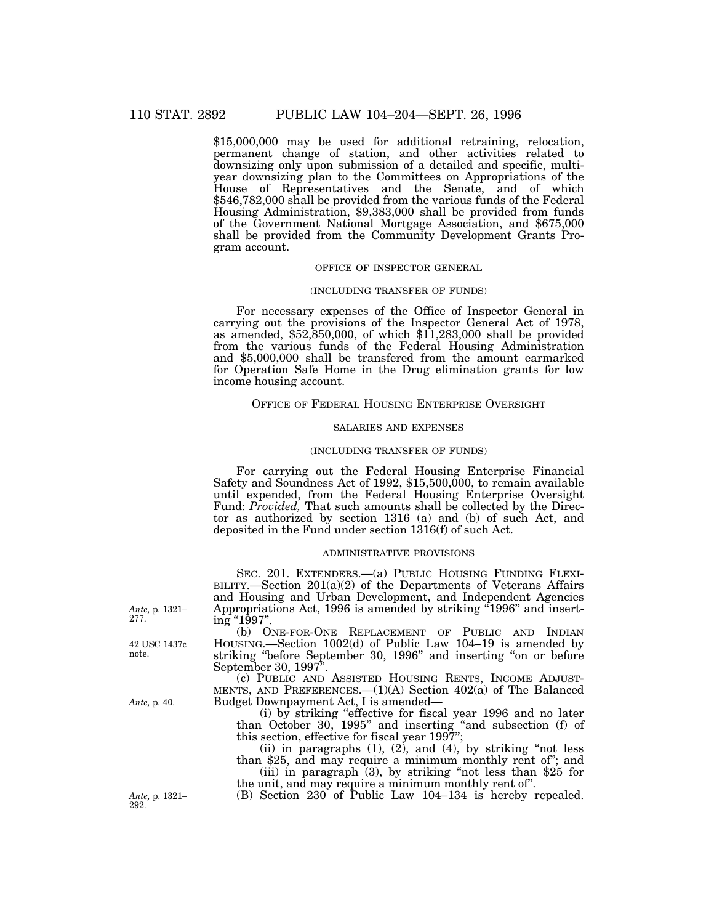\$15,000,000 may be used for additional retraining, relocation, permanent change of station, and other activities related to downsizing only upon submission of a detailed and specific, multiyear downsizing plan to the Committees on Appropriations of the House of Representatives and the Senate, and of which \$546,782,000 shall be provided from the various funds of the Federal Housing Administration, \$9,383,000 shall be provided from funds of the Government National Mortgage Association, and \$675,000 shall be provided from the Community Development Grants Program account.

## OFFICE OF INSPECTOR GENERAL

## (INCLUDING TRANSFER OF FUNDS)

For necessary expenses of the Office of Inspector General in carrying out the provisions of the Inspector General Act of 1978, as amended, \$52,850,000, of which \$11,283,000 shall be provided from the various funds of the Federal Housing Administration and \$5,000,000 shall be transfered from the amount earmarked for Operation Safe Home in the Drug elimination grants for low income housing account.

# OFFICE OF FEDERAL HOUSING ENTERPRISE OVERSIGHT

## SALARIES AND EXPENSES

## (INCLUDING TRANSFER OF FUNDS)

For carrying out the Federal Housing Enterprise Financial Safety and Soundness Act of 1992, \$15,500,000, to remain available until expended, from the Federal Housing Enterprise Oversight Fund: *Provided,* That such amounts shall be collected by the Director as authorized by section 1316 (a) and (b) of such Act, and deposited in the Fund under section 1316(f) of such Act.

#### ADMINISTRATIVE PROVISIONS

SEC. 201. EXTENDERS.—(a) PUBLIC HOUSING FUNDING FLEXI-BILITY.—Section 201(a)(2) of the Departments of Veterans Affairs and Housing and Urban Development, and Independent Agencies Appropriations Act, 1996 is amended by striking "1996" and inserting "1997".

(b) ONE-FOR-ONE REPLACEMENT OF PUBLIC AND INDIAN HOUSING.—Section 1002(d) of Public Law 104–19 is amended by striking ''before September 30, 1996'' and inserting ''on or before September 30, 1997''.

(c) PUBLIC AND ASSISTED HOUSING RENTS, INCOME ADJUST-MENTS, AND PREFERENCES.—(1)(A) Section 402(a) of The Balanced Budget Downpayment Act, I is amended—

(i) by striking ''effective for fiscal year 1996 and no later than October 30, 1995" and inserting "and subsection (f) of this section, effective for fiscal year 1997'';

(ii) in paragraphs  $(1)$ ,  $(2)$ , and  $(4)$ , by striking "not less than \$25, and may require a minimum monthly rent of''; and (iii) in paragraph (3), by striking "not less than \$25 for the unit, and may require a minimum monthly rent of''.

*Ante,* p. 1321– (B) Section 230 of Public Law 104–134 is hereby repealed.

*Ante,* p. 1321– 277.

42 USC 1437c note.

*Ante,* p. 40.

292.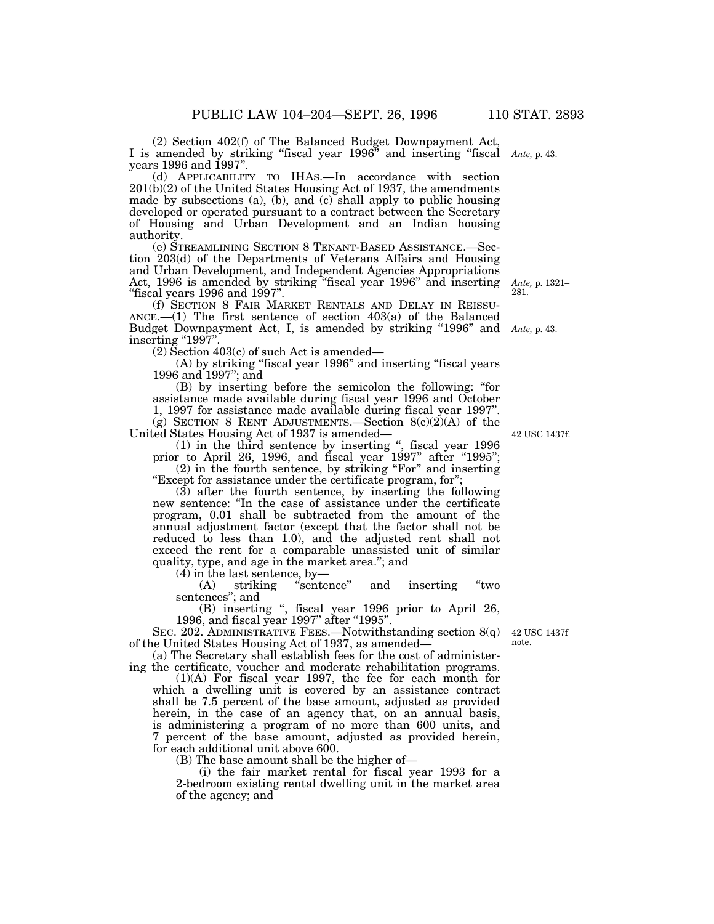years 1996 and 1997". (d) APPLICABILITY TO IHAS.—In accordance with section  $201(b)(2)$  of the United States Housing Act of 1937, the amendments made by subsections (a), (b), and (c) shall apply to public housing developed or operated pursuant to a contract between the Secretary of Housing and Urban Development and an Indian housing authority.

(e) STREAMLINING SECTION 8 TENANT-BASED ASSISTANCE.—Section 203(d) of the Departments of Veterans Affairs and Housing and Urban Development, and Independent Agencies Appropriations Act, 1996 is amended by striking ''fiscal year 1996'' and inserting ''fiscal years 1996 and 1997''.

(f) SECTION 8 FAIR MARKET RENTALS AND DELAY IN REISSU-ANCE.— $(1)$  The first sentence of section 403 $(a)$  of the Balanced Budget Downpayment Act, I, is amended by striking ''1996'' and *Ante,* p. 43. inserting "1997"

(2) Section 403(c) of such Act is amended—

(A) by striking "fiscal year 1996" and inserting "fiscal years 1996 and 1997''; and

(B) by inserting before the semicolon the following: ''for assistance made available during fiscal year 1996 and October 1, 1997 for assistance made available during fiscal year 1997''. (g) SECTION 8 RENT ADJUSTMENTS.—Section  $8(c)(2)(A)$  of the

United States Housing Act of 1937 is amended—

(1) in the third sentence by inserting '', fiscal year 1996 prior to April 26, 1996, and fiscal year 1997" after "1995"; (2) in the fourth sentence, by striking "For" and inserting

''Except for assistance under the certificate program, for'';

(3) after the fourth sentence, by inserting the following new sentence: ''In the case of assistance under the certificate program, 0.01 shall be subtracted from the amount of the annual adjustment factor (except that the factor shall not be reduced to less than 1.0), and the adjusted rent shall not exceed the rent for a comparable unassisted unit of similar quality, type, and age in the market area.''; and

(4) in the last sentence, by—

(A) striking ''sentence'' and inserting ''two sentences''; and

(B) inserting '', fiscal year 1996 prior to April 26, 1996, and fiscal year 1997" after "1995".

SEC. 202. ADMINISTRATIVE FEES.—Notwithstanding section 8(q) of the United States Housing Act of 1937, as amended—

(a) The Secretary shall establish fees for the cost of administering the certificate, voucher and moderate rehabilitation programs.

(1)(A) For fiscal year 1997, the fee for each month for which a dwelling unit is covered by an assistance contract shall be 7.5 percent of the base amount, adjusted as provided herein, in the case of an agency that, on an annual basis, is administering a program of no more than 600 units, and 7 percent of the base amount, adjusted as provided herein, for each additional unit above 600.

(B) The base amount shall be the higher of—

(i) the fair market rental for fiscal year 1993 for a 2-bedroom existing rental dwelling unit in the market area of the agency; and

42 USC 1437f note.

42 USC 1437f.

*Ante,* p. 1321– 281.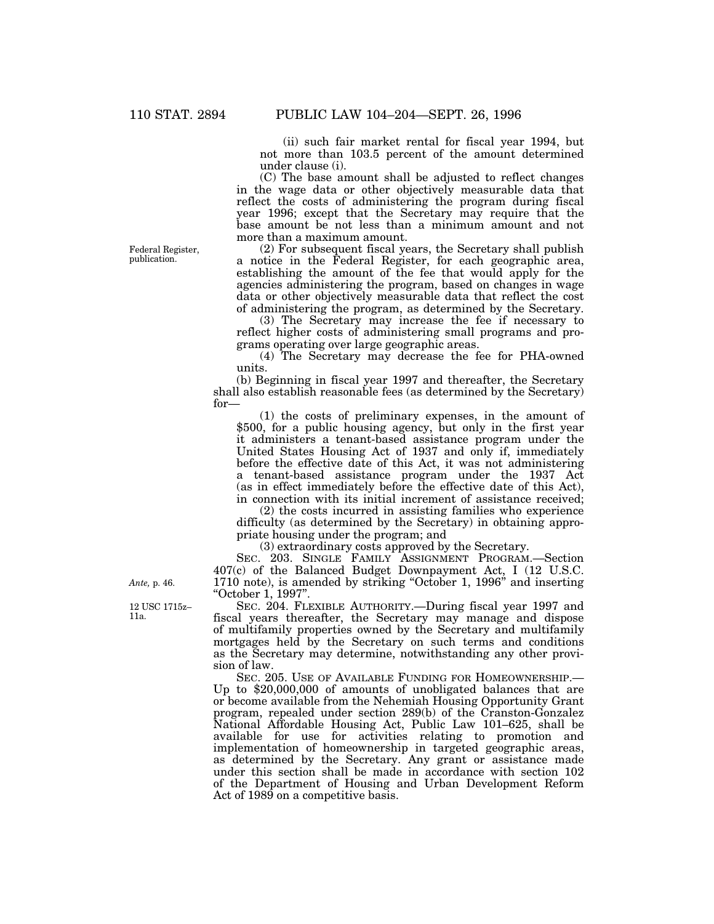(ii) such fair market rental for fiscal year 1994, but not more than 103.5 percent of the amount determined under clause (i).

(C) The base amount shall be adjusted to reflect changes in the wage data or other objectively measurable data that reflect the costs of administering the program during fiscal year 1996; except that the Secretary may require that the base amount be not less than a minimum amount and not more than a maximum amount.

(2) For subsequent fiscal years, the Secretary shall publish a notice in the Federal Register, for each geographic area, establishing the amount of the fee that would apply for the agencies administering the program, based on changes in wage data or other objectively measurable data that reflect the cost of administering the program, as determined by the Secretary.

(3) The Secretary may increase the fee if necessary to reflect higher costs of administering small programs and programs operating over large geographic areas.

(4) The Secretary may decrease the fee for PHA-owned units.

(b) Beginning in fiscal year 1997 and thereafter, the Secretary shall also establish reasonable fees (as determined by the Secretary) for—

(1) the costs of preliminary expenses, in the amount of \$500, for a public housing agency, but only in the first year it administers a tenant-based assistance program under the United States Housing Act of 1937 and only if, immediately before the effective date of this Act, it was not administering a tenant-based assistance program under the 1937 Act (as in effect immediately before the effective date of this Act), in connection with its initial increment of assistance received;

(2) the costs incurred in assisting families who experience difficulty (as determined by the Secretary) in obtaining appropriate housing under the program; and

(3) extraordinary costs approved by the Secretary.

SEC. 203. SINGLE FAMILY ASSIGNMENT PROGRAM.—Section 407(c) of the Balanced Budget Downpayment Act, I (12 U.S.C. 1710 note), is amended by striking "October 1, 1996" and inserting ''October 1, 1997''.

SEC. 204. FLEXIBLE AUTHORITY.—During fiscal year 1997 and fiscal years thereafter, the Secretary may manage and dispose of multifamily properties owned by the Secretary and multifamily mortgages held by the Secretary on such terms and conditions as the Secretary may determine, notwithstanding any other provision of law.

SEC. 205. USE OF AVAILABLE FUNDING FOR HOMEOWNERSHIP.— Up to \$20,000,000 of amounts of unobligated balances that are or become available from the Nehemiah Housing Opportunity Grant program, repealed under section 289(b) of the Cranston-Gonzalez National Affordable Housing Act, Public Law 101–625, shall be available for use for activities relating to promotion and implementation of homeownership in targeted geographic areas, as determined by the Secretary. Any grant or assistance made under this section shall be made in accordance with section 102 of the Department of Housing and Urban Development Reform Act of 1989 on a competitive basis.

Federal Register, publication.

*Ante,* p. 46.

12 USC 1715z– 11a.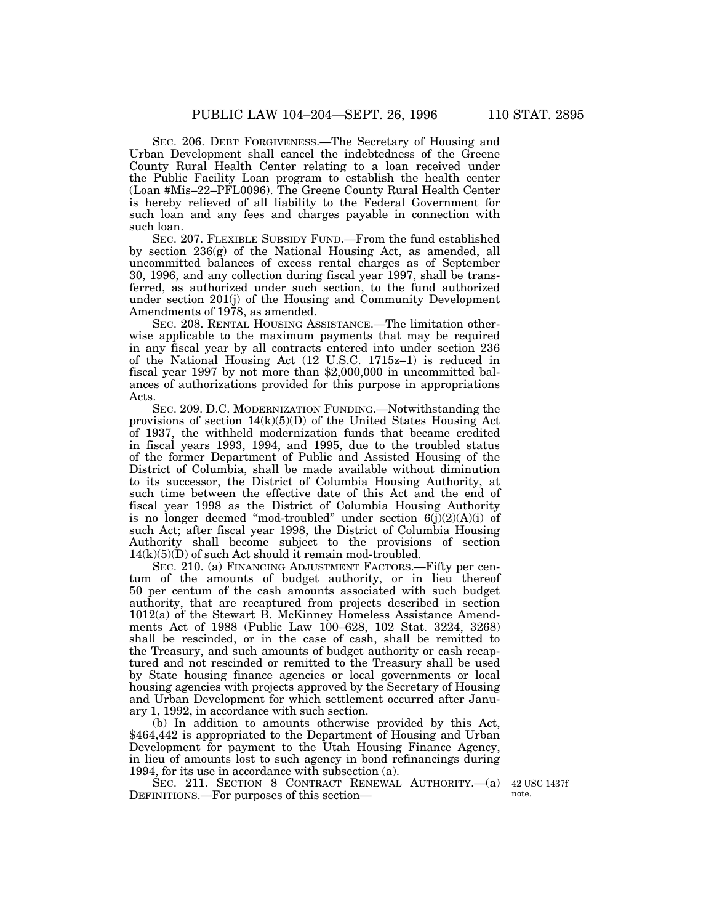SEC. 206. DEBT FORGIVENESS.—The Secretary of Housing and Urban Development shall cancel the indebtedness of the Greene County Rural Health Center relating to a loan received under the Public Facility Loan program to establish the health center (Loan #Mis–22–PFL0096). The Greene County Rural Health Center is hereby relieved of all liability to the Federal Government for

such loan. SEC. 207. FLEXIBLE SUBSIDY FUND.—From the fund established by section 236(g) of the National Housing Act, as amended, all uncommitted balances of excess rental charges as of September 30, 1996, and any collection during fiscal year 1997, shall be transferred, as authorized under such section, to the fund authorized under section 201(j) of the Housing and Community Development Amendments of 1978, as amended.

such loan and any fees and charges payable in connection with

SEC. 208. RENTAL HOUSING ASSISTANCE.—The limitation otherwise applicable to the maximum payments that may be required in any fiscal year by all contracts entered into under section 236 of the National Housing Act (12 U.S.C. 1715z–1) is reduced in fiscal year 1997 by not more than \$2,000,000 in uncommitted balances of authorizations provided for this purpose in appropriations Acts.

SEC. 209. D.C. MODERNIZATION FUNDING.—Notwithstanding the provisions of section  $14(k)(5)(D)$  of the United States Housing Act of 1937, the withheld modernization funds that became credited in fiscal years 1993, 1994, and 1995, due to the troubled status of the former Department of Public and Assisted Housing of the District of Columbia, shall be made available without diminution to its successor, the District of Columbia Housing Authority, at such time between the effective date of this Act and the end of fiscal year 1998 as the District of Columbia Housing Authority is no longer deemed "mod-troubled" under section  $6(j)(2)(A)(i)$  of such Act; after fiscal year 1998, the District of Columbia Housing Authority shall become subject to the provisions of section  $14(k)(5)(D)$  of such Act should it remain mod-troubled.

SEC. 210. (a) FINANCING ADJUSTMENT FACTORS.—Fifty per centum of the amounts of budget authority, or in lieu thereof 50 per centum of the cash amounts associated with such budget authority, that are recaptured from projects described in section 1012(a) of the Stewart B. McKinney Homeless Assistance Amendments Act of 1988 (Public Law 100–628, 102 Stat. 3224, 3268) shall be rescinded, or in the case of cash, shall be remitted to the Treasury, and such amounts of budget authority or cash recaptured and not rescinded or remitted to the Treasury shall be used by State housing finance agencies or local governments or local housing agencies with projects approved by the Secretary of Housing and Urban Development for which settlement occurred after January 1, 1992, in accordance with such section.

(b) In addition to amounts otherwise provided by this Act, \$464,442 is appropriated to the Department of Housing and Urban Development for payment to the Utah Housing Finance Agency, in lieu of amounts lost to such agency in bond refinancings during 1994, for its use in accordance with subsection (a).

SEC. 211. SECTION 8 CONTRACT RENEWAL AUTHORITY.- (a) DEFINITIONS.—For purposes of this section—

42 USC 1437f note.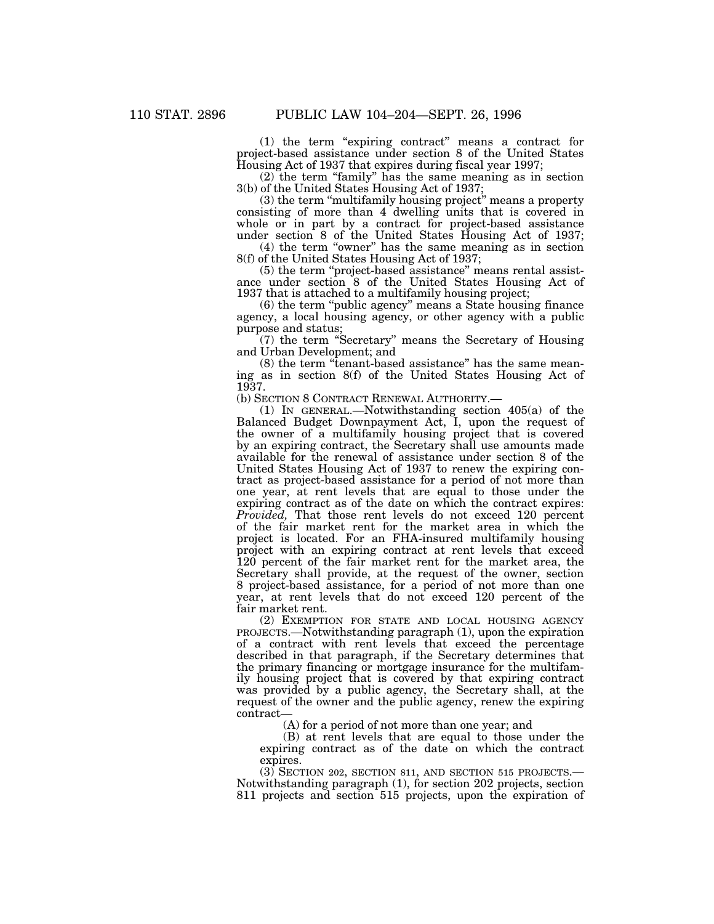(1) the term ''expiring contract'' means a contract for project-based assistance under section 8 of the United States Housing Act of 1937 that expires during fiscal year 1997;

(2) the term ''family'' has the same meaning as in section 3(b) of the United States Housing Act of 1937;

(3) the term ''multifamily housing project'' means a property consisting of more than 4 dwelling units that is covered in whole or in part by a contract for project-based assistance under section 8 of the United States Housing Act of 1937;

(4) the term "owner" has the same meaning as in section 8(f) of the United States Housing Act of 1937;

(5) the term "project-based assistance" means rental assistance under section 8 of the United States Housing Act of 1937 that is attached to a multifamily housing project;

(6) the term ''public agency'' means a State housing finance agency, a local housing agency, or other agency with a public purpose and status;

(7) the term ''Secretary'' means the Secretary of Housing and Urban Development; and

(8) the term ''tenant-based assistance'' has the same meaning as in section 8(f) of the United States Housing Act of 1937.

(b) SECTION 8 CONTRACT RENEWAL AUTHORITY.—

(1) IN GENERAL.—Notwithstanding section 405(a) of the Balanced Budget Downpayment Act, I, upon the request of the owner of a multifamily housing project that is covered by an expiring contract, the Secretary shall use amounts made available for the renewal of assistance under section 8 of the United States Housing Act of 1937 to renew the expiring contract as project-based assistance for a period of not more than one year, at rent levels that are equal to those under the expiring contract as of the date on which the contract expires: *Provided*, That those rent levels do not exceed 120 percent of the fair market rent for the market area in which the project is located. For an FHA-insured multifamily housing project with an expiring contract at rent levels that exceed 120 percent of the fair market rent for the market area, the Secretary shall provide, at the request of the owner, section 8 project-based assistance, for a period of not more than one year, at rent levels that do not exceed 120 percent of the fair market rent.

(2) EXEMPTION FOR STATE AND LOCAL HOUSING AGENCY PROJECTS.—Notwithstanding paragraph (1), upon the expiration of a contract with rent levels that exceed the percentage described in that paragraph, if the Secretary determines that the primary financing or mortgage insurance for the multifamily housing project that is covered by that expiring contract was provided by a public agency, the Secretary shall, at the request of the owner and the public agency, renew the expiring contract—

(A) for a period of not more than one year; and

(B) at rent levels that are equal to those under the expiring contract as of the date on which the contract expires.

(3) SECTION 202, SECTION 811, AND SECTION 515 PROJECTS.— Notwithstanding paragraph (1), for section 202 projects, section 811 projects and section 515 projects, upon the expiration of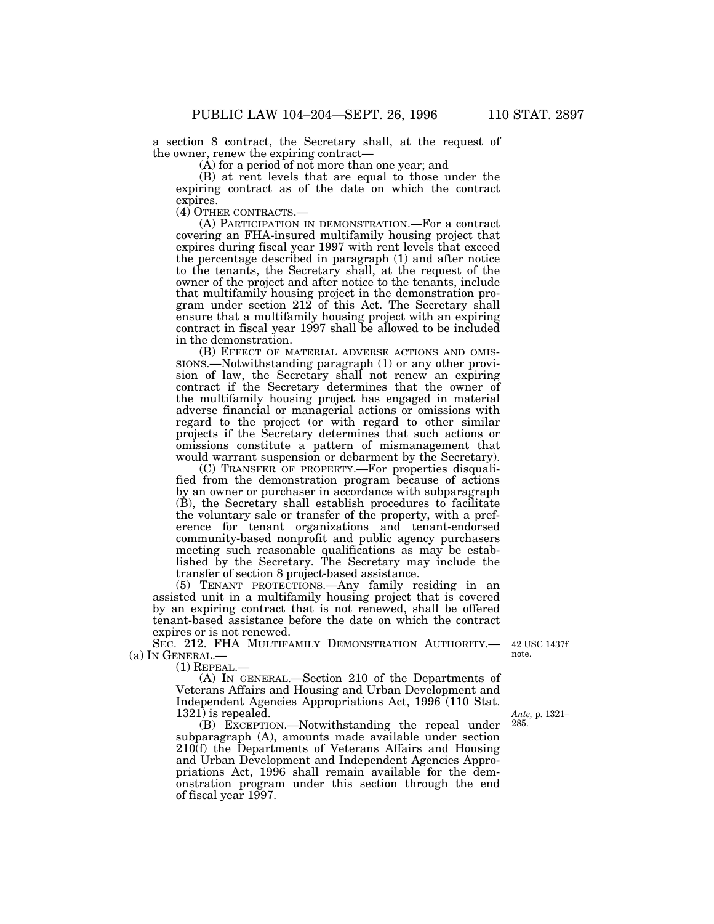a section 8 contract, the Secretary shall, at the request of the owner, renew the expiring contract—

(A) for a period of not more than one year; and

(B) at rent levels that are equal to those under the expiring contract as of the date on which the contract expires.

(4) OTHER CONTRACTS.—

(A) PARTICIPATION IN DEMONSTRATION.—For a contract covering an FHA-insured multifamily housing project that expires during fiscal year 1997 with rent levels that exceed the percentage described in paragraph (1) and after notice to the tenants, the Secretary shall, at the request of the owner of the project and after notice to the tenants, include that multifamily housing project in the demonstration program under section 212 of this Act. The Secretary shall ensure that a multifamily housing project with an expiring contract in fiscal year 1997 shall be allowed to be included in the demonstration.

(B) EFFECT OF MATERIAL ADVERSE ACTIONS AND OMIS-SIONS.—Notwithstanding paragraph (1) or any other provision of law, the Secretary shall not renew an expiring contract if the Secretary determines that the owner of the multifamily housing project has engaged in material adverse financial or managerial actions or omissions with regard to the project (or with regard to other similar projects if the Secretary determines that such actions or omissions constitute a pattern of mismanagement that would warrant suspension or debarment by the Secretary).

(C) TRANSFER OF PROPERTY.—For properties disqualified from the demonstration program because of actions by an owner or purchaser in accordance with subparagraph (B), the Secretary shall establish procedures to facilitate the voluntary sale or transfer of the property, with a preference for tenant organizations and tenant-endorsed community-based nonprofit and public agency purchasers meeting such reasonable qualifications as may be established by the Secretary. The Secretary may include the transfer of section 8 project-based assistance.

(5) TENANT PROTECTIONS.—Any family residing in an assisted unit in a multifamily housing project that is covered by an expiring contract that is not renewed, shall be offered tenant-based assistance before the date on which the contract expires or is not renewed.

SEC. 212. FHA MULTIFAMILY DEMONSTRATION AUTHORITY.— 42 USC 1437f (a) IN GENERAL.—

(1) REPEAL.—

(A) IN GENERAL.—Section 210 of the Departments of Veterans Affairs and Housing and Urban Development and Independent Agencies Appropriations Act, 1996 (110 Stat. 1321) is repealed.

(B) EXCEPTION.—Notwithstanding the repeal under subparagraph (A), amounts made available under section 210(f) the Departments of Veterans Affairs and Housing and Urban Development and Independent Agencies Appropriations Act, 1996 shall remain available for the demonstration program under this section through the end of fiscal year 1997.

note.

*Ante,* p. 1321– 285.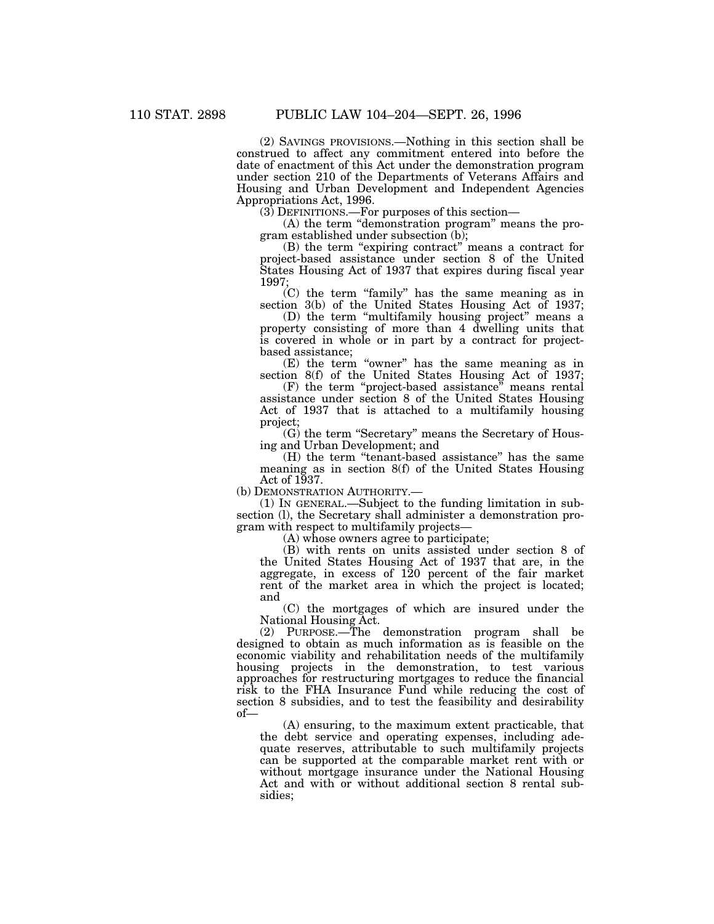(2) SAVINGS PROVISIONS.—Nothing in this section shall be construed to affect any commitment entered into before the date of enactment of this Act under the demonstration program under section 210 of the Departments of Veterans Affairs and Housing and Urban Development and Independent Agencies Appropriations Act, 1996.

(3) DEFINITIONS.—For purposes of this section—

(A) the term ''demonstration program'' means the program established under subsection (b);

(B) the term "expiring contract" means a contract for project-based assistance under section 8 of the United States Housing Act of 1937 that expires during fiscal year 1997;

(C) the term ''family'' has the same meaning as in section 3(b) of the United States Housing Act of 1937;

(D) the term ''multifamily housing project'' means a property consisting of more than 4 dwelling units that is covered in whole or in part by a contract for projectbased assistance;

(E) the term "owner" has the same meaning as in section 8(f) of the United States Housing Act of 1937;

(F) the term ''project-based assistance'' means rental assistance under section 8 of the United States Housing Act of 1937 that is attached to a multifamily housing project;

(G) the term ''Secretary'' means the Secretary of Housing and Urban Development; and

(H) the term ''tenant-based assistance'' has the same meaning as in section 8(f) of the United States Housing Act of 1937.

(b) DEMONSTRATION AUTHORITY.—

(1) IN GENERAL.—Subject to the funding limitation in subsection (l), the Secretary shall administer a demonstration program with respect to multifamily projects—

(A) whose owners agree to participate;

(B) with rents on units assisted under section 8 of the United States Housing Act of 1937 that are, in the aggregate, in excess of 120 percent of the fair market rent of the market area in which the project is located; and

(C) the mortgages of which are insured under the National Housing Act.

(2) PURPOSE.—The demonstration program shall be designed to obtain as much information as is feasible on the economic viability and rehabilitation needs of the multifamily housing projects in the demonstration, to test various approaches for restructuring mortgages to reduce the financial risk to the FHA Insurance Fund while reducing the cost of section 8 subsidies, and to test the feasibility and desirability of—

(A) ensuring, to the maximum extent practicable, that the debt service and operating expenses, including adequate reserves, attributable to such multifamily projects can be supported at the comparable market rent with or without mortgage insurance under the National Housing Act and with or without additional section 8 rental subsidies;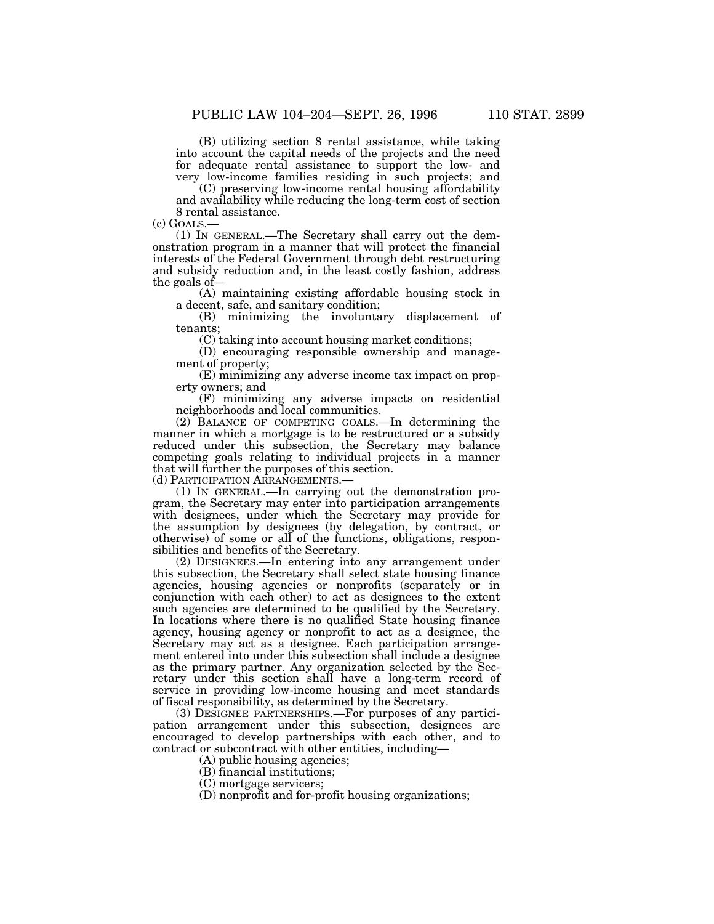(B) utilizing section 8 rental assistance, while taking into account the capital needs of the projects and the need for adequate rental assistance to support the low- and very low-income families residing in such projects; and

(C) preserving low-income rental housing affordability and availability while reducing the long-term cost of section 8 rental assistance.

(c) GOALS.—

(1) IN GENERAL.—The Secretary shall carry out the demonstration program in a manner that will protect the financial interests of the Federal Government through debt restructuring and subsidy reduction and, in the least costly fashion, address the goals of—

(A) maintaining existing affordable housing stock in a decent, safe, and sanitary condition;

(B) minimizing the involuntary displacement of tenants;

(C) taking into account housing market conditions;

(D) encouraging responsible ownership and management of property;

(E) minimizing any adverse income tax impact on property owners; and

(F) minimizing any adverse impacts on residential neighborhoods and local communities.

(2) BALANCE OF COMPETING GOALS.—In determining the manner in which a mortgage is to be restructured or a subsidy reduced under this subsection, the Secretary may balance competing goals relating to individual projects in a manner that will further the purposes of this section.

(d) PARTICIPATION ARRANGEMENTS.—

(1) IN GENERAL.—In carrying out the demonstration program, the Secretary may enter into participation arrangements with designees, under which the Secretary may provide for the assumption by designees (by delegation, by contract, or otherwise) of some or all of the functions, obligations, responsibilities and benefits of the Secretary.

(2) DESIGNEES.—In entering into any arrangement under this subsection, the Secretary shall select state housing finance agencies, housing agencies or nonprofits (separately or in conjunction with each other) to act as designees to the extent such agencies are determined to be qualified by the Secretary. In locations where there is no qualified State housing finance agency, housing agency or nonprofit to act as a designee, the Secretary may act as a designee. Each participation arrangement entered into under this subsection shall include a designee as the primary partner. Any organization selected by the Secretary under this section shall have a long-term record of service in providing low-income housing and meet standards of fiscal responsibility, as determined by the Secretary.

(3) DESIGNEE PARTNERSHIPS.—For purposes of any participation arrangement under this subsection, designees are encouraged to develop partnerships with each other, and to contract or subcontract with other entities, including—

(A) public housing agencies;

(B) financial institutions;

(C) mortgage servicers;

(D) nonprofit and for-profit housing organizations;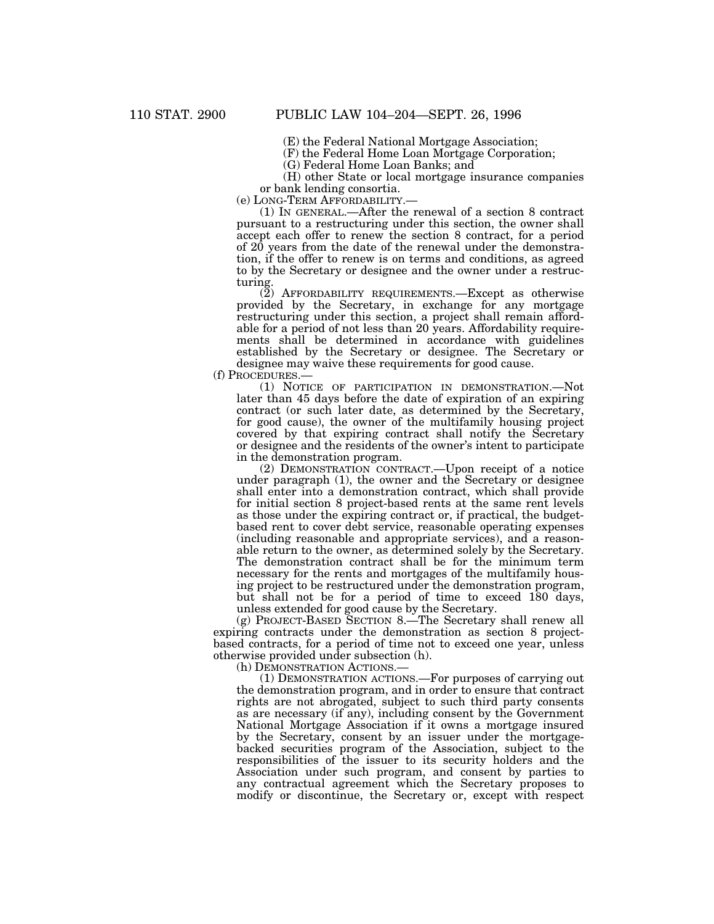(E) the Federal National Mortgage Association;

(F) the Federal Home Loan Mortgage Corporation;

(G) Federal Home Loan Banks; and

(H) other State or local mortgage insurance companies or bank lending consortia.

(e) LONG-TERM AFFORDABILITY.—

(1) IN GENERAL.—After the renewal of a section 8 contract pursuant to a restructuring under this section, the owner shall accept each offer to renew the section 8 contract, for a period of 20 years from the date of the renewal under the demonstration, if the offer to renew is on terms and conditions, as agreed to by the Secretary or designee and the owner under a restructuring.

(2) AFFORDABILITY REQUIREMENTS.—Except as otherwise provided by the Secretary, in exchange for any mortgage restructuring under this section, a project shall remain affordable for a period of not less than 20 years. Affordability requirements shall be determined in accordance with guidelines established by the Secretary or designee. The Secretary or designee may waive these requirements for good cause.

(f) PROCEDURES.—

(1) NOTICE OF PARTICIPATION IN DEMONSTRATION.—Not later than 45 days before the date of expiration of an expiring contract (or such later date, as determined by the Secretary, for good cause), the owner of the multifamily housing project covered by that expiring contract shall notify the Secretary or designee and the residents of the owner's intent to participate in the demonstration program.

(2) DEMONSTRATION CONTRACT.—Upon receipt of a notice under paragraph (1), the owner and the Secretary or designee shall enter into a demonstration contract, which shall provide for initial section 8 project-based rents at the same rent levels as those under the expiring contract or, if practical, the budgetbased rent to cover debt service, reasonable operating expenses (including reasonable and appropriate services), and a reasonable return to the owner, as determined solely by the Secretary. The demonstration contract shall be for the minimum term necessary for the rents and mortgages of the multifamily housing project to be restructured under the demonstration program, but shall not be for a period of time to exceed 180 days, unless extended for good cause by the Secretary.

(g) PROJECT-BASED SECTION 8.—The Secretary shall renew all expiring contracts under the demonstration as section 8 projectbased contracts, for a period of time not to exceed one year, unless otherwise provided under subsection (h).

(h) DEMONSTRATION ACTIONS.—

(1) DEMONSTRATION ACTIONS.—For purposes of carrying out the demonstration program, and in order to ensure that contract rights are not abrogated, subject to such third party consents as are necessary (if any), including consent by the Government National Mortgage Association if it owns a mortgage insured by the Secretary, consent by an issuer under the mortgagebacked securities program of the Association, subject to the responsibilities of the issuer to its security holders and the Association under such program, and consent by parties to any contractual agreement which the Secretary proposes to modify or discontinue, the Secretary or, except with respect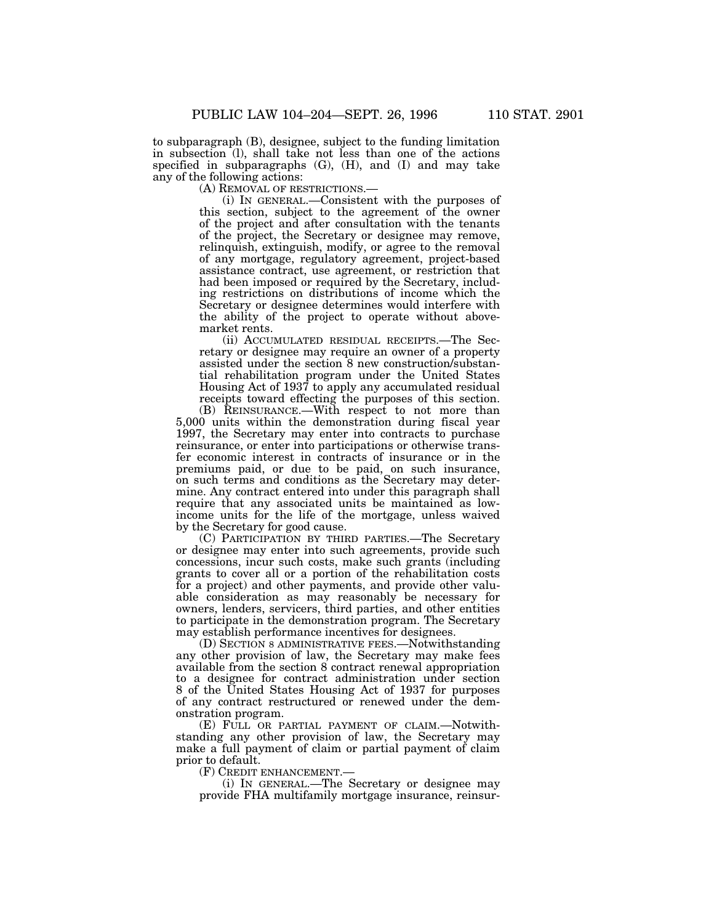to subparagraph (B), designee, subject to the funding limitation in subsection (l), shall take not less than one of the actions specified in subparagraphs (G), (H), and (I) and may take any of the following actions:

(A) REMOVAL OF RESTRICTIONS.—

(i) IN GENERAL.—Consistent with the purposes of this section, subject to the agreement of the owner of the project and after consultation with the tenants of the project, the Secretary or designee may remove, relinquish, extinguish, modify, or agree to the removal of any mortgage, regulatory agreement, project-based assistance contract, use agreement, or restriction that had been imposed or required by the Secretary, including restrictions on distributions of income which the Secretary or designee determines would interfere with the ability of the project to operate without abovemarket rents.

(ii) ACCUMULATED RESIDUAL RECEIPTS.—The Secretary or designee may require an owner of a property assisted under the section 8 new construction/substantial rehabilitation program under the United States Housing Act of 1937 to apply any accumulated residual receipts toward effecting the purposes of this section.

(B) REINSURANCE.—With respect to not more than 5,000 units within the demonstration during fiscal year 1997, the Secretary may enter into contracts to purchase reinsurance, or enter into participations or otherwise transfer economic interest in contracts of insurance or in the premiums paid, or due to be paid, on such insurance, on such terms and conditions as the Secretary may determine. Any contract entered into under this paragraph shall require that any associated units be maintained as lowincome units for the life of the mortgage, unless waived by the Secretary for good cause.

(C) PARTICIPATION BY THIRD PARTIES.—The Secretary or designee may enter into such agreements, provide such concessions, incur such costs, make such grants (including grants to cover all or a portion of the rehabilitation costs for a project) and other payments, and provide other valuable consideration as may reasonably be necessary for owners, lenders, servicers, third parties, and other entities to participate in the demonstration program. The Secretary may establish performance incentives for designees.

(D) SECTION 8 ADMINISTRATIVE FEES.—Notwithstanding any other provision of law, the Secretary may make fees available from the section 8 contract renewal appropriation to a designee for contract administration under section 8 of the United States Housing Act of 1937 for purposes of any contract restructured or renewed under the demonstration program.

(E) FULL OR PARTIAL PAYMENT OF CLAIM.—Notwithstanding any other provision of law, the Secretary may make a full payment of claim or partial payment of claim prior to default.

(F) CREDIT ENHANCEMENT.—

(i) IN GENERAL.—The Secretary or designee may provide FHA multifamily mortgage insurance, reinsur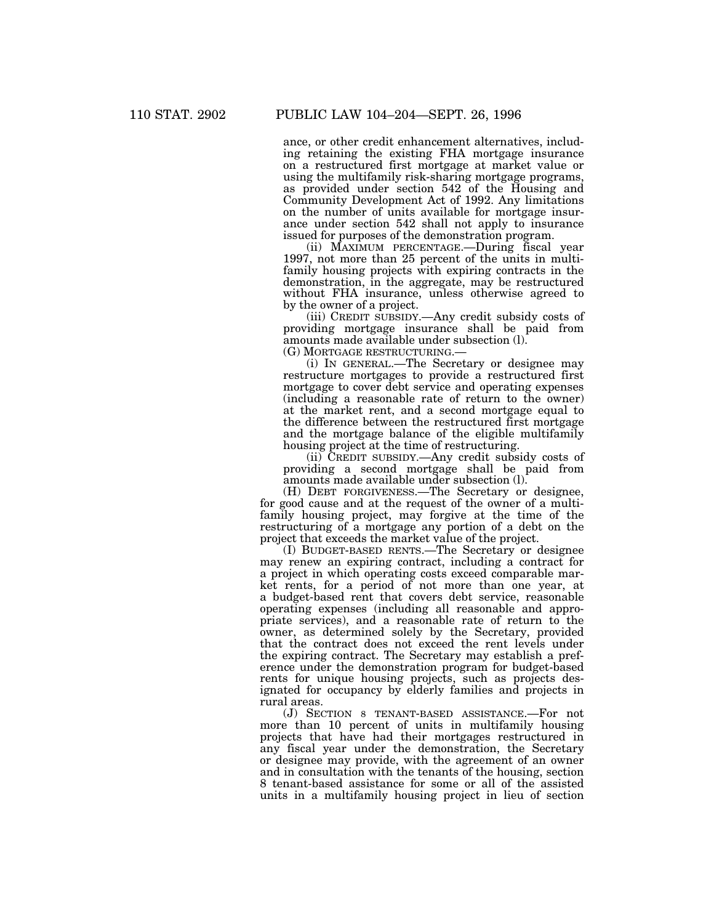ance, or other credit enhancement alternatives, including retaining the existing FHA mortgage insurance on a restructured first mortgage at market value or using the multifamily risk-sharing mortgage programs, as provided under section 542 of the Housing and Community Development Act of 1992. Any limitations on the number of units available for mortgage insurance under section 542 shall not apply to insurance issued for purposes of the demonstration program.

(ii) MAXIMUM PERCENTAGE.—During fiscal year 1997, not more than 25 percent of the units in multifamily housing projects with expiring contracts in the demonstration, in the aggregate, may be restructured without FHA insurance, unless otherwise agreed to by the owner of a project.

(iii) CREDIT SUBSIDY.—Any credit subsidy costs of providing mortgage insurance shall be paid from amounts made available under subsection (l).

(G) MORTGAGE RESTRUCTURING.—

(i) IN GENERAL.—The Secretary or designee may restructure mortgages to provide a restructured first mortgage to cover debt service and operating expenses (including a reasonable rate of return to the owner) at the market rent, and a second mortgage equal to the difference between the restructured first mortgage and the mortgage balance of the eligible multifamily housing project at the time of restructuring.

(ii) CREDIT SUBSIDY.—Any credit subsidy costs of providing a second mortgage shall be paid from amounts made available under subsection (l).

(H) DEBT FORGIVENESS.—The Secretary or designee, for good cause and at the request of the owner of a multifamily housing project, may forgive at the time of the restructuring of a mortgage any portion of a debt on the project that exceeds the market value of the project.

(I) BUDGET-BASED RENTS.—The Secretary or designee may renew an expiring contract, including a contract for a project in which operating costs exceed comparable market rents, for a period of not more than one year, at a budget-based rent that covers debt service, reasonable operating expenses (including all reasonable and appropriate services), and a reasonable rate of return to the owner, as determined solely by the Secretary, provided that the contract does not exceed the rent levels under the expiring contract. The Secretary may establish a preference under the demonstration program for budget-based rents for unique housing projects, such as projects designated for occupancy by elderly families and projects in rural areas.

(J) SECTION 8 TENANT-BASED ASSISTANCE.—For not more than 10 percent of units in multifamily housing projects that have had their mortgages restructured in any fiscal year under the demonstration, the Secretary or designee may provide, with the agreement of an owner and in consultation with the tenants of the housing, section 8 tenant-based assistance for some or all of the assisted units in a multifamily housing project in lieu of section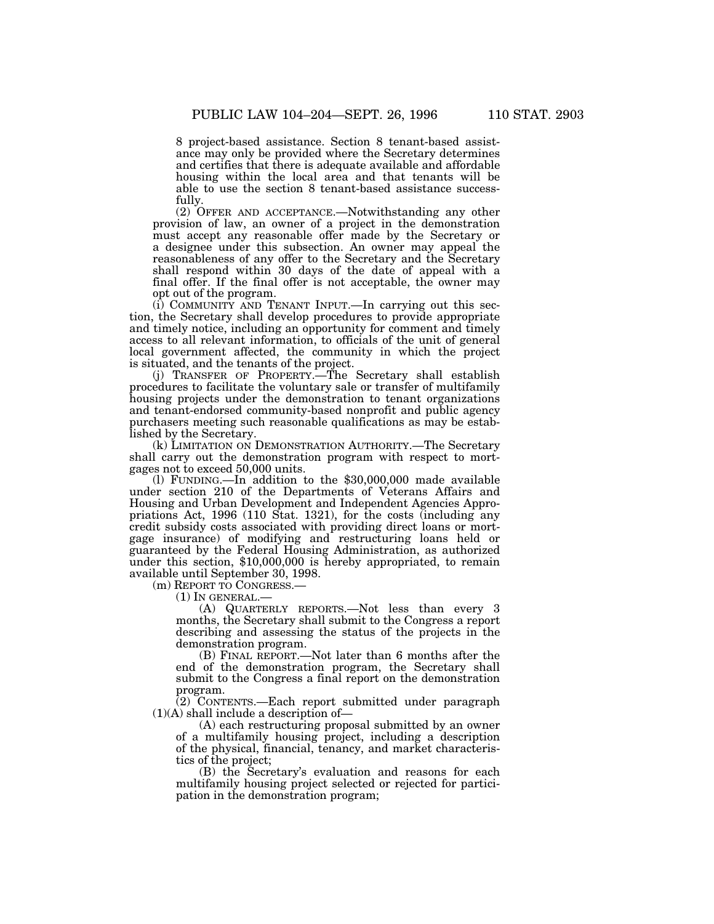8 project-based assistance. Section 8 tenant-based assistance may only be provided where the Secretary determines and certifies that there is adequate available and affordable housing within the local area and that tenants will be able to use the section 8 tenant-based assistance successfully.

(2) OFFER AND ACCEPTANCE.—Notwithstanding any other provision of law, an owner of a project in the demonstration must accept any reasonable offer made by the Secretary or a designee under this subsection. An owner may appeal the reasonableness of any offer to the Secretary and the Secretary shall respond within 30 days of the date of appeal with a final offer. If the final offer is not acceptable, the owner may opt out of the program.

(i) COMMUNITY AND TENANT INPUT.—In carrying out this section, the Secretary shall develop procedures to provide appropriate and timely notice, including an opportunity for comment and timely access to all relevant information, to officials of the unit of general local government affected, the community in which the project is situated, and the tenants of the project.

(j) TRANSFER OF PROPERTY.—The Secretary shall establish procedures to facilitate the voluntary sale or transfer of multifamily housing projects under the demonstration to tenant organizations and tenant-endorsed community-based nonprofit and public agency purchasers meeting such reasonable qualifications as may be established by the Secretary.

(k) LIMITATION ON DEMONSTRATION AUTHORITY.—The Secretary shall carry out the demonstration program with respect to mortgages not to exceed 50,000 units.

(l) FUNDING.—In addition to the \$30,000,000 made available under section 210 of the Departments of Veterans Affairs and Housing and Urban Development and Independent Agencies Appropriations Act, 1996 (110 Stat. 1321), for the costs (including any credit subsidy costs associated with providing direct loans or mortgage insurance) of modifying and restructuring loans held or guaranteed by the Federal Housing Administration, as authorized under this section, \$10,000,000 is hereby appropriated, to remain available until September 30, 1998.

(m) REPORT TO CONGRESS.—

(1) IN GENERAL.—

(A) QUARTERLY REPORTS.—Not less than every 3 months, the Secretary shall submit to the Congress a report describing and assessing the status of the projects in the demonstration program.

(B) FINAL REPORT.—Not later than 6 months after the end of the demonstration program, the Secretary shall submit to the Congress a final report on the demonstration program.

(2) CONTENTS.—Each report submitted under paragraph  $(1)(A)$  shall include a description of-

(A) each restructuring proposal submitted by an owner of a multifamily housing project, including a description of the physical, financial, tenancy, and market characteristics of the project;

(B) the Secretary's evaluation and reasons for each multifamily housing project selected or rejected for participation in the demonstration program;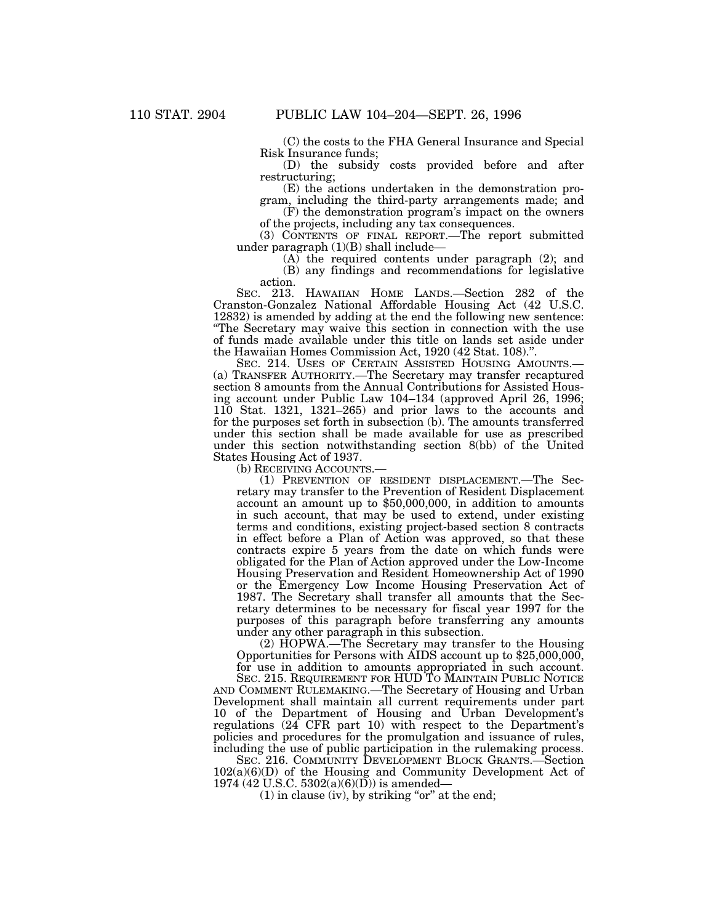(C) the costs to the FHA General Insurance and Special Risk Insurance funds;

(D) the subsidy costs provided before and after restructuring;

(E) the actions undertaken in the demonstration program, including the third-party arrangements made; and

(F) the demonstration program's impact on the owners of the projects, including any tax consequences.

(3) CONTENTS OF FINAL REPORT.—The report submitted under paragraph (1)(B) shall include—

(A) the required contents under paragraph (2); and (B) any findings and recommendations for legislative action.

SEC. 213. HAWAIIAN HOME LANDS.—Section 282 of the Cranston-Gonzalez National Affordable Housing Act (42 U.S.C. 12832) is amended by adding at the end the following new sentence: ''The Secretary may waive this section in connection with the use of funds made available under this title on lands set aside under the Hawaiian Homes Commission Act, 1920 (42 Stat. 108).''.

SEC. 214. USES OF CERTAIN ASSISTED HOUSING AMOUNTS.— (a) TRANSFER AUTHORITY.—The Secretary may transfer recaptured section 8 amounts from the Annual Contributions for Assisted Housing account under Public Law 104–134 (approved April 26, 1996; 110 Stat. 1321, 1321–265) and prior laws to the accounts and for the purposes set forth in subsection (b). The amounts transferred under this section shall be made available for use as prescribed under this section notwithstanding section 8(bb) of the United States Housing Act of 1937.

(b) RECEIVING ACCOUNTS.—

(1) PREVENTION OF RESIDENT DISPLACEMENT.—The Secretary may transfer to the Prevention of Resident Displacement account an amount up to \$50,000,000, in addition to amounts in such account, that may be used to extend, under existing terms and conditions, existing project-based section 8 contracts in effect before a Plan of Action was approved, so that these contracts expire 5 years from the date on which funds were obligated for the Plan of Action approved under the Low-Income Housing Preservation and Resident Homeownership Act of 1990 or the Emergency Low Income Housing Preservation Act of 1987. The Secretary shall transfer all amounts that the Secretary determines to be necessary for fiscal year 1997 for the purposes of this paragraph before transferring any amounts under any other paragraph in this subsection.

(2) HOPWA.—The Secretary may transfer to the Housing Opportunities for Persons with AIDS account up to \$25,000,000, for use in addition to amounts appropriated in such account.

SEC. 215. REQUIREMENT FOR HUD TO MAINTAIN PUBLIC NOTICE AND COMMENT RULEMAKING.—The Secretary of Housing and Urban Development shall maintain all current requirements under part 10 of the Department of Housing and Urban Development's regulations (24 CFR part 10) with respect to the Department's policies and procedures for the promulgation and issuance of rules, including the use of public participation in the rulemaking process.

SEC. 216. COMMUNITY DEVELOPMENT BLOCK GRANTS.—Section 102(a)(6)(D) of the Housing and Community Development Act of 1974 (42 U.S.C. 5302(a)(6)( $\overrightarrow{D}$ )) is amended—

 $(1)$  in clause (iv), by striking "or" at the end;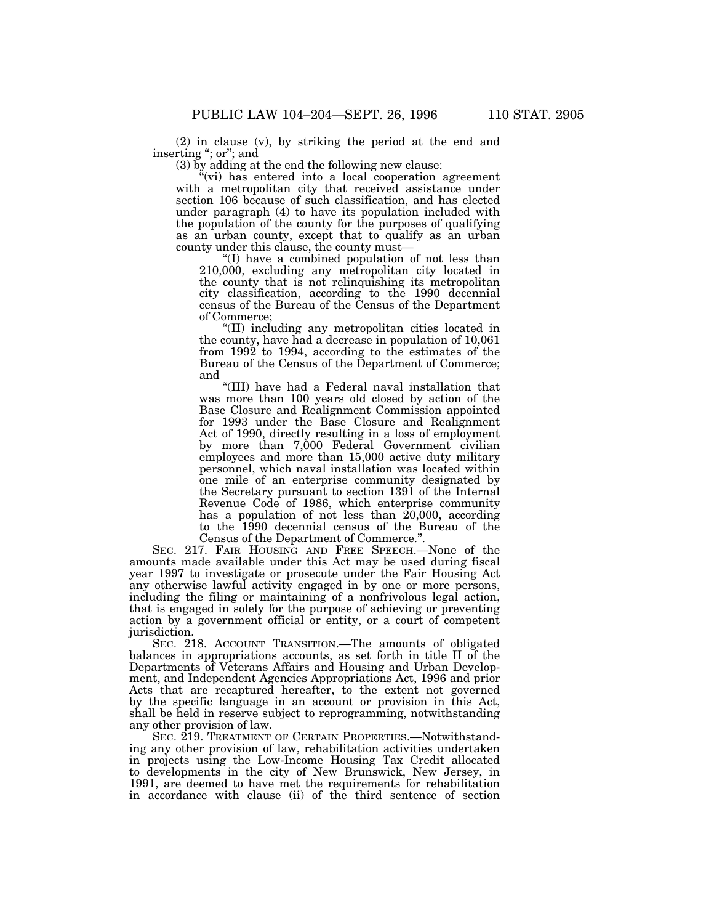(2) in clause (v), by striking the period at the end and inserting ''; or''; and

(3) by adding at the end the following new clause:

"(vi) has entered into a local cooperation agreement with a metropolitan city that received assistance under section 106 because of such classification, and has elected under paragraph (4) to have its population included with the population of the county for the purposes of qualifying as an urban county, except that to qualify as an urban county under this clause, the county must—

''(I) have a combined population of not less than 210,000, excluding any metropolitan city located in the county that is not relinquishing its metropolitan city classification, according to the 1990 decennial census of the Bureau of the Census of the Department of Commerce;

''(II) including any metropolitan cities located in the county, have had a decrease in population of 10,061 from 1992 to 1994, according to the estimates of the Bureau of the Census of the Department of Commerce; and

''(III) have had a Federal naval installation that was more than 100 years old closed by action of the Base Closure and Realignment Commission appointed for 1993 under the Base Closure and Realignment Act of 1990, directly resulting in a loss of employment by more than 7,000 Federal Government civilian employees and more than 15,000 active duty military personnel, which naval installation was located within one mile of an enterprise community designated by the Secretary pursuant to section 1391 of the Internal Revenue Code of 1986, which enterprise community has a population of not less than  $20,000$ , according to the 1990 decennial census of the Bureau of the Census of the Department of Commerce.''.

SEC. 217. FAIR HOUSING AND FREE SPEECH.—None of the amounts made available under this Act may be used during fiscal year 1997 to investigate or prosecute under the Fair Housing Act any otherwise lawful activity engaged in by one or more persons, including the filing or maintaining of a nonfrivolous legal action, that is engaged in solely for the purpose of achieving or preventing action by a government official or entity, or a court of competent jurisdiction.

SEC. 218. ACCOUNT TRANSITION.—The amounts of obligated balances in appropriations accounts, as set forth in title II of the Departments of Veterans Affairs and Housing and Urban Development, and Independent Agencies Appropriations Act, 1996 and prior Acts that are recaptured hereafter, to the extent not governed by the specific language in an account or provision in this Act, shall be held in reserve subject to reprogramming, notwithstanding any other provision of law.

SEC. 219. TREATMENT OF CERTAIN PROPERTIES.—Notwithstanding any other provision of law, rehabilitation activities undertaken in projects using the Low-Income Housing Tax Credit allocated to developments in the city of New Brunswick, New Jersey, in 1991, are deemed to have met the requirements for rehabilitation in accordance with clause (ii) of the third sentence of section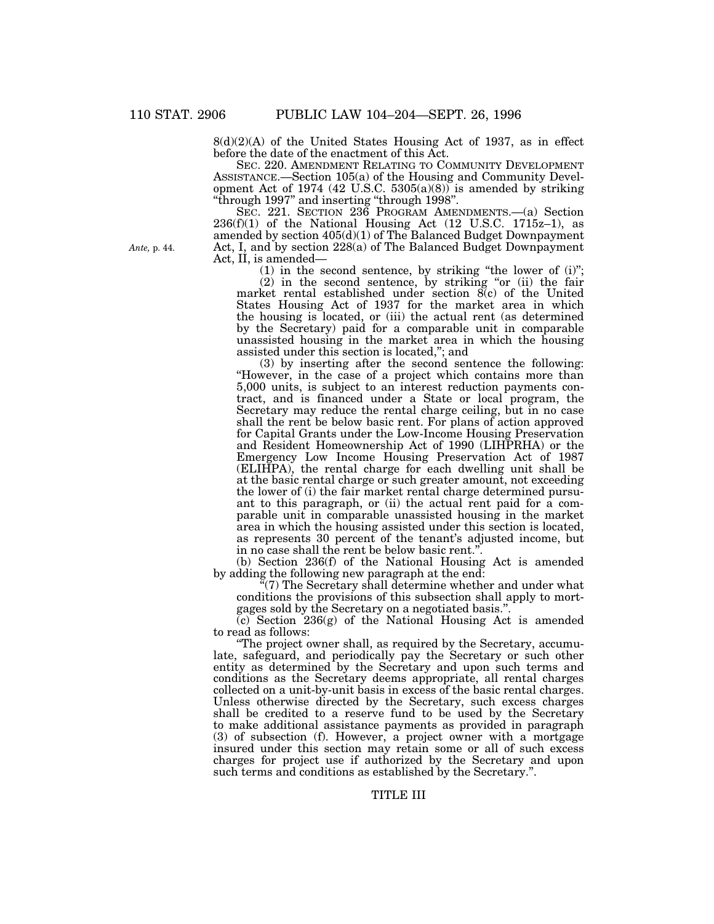8(d)(2)(A) of the United States Housing Act of 1937, as in effect before the date of the enactment of this Act.

SEC. 220. AMENDMENT RELATING TO COMMUNITY DEVELOPMENT ASSISTANCE.—Section 105(a) of the Housing and Community Development Act of 1974 (42 U.S.C. 5305(a)(8)) is amended by striking ''through 1997'' and inserting ''through 1998''.

SEC. 221. SECTION 236 PROGRAM AMENDMENTS.—(a) Section  $236(f)(1)$  of the National Housing Act  $(12 \text{ U.S.C. } 1715z-1)$ , as amended by section 405(d)(1) of The Balanced Budget Downpayment Act, I, and by section 228(a) of The Balanced Budget Downpayment Act, II, is amended—

(1) in the second sentence, by striking "the lower of  $(i)$ ";

(2) in the second sentence, by striking ''or (ii) the fair market rental established under section 8(c) of the United States Housing Act of 1937 for the market area in which the housing is located, or (iii) the actual rent (as determined by the Secretary) paid for a comparable unit in comparable unassisted housing in the market area in which the housing assisted under this section is located,''; and

(3) by inserting after the second sentence the following: ''However, in the case of a project which contains more than 5,000 units, is subject to an interest reduction payments contract, and is financed under a State or local program, the Secretary may reduce the rental charge ceiling, but in no case shall the rent be below basic rent. For plans of action approved for Capital Grants under the Low-Income Housing Preservation and Resident Homeownership Act of 1990 (LIHPRHA) or the Emergency Low Income Housing Preservation Act of 1987 (ELIHPA), the rental charge for each dwelling unit shall be at the basic rental charge or such greater amount, not exceeding the lower of (i) the fair market rental charge determined pursuant to this paragraph, or (ii) the actual rent paid for a comparable unit in comparable unassisted housing in the market area in which the housing assisted under this section is located, as represents 30 percent of the tenant's adjusted income, but in no case shall the rent be below basic rent.''.

(b) Section 236(f) of the National Housing Act is amended by adding the following new paragraph at the end:

"(7) The Secretary shall determine whether and under what conditions the provisions of this subsection shall apply to mortgages sold by the Secretary on a negotiated basis.''.

 $(c)$  Section 236 $(g)$  of the National Housing Act is amended to read as follows:

''The project owner shall, as required by the Secretary, accumulate, safeguard, and periodically pay the Secretary or such other entity as determined by the Secretary and upon such terms and conditions as the Secretary deems appropriate, all rental charges collected on a unit-by-unit basis in excess of the basic rental charges. Unless otherwise directed by the Secretary, such excess charges shall be credited to a reserve fund to be used by the Secretary to make additional assistance payments as provided in paragraph (3) of subsection (f). However, a project owner with a mortgage insured under this section may retain some or all of such excess charges for project use if authorized by the Secretary and upon such terms and conditions as established by the Secretary.''.

*Ante,* p. 44.

# TITLE III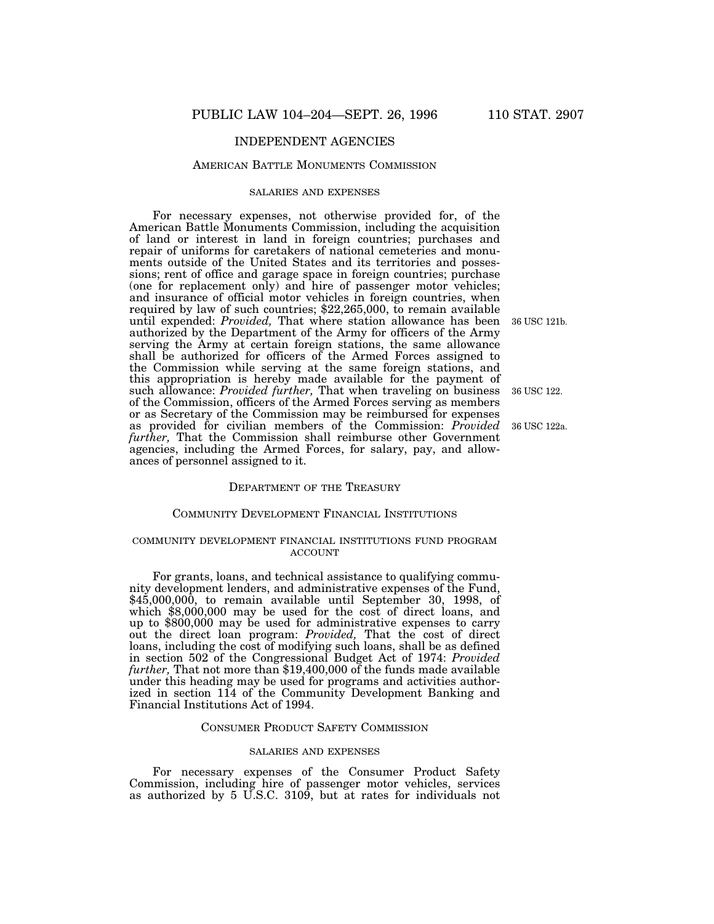#### AMERICAN BATTLE MONUMENTS COMMISSION

## SALARIES AND EXPENSES

For necessary expenses, not otherwise provided for, of the American Battle Monuments Commission, including the acquisition of land or interest in land in foreign countries; purchases and repair of uniforms for caretakers of national cemeteries and monuments outside of the United States and its territories and possessions; rent of office and garage space in foreign countries; purchase (one for replacement only) and hire of passenger motor vehicles; and insurance of official motor vehicles in foreign countries, when required by law of such countries; \$22,265,000, to remain available until expended: *Provided,* That where station allowance has been 36 USC 121b.authorized by the Department of the Army for officers of the Army serving the Army at certain foreign stations, the same allowance shall be authorized for officers of the Armed Forces assigned to the Commission while serving at the same foreign stations, and this appropriation is hereby made available for the payment of such allowance: *Provided further,* That when traveling on business of the Commission, officers of the Armed Forces serving as members or as Secretary of the Commission may be reimbursed for expenses as provided for civilian members of the Commission: *Provided further,* That the Commission shall reimburse other Government agencies, including the Armed Forces, for salary, pay, and allowances of personnel assigned to it.

# DEPARTMENT OF THE TREASURY

## COMMUNITY DEVELOPMENT FINANCIAL INSTITUTIONS

## COMMUNITY DEVELOPMENT FINANCIAL INSTITUTIONS FUND PROGRAM ACCOUNT

For grants, loans, and technical assistance to qualifying community development lenders, and administrative expenses of the Fund, \$45,000,000, to remain available until September 30, 1998, of which \$8,000,000 may be used for the cost of direct loans, and up to \$800,000 may be used for administrative expenses to carry out the direct loan program: *Provided,* That the cost of direct loans, including the cost of modifying such loans, shall be as defined in section 502 of the Congressional Budget Act of 1974: *Provided further,* That not more than \$19,400,000 of the funds made available under this heading may be used for programs and activities authorized in section 114 of the Community Development Banking and Financial Institutions Act of 1994.

#### CONSUMER PRODUCT SAFETY COMMISSION

#### SALARIES AND EXPENSES

For necessary expenses of the Consumer Product Safety Commission, including hire of passenger motor vehicles, services as authorized by 5 U.S.C. 3109, but at rates for individuals not

36 USC 122.

36 USC 122a.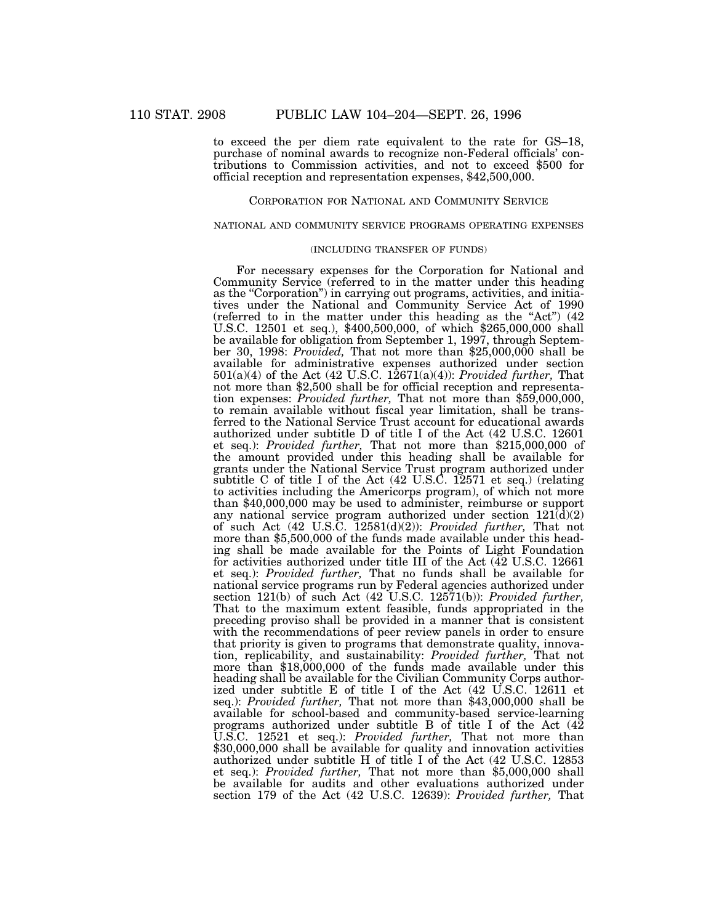to exceed the per diem rate equivalent to the rate for GS–18, purchase of nominal awards to recognize non-Federal officials' contributions to Commission activities, and not to exceed \$500 for official reception and representation expenses, \$42,500,000.

## CORPORATION FOR NATIONAL AND COMMUNITY SERVICE

## NATIONAL AND COMMUNITY SERVICE PROGRAMS OPERATING EXPENSES

## (INCLUDING TRANSFER OF FUNDS)

For necessary expenses for the Corporation for National and Community Service (referred to in the matter under this heading as the "Corporation") in carrying out programs, activities, and initiatives under the National and Community Service Act of 1990 (referred to in the matter under this heading as the "Act")  $(42)$ U.S.C. 12501 et seq.), \$400,500,000, of which \$265,000,000 shall be available for obligation from September 1, 1997, through September 30, 1998: *Provided,* That not more than \$25,000,000 shall be available for administrative expenses authorized under section 501(a)(4) of the Act (42 U.S.C. 12671(a)(4)): *Provided further,* That not more than \$2,500 shall be for official reception and representation expenses: *Provided further,* That not more than \$59,000,000, to remain available without fiscal year limitation, shall be transferred to the National Service Trust account for educational awards authorized under subtitle D of title I of the Act (42 U.S.C. 12601 et seq.): *Provided further,* That not more than \$215,000,000 of the amount provided under this heading shall be available for grants under the National Service Trust program authorized under subtitle C of title I of the Act (42 U.S.C. 12571 et seq.) (relating to activities including the Americorps program), of which not more than \$40,000,000 may be used to administer, reimburse or support any national service program authorized under section  $121(\overline{d})(2)$ of such Act (42 U.S.C. 12581(d)(2)): *Provided further,* That not more than \$5,500,000 of the funds made available under this heading shall be made available for the Points of Light Foundation for activities authorized under title III of the Act (42 U.S.C. 12661 et seq.): *Provided further,* That no funds shall be available for national service programs run by Federal agencies authorized under section 121(b) of such Act (42 U.S.C. 12571(b)): *Provided further,* That to the maximum extent feasible, funds appropriated in the preceding proviso shall be provided in a manner that is consistent with the recommendations of peer review panels in order to ensure that priority is given to programs that demonstrate quality, innovation, replicability, and sustainability: *Provided further,* That not more than \$18,000,000 of the funds made available under this heading shall be available for the Civilian Community Corps authorized under subtitle E of title I of the Act (42 U.S.C. 12611 et seq.): *Provided further,* That not more than \$43,000,000 shall be available for school-based and community-based service-learning programs authorized under subtitle B of title I of the Act (42 U.S.C. 12521 et seq.): *Provided further,* That not more than \$30,000,000 shall be available for quality and innovation activities authorized under subtitle H of title I of the Act (42 U.S.C. 12853 et seq.): *Provided further,* That not more than \$5,000,000 shall be available for audits and other evaluations authorized under section 179 of the Act (42 U.S.C. 12639): *Provided further,* That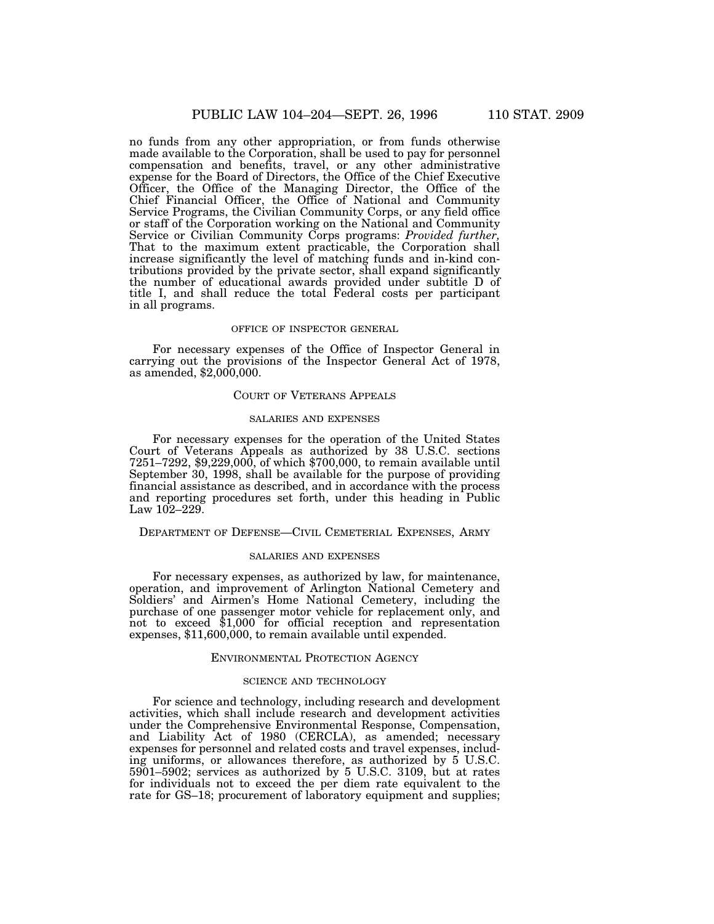no funds from any other appropriation, or from funds otherwise made available to the Corporation, shall be used to pay for personnel compensation and benefits, travel, or any other administrative expense for the Board of Directors, the Office of the Chief Executive Officer, the Office of the Managing Director, the Office of the Chief Financial Officer, the Office of National and Community Service Programs, the Civilian Community Corps, or any field office or staff of the Corporation working on the National and Community Service or Civilian Community Corps programs: *Provided further,* That to the maximum extent practicable, the Corporation shall increase significantly the level of matching funds and in-kind contributions provided by the private sector, shall expand significantly the number of educational awards provided under subtitle D of title I, and shall reduce the total Federal costs per participant in all programs.

#### OFFICE OF INSPECTOR GENERAL

For necessary expenses of the Office of Inspector General in carrying out the provisions of the Inspector General Act of 1978, as amended, \$2,000,000.

### COURT OF VETERANS APPEALS

### SALARIES AND EXPENSES

For necessary expenses for the operation of the United States Court of Veterans Appeals as authorized by 38 U.S.C. sections 7251–7292, \$9,229,000, of which \$700,000, to remain available until September 30, 1998, shall be available for the purpose of providing financial assistance as described, and in accordance with the process and reporting procedures set forth, under this heading in Public Law  $102 - 229$ .

### DEPARTMENT OF DEFENSE—CIVIL CEMETERIAL EXPENSES, ARMY

# SALARIES AND EXPENSES

For necessary expenses, as authorized by law, for maintenance, operation, and improvement of Arlington National Cemetery and Soldiers' and Airmen's Home National Cemetery, including the purchase of one passenger motor vehicle for replacement only, and not to exceed \$1,000 for official reception and representation expenses, \$11,600,000, to remain available until expended.

#### ENVIRONMENTAL PROTECTION AGENCY

## SCIENCE AND TECHNOLOGY

For science and technology, including research and development activities, which shall include research and development activities under the Comprehensive Environmental Response, Compensation, and Liability Act of 1980 (CERCLA), as amended; necessary expenses for personnel and related costs and travel expenses, including uniforms, or allowances therefore, as authorized by 5 U.S.C. 5901–5902; services as authorized by 5 U.S.C. 3109, but at rates for individuals not to exceed the per diem rate equivalent to the rate for GS–18; procurement of laboratory equipment and supplies;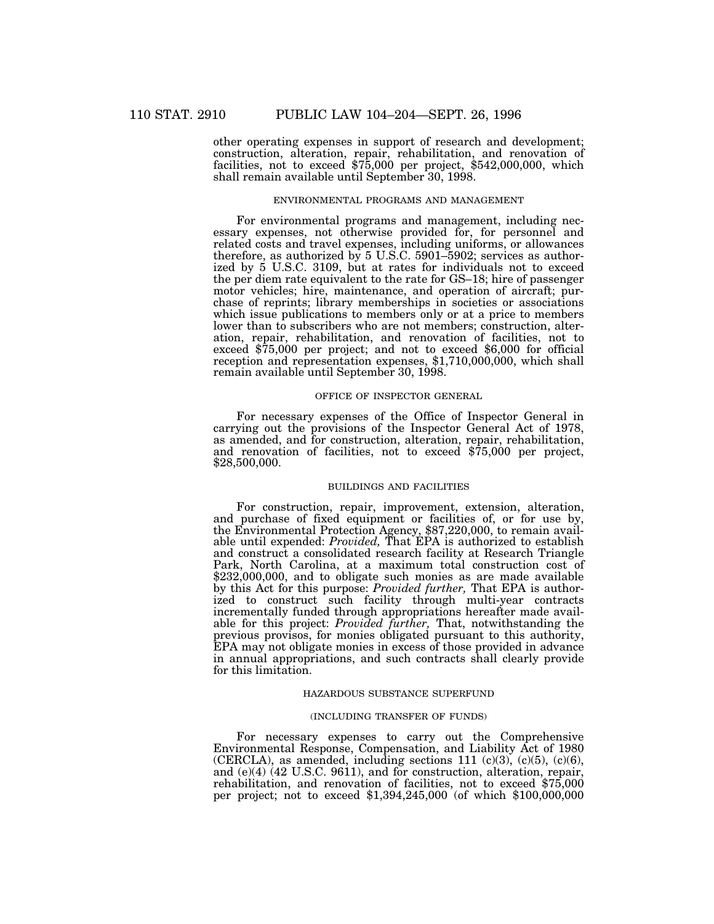other operating expenses in support of research and development; construction, alteration, repair, rehabilitation, and renovation of facilities, not to exceed \$75,000 per project, \$542,000,000, which shall remain available until September 30, 1998.

# ENVIRONMENTAL PROGRAMS AND MANAGEMENT

For environmental programs and management, including necessary expenses, not otherwise provided for, for personnel and related costs and travel expenses, including uniforms, or allowances therefore, as authorized by  $5 \text{ U.S.C. } 5901-5902$ ; services as authorized by 5 U.S.C. 3109, but at rates for individuals not to exceed the per diem rate equivalent to the rate for GS–18; hire of passenger motor vehicles; hire, maintenance, and operation of aircraft; purchase of reprints; library memberships in societies or associations which issue publications to members only or at a price to members lower than to subscribers who are not members; construction, alteration, repair, rehabilitation, and renovation of facilities, not to exceed \$75,000 per project; and not to exceed \$6,000 for official reception and representation expenses, \$1,710,000,000, which shall remain available until September 30, 1998.

## OFFICE OF INSPECTOR GENERAL

For necessary expenses of the Office of Inspector General in carrying out the provisions of the Inspector General Act of 1978, as amended, and for construction, alteration, repair, rehabilitation, and renovation of facilities, not to exceed \$75,000 per project, \$28,500,000.

#### BUILDINGS AND FACILITIES

For construction, repair, improvement, extension, alteration, and purchase of fixed equipment or facilities of, or for use by, the Environmental Protection Agency, \$87,220,000, to remain available until expended: *Provided,* That EPA is authorized to establish and construct a consolidated research facility at Research Triangle Park, North Carolina, at a maximum total construction cost of \$232,000,000, and to obligate such monies as are made available by this Act for this purpose: *Provided further,* That EPA is authorized to construct such facility through multi-year contracts incrementally funded through appropriations hereafter made available for this project: *Provided further,* That, notwithstanding the previous provisos, for monies obligated pursuant to this authority, EPA may not obligate monies in excess of those provided in advance in annual appropriations, and such contracts shall clearly provide for this limitation.

## HAZARDOUS SUBSTANCE SUPERFUND

#### (INCLUDING TRANSFER OF FUNDS)

For necessary expenses to carry out the Comprehensive Environmental Response, Compensation, and Liability Act of 1980 (CERCLA), as amended, including sections 111 (c)(3), (c)(5), (c)(6), and (e)(4) (42 U.S.C. 9611), and for construction, alteration, repair, rehabilitation, and renovation of facilities, not to exceed \$75,000 per project; not to exceed \$1,394,245,000 (of which \$100,000,000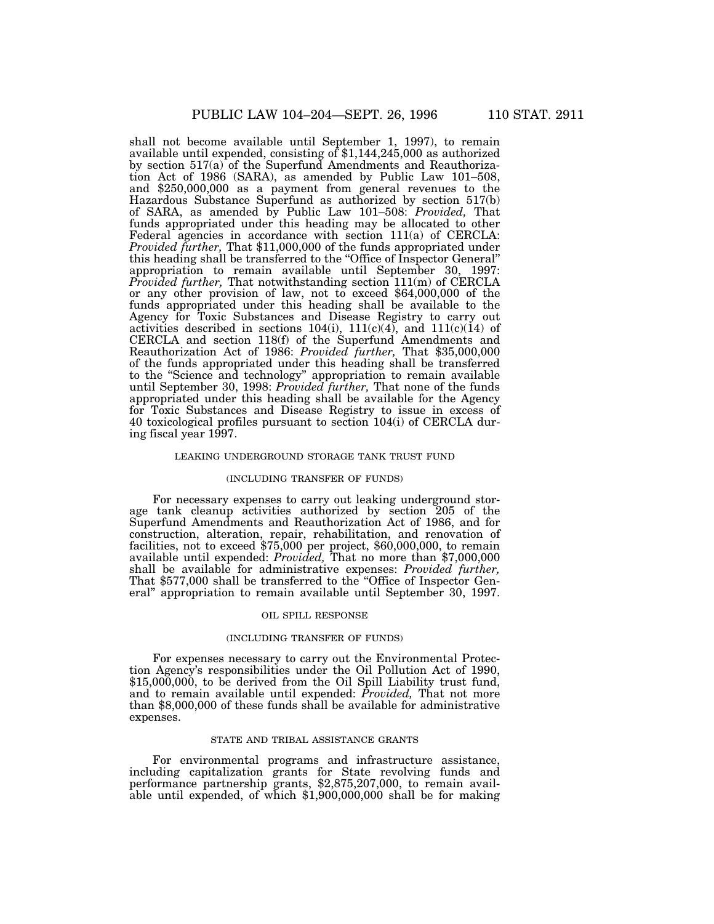shall not become available until September 1, 1997), to remain available until expended, consisting of \$1,144,245,000 as authorized by section 517(a) of the Superfund Amendments and Reauthorization Act of 1986 (SARA), as amended by Public Law 101–508, and \$250,000,000 as a payment from general revenues to the Hazardous Substance Superfund as authorized by section 517(b) of SARA, as amended by Public Law 101–508: *Provided,* That funds appropriated under this heading may be allocated to other Federal agencies in accordance with section 111(a) of CERCLA: *Provided further,* That \$11,000,000 of the funds appropriated under this heading shall be transferred to the ''Office of Inspector General'' appropriation to remain available until September 30, 1997: *Provided further,* That notwithstanding section 111(m) of CERCLA or any other provision of law, not to exceed \$64,000,000 of the funds appropriated under this heading shall be available to the Agency for Toxic Substances and Disease Registry to carry out activities described in sections  $104(i)$ ,  $111(c)(4)$ , and  $111(c)(14)$  of CERCLA and section 118(f) of the Superfund Amendments and Reauthorization Act of 1986: *Provided further,* That \$35,000,000 of the funds appropriated under this heading shall be transferred to the ''Science and technology'' appropriation to remain available until September 30, 1998: *Provided further,* That none of the funds appropriated under this heading shall be available for the Agency for Toxic Substances and Disease Registry to issue in excess of 40 toxicological profiles pursuant to section 104(i) of CERCLA during fiscal year 1997.

### LEAKING UNDERGROUND STORAGE TANK TRUST FUND

#### (INCLUDING TRANSFER OF FUNDS)

For necessary expenses to carry out leaking underground storage tank cleanup activities authorized by section 205 of the Superfund Amendments and Reauthorization Act of 1986, and for construction, alteration, repair, rehabilitation, and renovation of facilities, not to exceed \$75,000 per project, \$60,000,000, to remain available until expended: *Provided,* That no more than \$7,000,000 shall be available for administrative expenses: *Provided further*, That \$577,000 shall be transferred to the "Office of Inspector General'' appropriation to remain available until September 30, 1997.

#### OIL SPILL RESPONSE

#### (INCLUDING TRANSFER OF FUNDS)

For expenses necessary to carry out the Environmental Protection Agency's responsibilities under the Oil Pollution Act of 1990, \$15,000,000, to be derived from the Oil Spill Liability trust fund, and to remain available until expended: *Provided,* That not more than \$8,000,000 of these funds shall be available for administrative expenses.

### STATE AND TRIBAL ASSISTANCE GRANTS

For environmental programs and infrastructure assistance, including capitalization grants for State revolving funds and performance partnership grants, \$2,875,207,000, to remain available until expended, of which \$1,900,000,000 shall be for making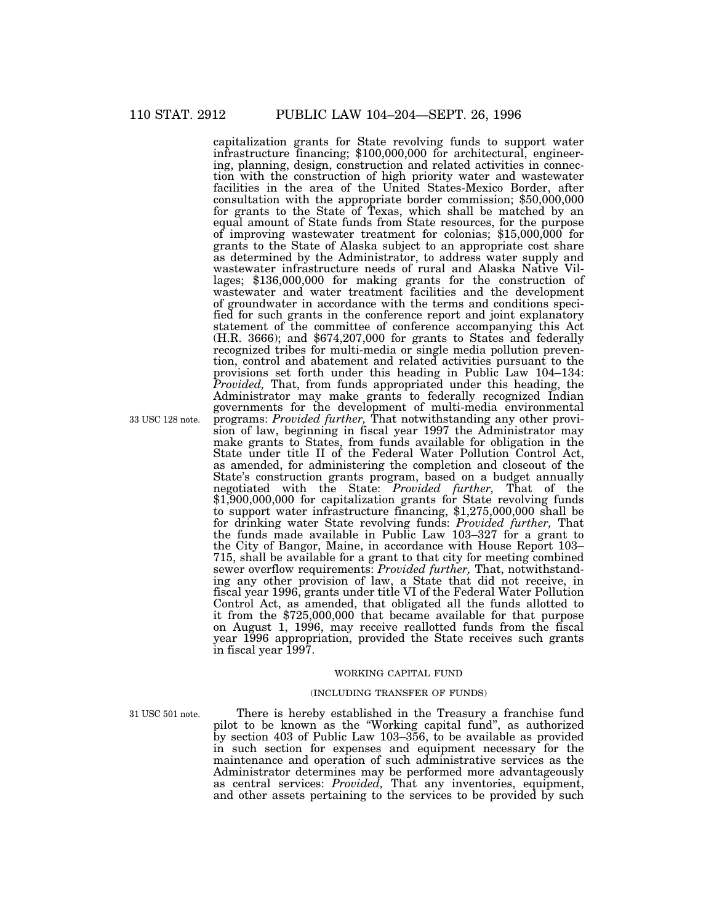capitalization grants for State revolving funds to support water infrastructure financing; \$100,000,000 for architectural, engineering, planning, design, construction and related activities in connection with the construction of high priority water and wastewater facilities in the area of the United States-Mexico Border, after consultation with the appropriate border commission; \$50,000,000 for grants to the State of Texas, which shall be matched by an equal amount of State funds from State resources, for the purpose of improving wastewater treatment for colonias; \$15,000,000 for grants to the State of Alaska subject to an appropriate cost share as determined by the Administrator, to address water supply and wastewater infrastructure needs of rural and Alaska Native Villages; \$136,000,000 for making grants for the construction of wastewater and water treatment facilities and the development of groundwater in accordance with the terms and conditions specified for such grants in the conference report and joint explanatory statement of the committee of conference accompanying this Act (H.R. 3666); and \$674,207,000 for grants to States and federally recognized tribes for multi-media or single media pollution prevention, control and abatement and related activities pursuant to the provisions set forth under this heading in Public Law 104–134: *Provided,* That, from funds appropriated under this heading, the Administrator may make grants to federally recognized Indian governments for the development of multi-media environmental programs: *Provided further,* That notwithstanding any other provision of law, beginning in fiscal year 1997 the Administrator may make grants to States, from funds available for obligation in the State under title II of the Federal Water Pollution Control Act, as amended, for administering the completion and closeout of the State's construction grants program, based on a budget annually negotiated with the State: *Provided further,* That of the \$1,900,000,000 for capitalization grants for State revolving funds to support water infrastructure financing, \$1,275,000,000 shall be for drinking water State revolving funds: *Provided further,* That the funds made available in Public Law 103–327 for a grant to the City of Bangor, Maine, in accordance with House Report 103– 715, shall be available for a grant to that city for meeting combined sewer overflow requirements: *Provided further,* That, notwithstanding any other provision of law, a State that did not receive, in fiscal year 1996, grants under title VI of the Federal Water Pollution Control Act, as amended, that obligated all the funds allotted to it from the \$725,000,000 that became available for that purpose on August 1, 1996, may receive reallotted funds from the fiscal year 1996 appropriation, provided the State receives such grants in fiscal year 1997.

#### WORKING CAPITAL FUND

### (INCLUDING TRANSFER OF FUNDS)

31 USC 501 note.

There is hereby established in the Treasury a franchise fund pilot to be known as the ''Working capital fund'', as authorized by section 403 of Public Law 103–356, to be available as provided in such section for expenses and equipment necessary for the maintenance and operation of such administrative services as the Administrator determines may be performed more advantageously as central services: *Provided,* That any inventories, equipment, and other assets pertaining to the services to be provided by such

33 USC 128 note.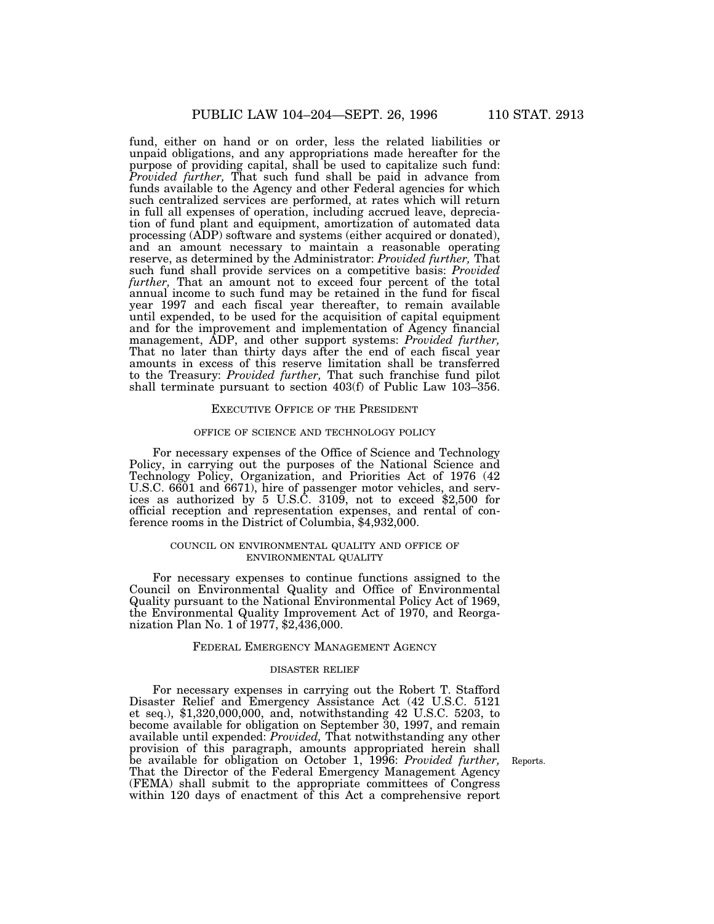fund, either on hand or on order, less the related liabilities or unpaid obligations, and any appropriations made hereafter for the purpose of providing capital, shall be used to capitalize such fund: *Provided further*, That such fund shall be paid in advance from funds available to the Agency and other Federal agencies for which such centralized services are performed, at rates which will return in full all expenses of operation, including accrued leave, depreciation of fund plant and equipment, amortization of automated data processing (ADP) software and systems (either acquired or donated), and an amount necessary to maintain a reasonable operating reserve, as determined by the Administrator: *Provided further,* That such fund shall provide services on a competitive basis: *Provided further,* That an amount not to exceed four percent of the total annual income to such fund may be retained in the fund for fiscal year 1997 and each fiscal year thereafter, to remain available until expended, to be used for the acquisition of capital equipment and for the improvement and implementation of Agency financial management, ADP, and other support systems: *Provided further,* That no later than thirty days after the end of each fiscal year amounts in excess of this reserve limitation shall be transferred to the Treasury: *Provided further,* That such franchise fund pilot shall terminate pursuant to section 403(f) of Public Law 103–356.

#### EXECUTIVE OFFICE OF THE PRESIDENT

#### OFFICE OF SCIENCE AND TECHNOLOGY POLICY

For necessary expenses of the Office of Science and Technology Policy, in carrying out the purposes of the National Science and Technology Policy, Organization, and Priorities Act of 1976 (42 U.S.C. 6601 and 6671), hire of passenger motor vehicles, and services as authorized by 5 U.S.C. 3109, not to exceed \$2,500 for official reception and representation expenses, and rental of conference rooms in the District of Columbia, \$4,932,000.

### COUNCIL ON ENVIRONMENTAL QUALITY AND OFFICE OF ENVIRONMENTAL QUALITY

For necessary expenses to continue functions assigned to the Council on Environmental Quality and Office of Environmental Quality pursuant to the National Environmental Policy Act of 1969, the Environmental Quality Improvement Act of 1970, and Reorganization Plan No. 1 of 1977, \$2,436,000.

#### FEDERAL EMERGENCY MANAGEMENT AGENCY

#### DISASTER RELIEF

For necessary expenses in carrying out the Robert T. Stafford Disaster Relief and Emergency Assistance Act (42 U.S.C. 5121 et seq.), \$1,320,000,000, and, notwithstanding 42 U.S.C. 5203, to become available for obligation on September 30, 1997, and remain available until expended: *Provided,* That notwithstanding any other provision of this paragraph, amounts appropriated herein shall be available for obligation on October 1, 1996: *Provided further,* That the Director of the Federal Emergency Management Agency (FEMA) shall submit to the appropriate committees of Congress within 120 days of enactment of this Act a comprehensive report

Reports.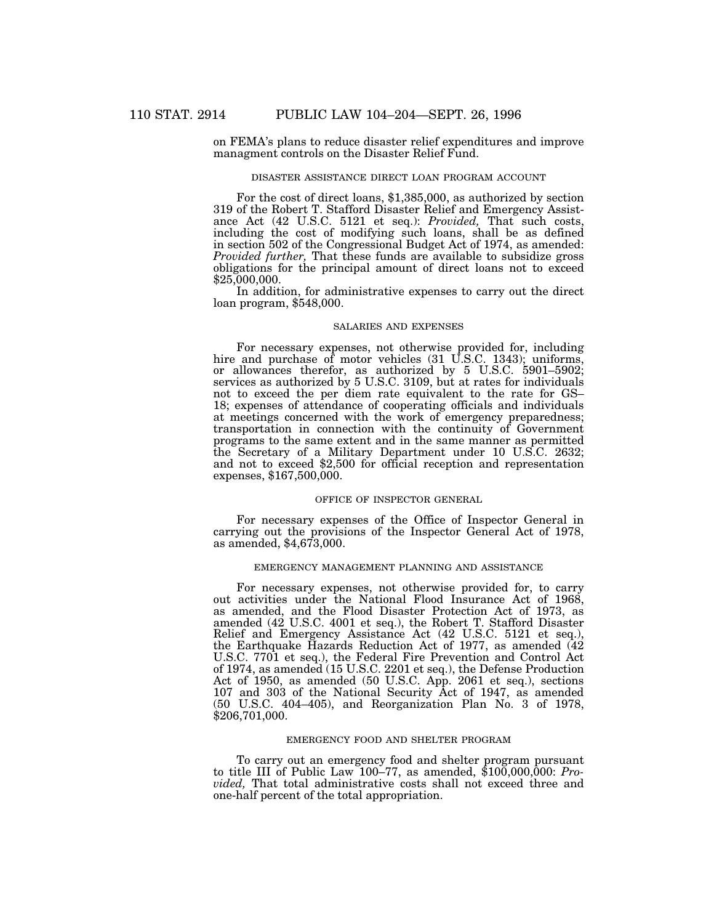on FEMA's plans to reduce disaster relief expenditures and improve managment controls on the Disaster Relief Fund.

#### DISASTER ASSISTANCE DIRECT LOAN PROGRAM ACCOUNT

For the cost of direct loans, \$1,385,000, as authorized by section 319 of the Robert T. Stafford Disaster Relief and Emergency Assistance Act (42 U.S.C. 5121 et seq.): *Provided,* That such costs, including the cost of modifying such loans, shall be as defined in section 502 of the Congressional Budget Act of 1974, as amended: *Provided further,* That these funds are available to subsidize gross obligations for the principal amount of direct loans not to exceed \$25,000,000.

In addition, for administrative expenses to carry out the direct loan program, \$548,000.

### SALARIES AND EXPENSES

For necessary expenses, not otherwise provided for, including hire and purchase of motor vehicles (31 U.S.C. 1343); uniforms, or allowances therefor, as authorized by 5 U.S.C. 5901–5902; services as authorized by 5 U.S.C. 3109, but at rates for individuals not to exceed the per diem rate equivalent to the rate for GS– 18; expenses of attendance of cooperating officials and individuals at meetings concerned with the work of emergency preparedness; transportation in connection with the continuity of Government programs to the same extent and in the same manner as permitted the Secretary of a Military Department under 10 U.S.C. 2632; and not to exceed \$2,500 for official reception and representation expenses, \$167,500,000.

### OFFICE OF INSPECTOR GENERAL

For necessary expenses of the Office of Inspector General in carrying out the provisions of the Inspector General Act of 1978, as amended, \$4,673,000.

## EMERGENCY MANAGEMENT PLANNING AND ASSISTANCE

For necessary expenses, not otherwise provided for, to carry out activities under the National Flood Insurance Act of 1968, as amended, and the Flood Disaster Protection Act of 1973, as amended (42 U.S.C. 4001 et seq.), the Robert T. Stafford Disaster Relief and Emergency Assistance Act (42 U.S.C. 5121 et seq.), the Earthquake Hazards Reduction Act of 1977, as amended (42 U.S.C. 7701 et seq.), the Federal Fire Prevention and Control Act of 1974, as amended (15 U.S.C. 2201 et seq.), the Defense Production Act of 1950, as amended (50 U.S.C. App. 2061 et seq.), sections 107 and 303 of the National Security Act of 1947, as amended (50 U.S.C. 404–405), and Reorganization Plan No. 3 of 1978, \$206,701,000.

### EMERGENCY FOOD AND SHELTER PROGRAM

To carry out an emergency food and shelter program pursuant to title III of Public Law 100–77, as amended, \$100,000,000: *Provided,* That total administrative costs shall not exceed three and one-half percent of the total appropriation.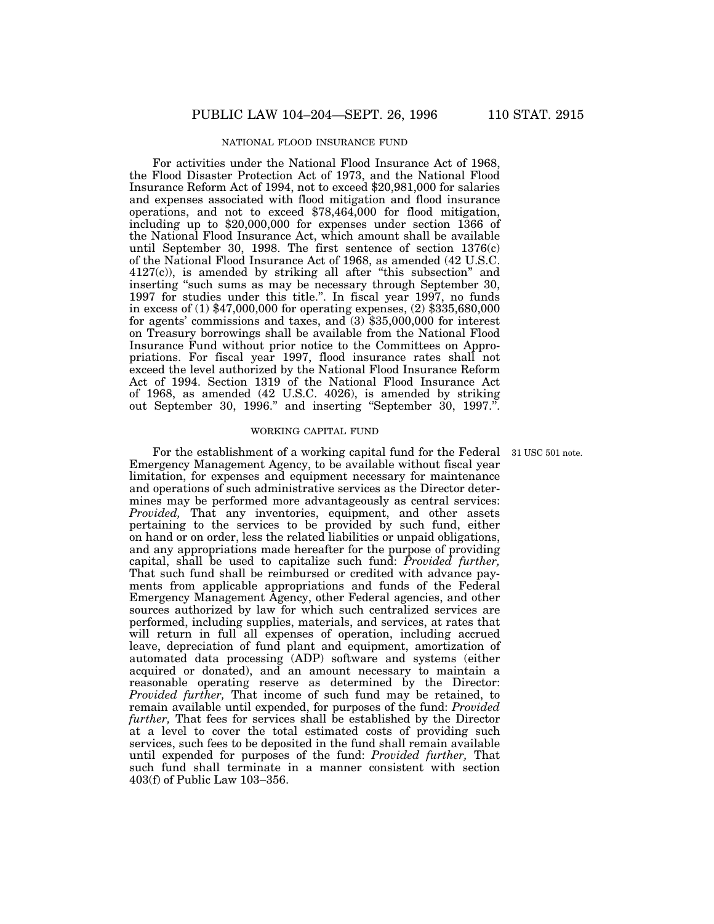# NATIONAL FLOOD INSURANCE FUND

For activities under the National Flood Insurance Act of 1968, the Flood Disaster Protection Act of 1973, and the National Flood Insurance Reform Act of 1994, not to exceed \$20,981,000 for salaries and expenses associated with flood mitigation and flood insurance operations, and not to exceed \$78,464,000 for flood mitigation, including up to \$20,000,000 for expenses under section 1366 of the National Flood Insurance Act, which amount shall be available until September 30, 1998. The first sentence of section 1376(c) of the National Flood Insurance Act of 1968, as amended (42 U.S.C.  $4127(c)$ , is amended by striking all after "this subsection" and inserting "such sums as may be necessary through September 30, 1997 for studies under this title.''. In fiscal year 1997, no funds in excess of (1) \$47,000,000 for operating expenses, (2) \$335,680,000 for agents' commissions and taxes, and (3) \$35,000,000 for interest on Treasury borrowings shall be available from the National Flood Insurance Fund without prior notice to the Committees on Appropriations. For fiscal year 1997, flood insurance rates shall not exceed the level authorized by the National Flood Insurance Reform Act of 1994. Section 1319 of the National Flood Insurance Act of 1968, as amended (42 U.S.C. 4026), is amended by striking out September 30, 1996.'' and inserting ''September 30, 1997.''.

### WORKING CAPITAL FUND

For the establishment of a working capital fund for the Federal 31 USC 501 note. Emergency Management Agency, to be available without fiscal year limitation, for expenses and equipment necessary for maintenance and operations of such administrative services as the Director determines may be performed more advantageously as central services: *Provided,* That any inventories, equipment, and other assets pertaining to the services to be provided by such fund, either on hand or on order, less the related liabilities or unpaid obligations, and any appropriations made hereafter for the purpose of providing capital, shall be used to capitalize such fund: *Provided further,* That such fund shall be reimbursed or credited with advance payments from applicable appropriations and funds of the Federal Emergency Management Agency, other Federal agencies, and other sources authorized by law for which such centralized services are performed, including supplies, materials, and services, at rates that will return in full all expenses of operation, including accrued leave, depreciation of fund plant and equipment, amortization of automated data processing (ADP) software and systems (either acquired or donated), and an amount necessary to maintain a reasonable operating reserve as determined by the Director: *Provided further,* That income of such fund may be retained, to remain available until expended, for purposes of the fund: *Provided further,* That fees for services shall be established by the Director at a level to cover the total estimated costs of providing such services, such fees to be deposited in the fund shall remain available until expended for purposes of the fund: *Provided further,* That such fund shall terminate in a manner consistent with section 403(f) of Public Law 103–356.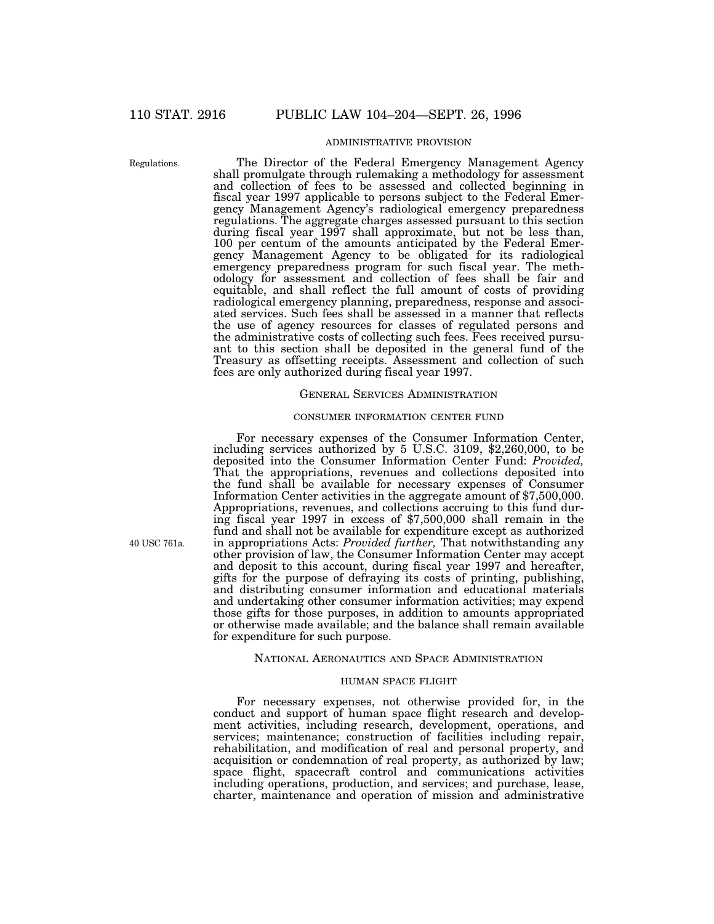# ADMINISTRATIVE PROVISION

Regulations.

The Director of the Federal Emergency Management Agency shall promulgate through rulemaking a methodology for assessment and collection of fees to be assessed and collected beginning in fiscal year 1997 applicable to persons subject to the Federal Emergency Management Agency's radiological emergency preparedness regulations. The aggregate charges assessed pursuant to this section during fiscal year 1997 shall approximate, but not be less than, 100 per centum of the amounts anticipated by the Federal Emergency Management Agency to be obligated for its radiological emergency preparedness program for such fiscal year. The methodology for assessment and collection of fees shall be fair and equitable, and shall reflect the full amount of costs of providing radiological emergency planning, preparedness, response and associated services. Such fees shall be assessed in a manner that reflects the use of agency resources for classes of regulated persons and the administrative costs of collecting such fees. Fees received pursuant to this section shall be deposited in the general fund of the Treasury as offsetting receipts. Assessment and collection of such fees are only authorized during fiscal year 1997.

# GENERAL SERVICES ADMINISTRATION

# CONSUMER INFORMATION CENTER FUND

For necessary expenses of the Consumer Information Center, including services authorized by 5 U.S.C. 3109, \$2,260,000, to be deposited into the Consumer Information Center Fund: *Provided,* That the appropriations, revenues and collections deposited into the fund shall be available for necessary expenses of Consumer Information Center activities in the aggregate amount of \$7,500,000. Appropriations, revenues, and collections accruing to this fund during fiscal year 1997 in excess of \$7,500,000 shall remain in the fund and shall not be available for expenditure except as authorized in appropriations Acts: *Provided further,* That notwithstanding any other provision of law, the Consumer Information Center may accept and deposit to this account, during fiscal year 1997 and hereafter, gifts for the purpose of defraying its costs of printing, publishing, and distributing consumer information and educational materials and undertaking other consumer information activities; may expend those gifts for those purposes, in addition to amounts appropriated or otherwise made available; and the balance shall remain available for expenditure for such purpose.

#### NATIONAL AERONAUTICS AND SPACE ADMINISTRATION

### HUMAN SPACE FLIGHT

For necessary expenses, not otherwise provided for, in the conduct and support of human space flight research and development activities, including research, development, operations, and services; maintenance; construction of facilities including repair, rehabilitation, and modification of real and personal property, and acquisition or condemnation of real property, as authorized by law; space flight, spacecraft control and communications activities including operations, production, and services; and purchase, lease, charter, maintenance and operation of mission and administrative

40 USC 761a.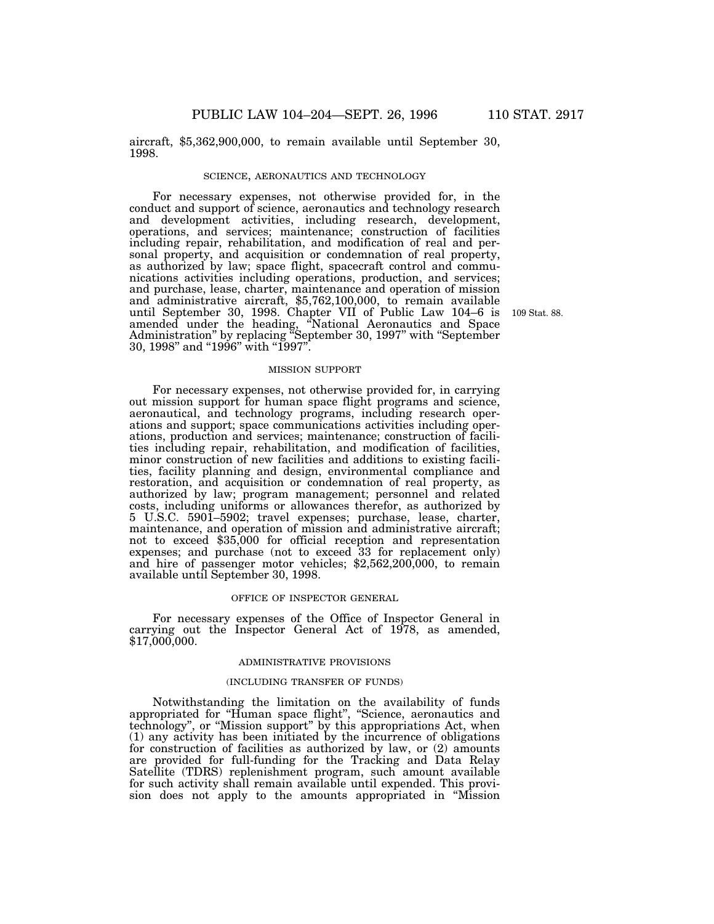aircraft, \$5,362,900,000, to remain available until September 30, 1998.

#### SCIENCE, AERONAUTICS AND TECHNOLOGY

For necessary expenses, not otherwise provided for, in the conduct and support of science, aeronautics and technology research and development activities, including research, development, operations, and services; maintenance; construction of facilities including repair, rehabilitation, and modification of real and personal property, and acquisition or condemnation of real property, as authorized by law; space flight, spacecraft control and communications activities including operations, production, and services; and purchase, lease, charter, maintenance and operation of mission and administrative aircraft, \$5,762,100,000, to remain available until September 30, 1998. Chapter VII of Public Law 104–6 is amended under the heading, ''National Aeronautics and Space Administration'' by replacing ''September 30, 1997'' with ''September 30, 1998'' and ''1996'' with ''1997''.

109 Stat. 88.

#### MISSION SUPPORT

For necessary expenses, not otherwise provided for, in carrying out mission support for human space flight programs and science, aeronautical, and technology programs, including research operations and support; space communications activities including operations, production and services; maintenance; construction of facilities including repair, rehabilitation, and modification of facilities, minor construction of new facilities and additions to existing facilities, facility planning and design, environmental compliance and restoration, and acquisition or condemnation of real property, as authorized by law; program management; personnel and related costs, including uniforms or allowances therefor, as authorized by 5 U.S.C. 5901–5902; travel expenses; purchase, lease, charter, maintenance, and operation of mission and administrative aircraft; not to exceed \$35,000 for official reception and representation expenses; and purchase (not to exceed 33 for replacement only) and hire of passenger motor vehicles; \$2,562,200,000, to remain available until September 30, 1998.

### OFFICE OF INSPECTOR GENERAL

For necessary expenses of the Office of Inspector General in carrying out the Inspector General Act of 1978, as amended, \$17,000,000.

#### ADMINISTRATIVE PROVISIONS

# (INCLUDING TRANSFER OF FUNDS)

Notwithstanding the limitation on the availability of funds appropriated for ''Human space flight'', ''Science, aeronautics and technology'', or ''Mission support'' by this appropriations Act, when (1) any activity has been initiated by the incurrence of obligations for construction of facilities as authorized by law, or (2) amounts are provided for full-funding for the Tracking and Data Relay Satellite (TDRS) replenishment program, such amount available for such activity shall remain available until expended. This provision does not apply to the amounts appropriated in ''Mission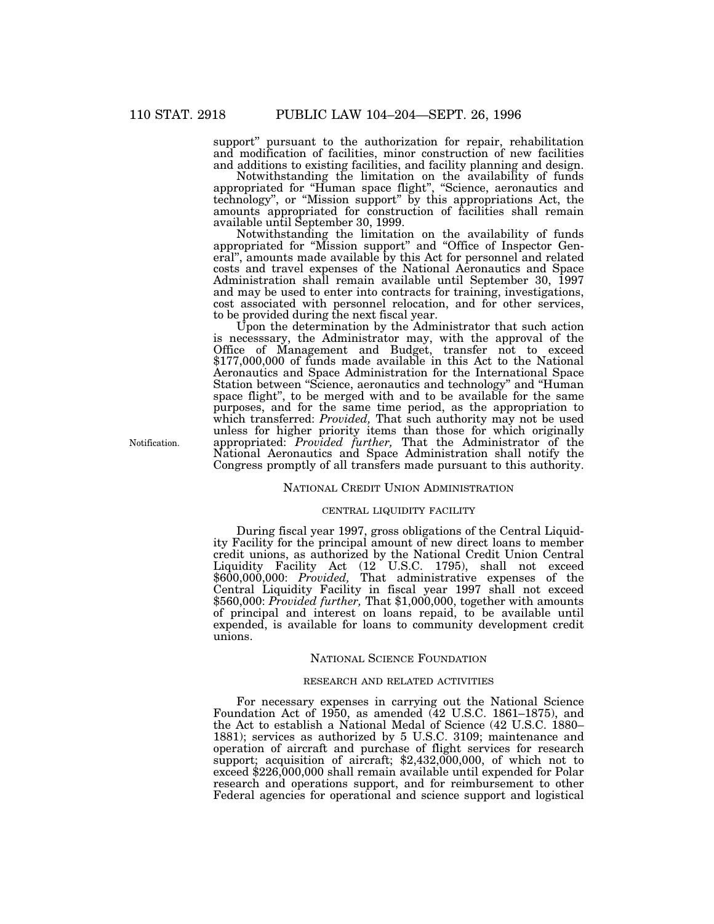support'' pursuant to the authorization for repair, rehabilitation and modification of facilities, minor construction of new facilities and additions to existing facilities, and facility planning and design.

Notwithstanding the limitation on the availability of funds appropriated for ''Human space flight'', ''Science, aeronautics and technology'', or ''Mission support'' by this appropriations Act, the amounts appropriated for construction of facilities shall remain available until September 30, 1999.

Notwithstanding the limitation on the availability of funds appropriated for ''Mission support'' and ''Office of Inspector General'', amounts made available by this Act for personnel and related costs and travel expenses of the National Aeronautics and Space Administration shall remain available until September 30, 1997 and may be used to enter into contracts for training, investigations, cost associated with personnel relocation, and for other services, to be provided during the next fiscal year.

Upon the determination by the Administrator that such action is necesssary, the Administrator may, with the approval of the Office of Management and Budget, transfer not to exceed \$177,000,000 of funds made available in this Act to the National Aeronautics and Space Administration for the International Space Station between ''Science, aeronautics and technology'' and ''Human space flight'', to be merged with and to be available for the same purposes, and for the same time period, as the appropriation to which transferred: *Provided,* That such authority may not be used unless for higher priority items than those for which originally appropriated: *Provided further,* That the Administrator of the National Aeronautics and Space Administration shall notify the Congress promptly of all transfers made pursuant to this authority.

# NATIONAL CREDIT UNION ADMINISTRATION

#### CENTRAL LIQUIDITY FACILITY

During fiscal year 1997, gross obligations of the Central Liquidity Facility for the principal amount of new direct loans to member credit unions, as authorized by the National Credit Union Central Liquidity Facility Act (12 U.S.C. 1795), shall not exceed \$600,000,000: *Provided,* That administrative expenses of the Central Liquidity Facility in fiscal year 1997 shall not exceed \$560,000: *Provided further,* That \$1,000,000, together with amounts of principal and interest on loans repaid, to be available until expended, is available for loans to community development credit unions.

#### NATIONAL SCIENCE FOUNDATION

## RESEARCH AND RELATED ACTIVITIES

For necessary expenses in carrying out the National Science Foundation Act of 1950, as amended (42 U.S.C. 1861–1875), and the Act to establish a National Medal of Science (42 U.S.C. 1880– 1881); services as authorized by 5 U.S.C. 3109; maintenance and operation of aircraft and purchase of flight services for research support; acquisition of aircraft; \$2,432,000,000, of which not to exceed \$226,000,000 shall remain available until expended for Polar research and operations support, and for reimbursement to other Federal agencies for operational and science support and logistical

Notification.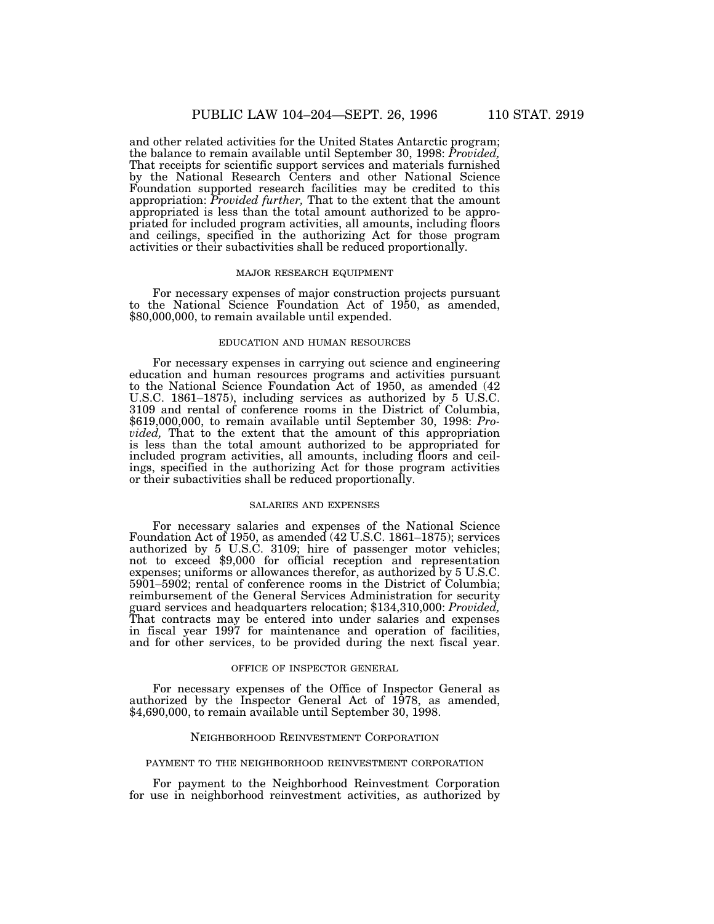and other related activities for the United States Antarctic program; the balance to remain available until September 30, 1998: *Provided,* That receipts for scientific support services and materials furnished by the National Research Centers and other National Science Foundation supported research facilities may be credited to this appropriation: *Provided further,* That to the extent that the amount appropriated is less than the total amount authorized to be appropriated for included program activities, all amounts, including floors and ceilings, specified in the authorizing Act for those program activities or their subactivities shall be reduced proportionally.

#### MAJOR RESEARCH EQUIPMENT

For necessary expenses of major construction projects pursuant to the National Science Foundation Act of 1950, as amended, \$80,000,000, to remain available until expended.

#### EDUCATION AND HUMAN RESOURCES

For necessary expenses in carrying out science and engineering education and human resources programs and activities pursuant to the National Science Foundation Act of 1950, as amended (42 U.S.C. 1861–1875), including services as authorized by 5 U.S.C. 3109 and rental of conference rooms in the District of Columbia, \$619,000,000, to remain available until September 30, 1998: *Provided,* That to the extent that the amount of this appropriation is less than the total amount authorized to be appropriated for included program activities, all amounts, including floors and ceilings, specified in the authorizing Act for those program activities or their subactivities shall be reduced proportionally.

## SALARIES AND EXPENSES

For necessary salaries and expenses of the National Science Foundation Act of 1950, as amended (42 U.S.C. 1861–1875); services authorized by 5 U.S.C. 3109; hire of passenger motor vehicles; not to exceed \$9,000 for official reception and representation expenses; uniforms or allowances therefor, as authorized by 5 U.S.C. 5901–5902; rental of conference rooms in the District of Columbia; reimbursement of the General Services Administration for security guard services and headquarters relocation; \$134,310,000: *Provided,* That contracts may be entered into under salaries and expenses in fiscal year 1997 for maintenance and operation of facilities, and for other services, to be provided during the next fiscal year.

### OFFICE OF INSPECTOR GENERAL

For necessary expenses of the Office of Inspector General as authorized by the Inspector General Act of 1978, as amended, \$4,690,000, to remain available until September 30, 1998.

## NEIGHBORHOOD REINVESTMENT CORPORATION

#### PAYMENT TO THE NEIGHBORHOOD REINVESTMENT CORPORATION

For payment to the Neighborhood Reinvestment Corporation for use in neighborhood reinvestment activities, as authorized by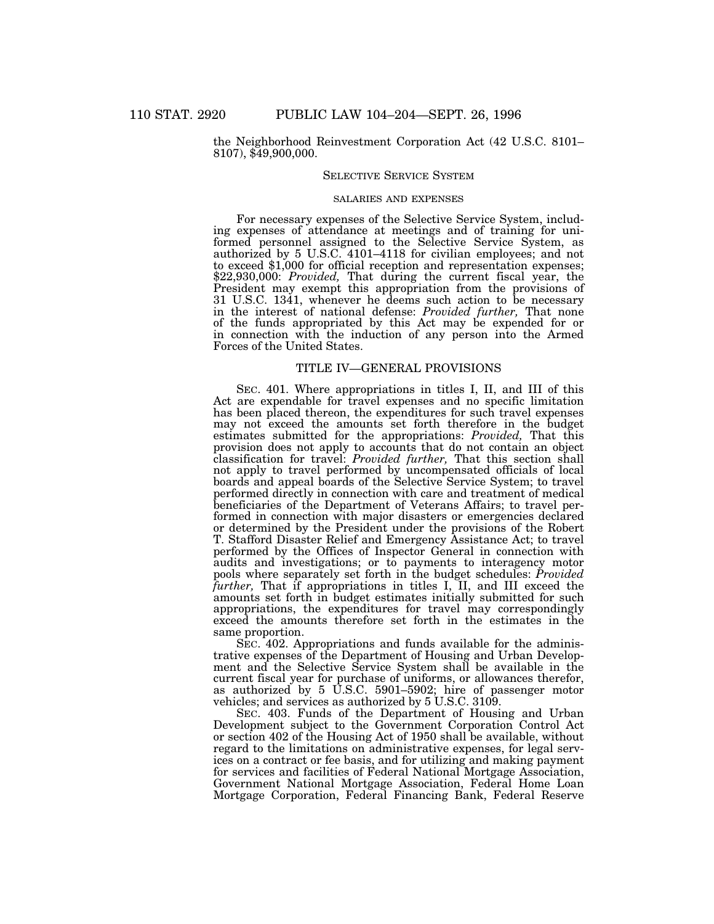the Neighborhood Reinvestment Corporation Act (42 U.S.C. 8101– 8107), \$49,900,000.

### SELECTIVE SERVICE SYSTEM

## SALARIES AND EXPENSES

For necessary expenses of the Selective Service System, including expenses of attendance at meetings and of training for uniformed personnel assigned to the Selective Service System, as authorized by 5 U.S.C. 4101–4118 for civilian employees; and not to exceed \$1,000 for official reception and representation expenses; \$22,930,000: *Provided,* That during the current fiscal year, the President may exempt this appropriation from the provisions of 31 U.S.C. 1341, whenever he deems such action to be necessary in the interest of national defense: *Provided further,* That none of the funds appropriated by this Act may be expended for or in connection with the induction of any person into the Armed Forces of the United States.

### TITLE IV—GENERAL PROVISIONS

SEC. 401. Where appropriations in titles I, II, and III of this Act are expendable for travel expenses and no specific limitation has been placed thereon, the expenditures for such travel expenses may not exceed the amounts set forth therefore in the budget estimates submitted for the appropriations: *Provided,* That this provision does not apply to accounts that do not contain an object classification for travel: *Provided further,* That this section shall not apply to travel performed by uncompensated officials of local boards and appeal boards of the Selective Service System; to travel performed directly in connection with care and treatment of medical beneficiaries of the Department of Veterans Affairs; to travel performed in connection with major disasters or emergencies declared or determined by the President under the provisions of the Robert T. Stafford Disaster Relief and Emergency Assistance Act; to travel performed by the Offices of Inspector General in connection with audits and investigations; or to payments to interagency motor pools where separately set forth in the budget schedules: *Provided further,* That if appropriations in titles I, II, and III exceed the amounts set forth in budget estimates initially submitted for such appropriations, the expenditures for travel may correspondingly exceed the amounts therefore set forth in the estimates in the same proportion.

SEC. 402. Appropriations and funds available for the administrative expenses of the Department of Housing and Urban Development and the Selective Service System shall be available in the current fiscal year for purchase of uniforms, or allowances therefor, as authorized by 5 U.S.C. 5901–5902; hire of passenger motor vehicles; and services as authorized by 5 U.S.C. 3109.

SEC. 403. Funds of the Department of Housing and Urban Development subject to the Government Corporation Control Act or section 402 of the Housing Act of 1950 shall be available, without regard to the limitations on administrative expenses, for legal services on a contract or fee basis, and for utilizing and making payment for services and facilities of Federal National Mortgage Association, Government National Mortgage Association, Federal Home Loan Mortgage Corporation, Federal Financing Bank, Federal Reserve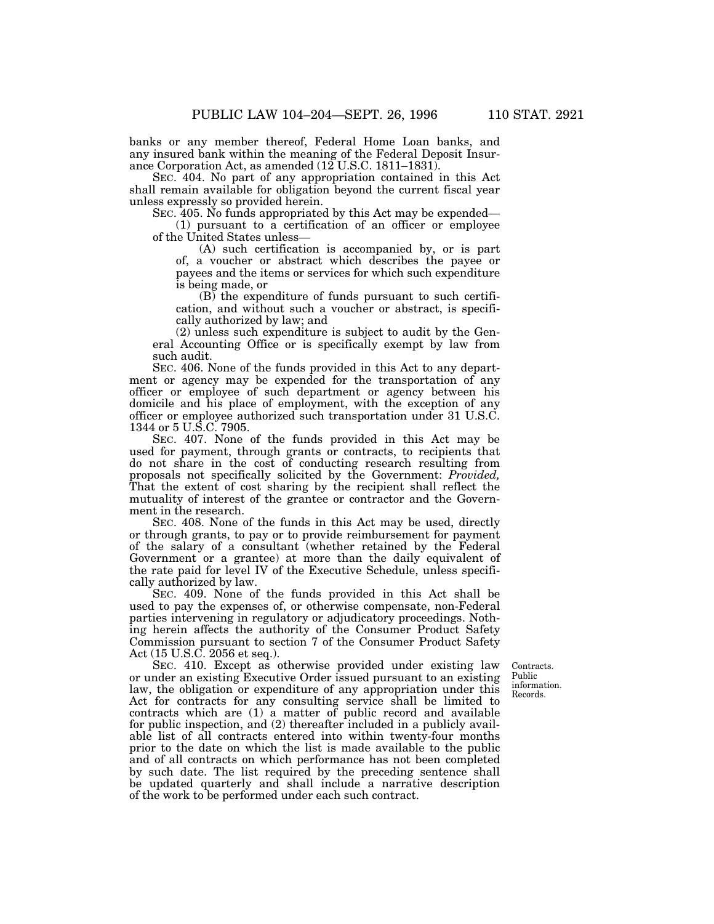banks or any member thereof, Federal Home Loan banks, and any insured bank within the meaning of the Federal Deposit Insurance Corporation Act, as amended (12 U.S.C. 1811–1831).

SEC. 404. No part of any appropriation contained in this Act shall remain available for obligation beyond the current fiscal year unless expressly so provided herein.

SEC. 405. No funds appropriated by this Act may be expended— (1) pursuant to a certification of an officer or employee of the United States unless—

(A) such certification is accompanied by, or is part of, a voucher or abstract which describes the payee or payees and the items or services for which such expenditure is being made, or

 $(B)$  the expenditure of funds pursuant to such certification, and without such a voucher or abstract, is specifically authorized by law; and

(2) unless such expenditure is subject to audit by the General Accounting Office or is specifically exempt by law from such audit.

SEC. 406. None of the funds provided in this Act to any department or agency may be expended for the transportation of any officer or employee of such department or agency between his domicile and his place of employment, with the exception of any officer or employee authorized such transportation under 31 U.S.C. 1344 or 5 U.S.C. 7905.

SEC. 407. None of the funds provided in this Act may be used for payment, through grants or contracts, to recipients that do not share in the cost of conducting research resulting from proposals not specifically solicited by the Government: *Provided,* That the extent of cost sharing by the recipient shall reflect the mutuality of interest of the grantee or contractor and the Government in the research.

SEC. 408. None of the funds in this Act may be used, directly or through grants, to pay or to provide reimbursement for payment of the salary of a consultant (whether retained by the Federal Government or a grantee) at more than the daily equivalent of the rate paid for level IV of the Executive Schedule, unless specifically authorized by law.

SEC. 409. None of the funds provided in this Act shall be used to pay the expenses of, or otherwise compensate, non-Federal parties intervening in regulatory or adjudicatory proceedings. Nothing herein affects the authority of the Consumer Product Safety Commission pursuant to section 7 of the Consumer Product Safety Act (15 U.S.C. 2056 et seq.).

Contracts. information.

SEC. 410. Except as otherwise provided under existing law or under an existing Executive Order issued pursuant to an existing law, the obligation or expenditure of any appropriation under this Act for contracts for any consulting service shall be limited to contracts which are (1) a matter of public record and available for public inspection, and (2) thereafter included in a publicly available list of all contracts entered into within twenty-four months prior to the date on which the list is made available to the public and of all contracts on which performance has not been completed by such date. The list required by the preceding sentence shall be updated quarterly and shall include a narrative description of the work to be performed under each such contract.

Public Records.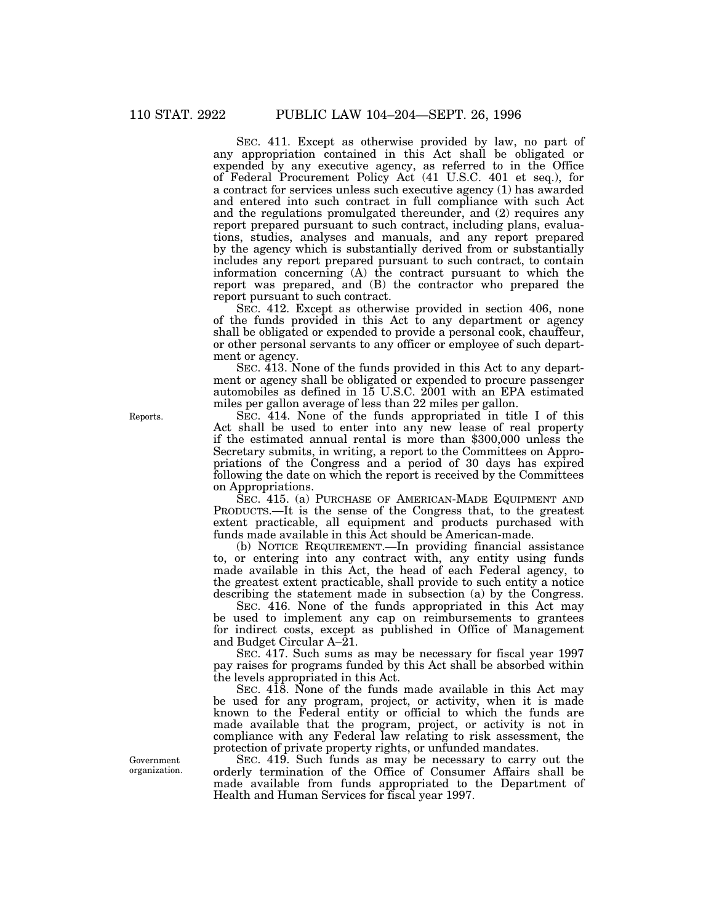SEC. 411. Except as otherwise provided by law, no part of any appropriation contained in this Act shall be obligated or expended by any executive agency, as referred to in the Office of Federal Procurement Policy Act (41 U.S.C. 401 et seq.), for a contract for services unless such executive agency (1) has awarded and entered into such contract in full compliance with such Act and the regulations promulgated thereunder, and (2) requires any report prepared pursuant to such contract, including plans, evaluations, studies, analyses and manuals, and any report prepared by the agency which is substantially derived from or substantially includes any report prepared pursuant to such contract, to contain information concerning (A) the contract pursuant to which the report was prepared, and (B) the contractor who prepared the report pursuant to such contract.

SEC. 412. Except as otherwise provided in section 406, none of the funds provided in this Act to any department or agency shall be obligated or expended to provide a personal cook, chauffeur, or other personal servants to any officer or employee of such department or agency.

SEC. 413. None of the funds provided in this Act to any department or agency shall be obligated or expended to procure passenger automobiles as defined in 15 U.S.C. 2001 with an EPA estimated miles per gallon average of less than 22 miles per gallon.

SEC. 414. None of the funds appropriated in title I of this Act shall be used to enter into any new lease of real property if the estimated annual rental is more than \$300,000 unless the Secretary submits, in writing, a report to the Committees on Appropriations of the Congress and a period of 30 days has expired following the date on which the report is received by the Committees on Appropriations.

SEC. 415. (a) PURCHASE OF AMERICAN-MADE EQUIPMENT AND PRODUCTS.—It is the sense of the Congress that, to the greatest extent practicable, all equipment and products purchased with funds made available in this Act should be American-made.

(b) NOTICE REQUIREMENT.—In providing financial assistance to, or entering into any contract with, any entity using funds made available in this Act, the head of each Federal agency, to the greatest extent practicable, shall provide to such entity a notice describing the statement made in subsection (a) by the Congress.

SEC. 416. None of the funds appropriated in this Act may be used to implement any cap on reimbursements to grantees for indirect costs, except as published in Office of Management and Budget Circular A–21.

SEC. 417. Such sums as may be necessary for fiscal year 1997 pay raises for programs funded by this Act shall be absorbed within the levels appropriated in this Act.

SEC.  $4\overline{18}$ . None of the funds made available in this Act may be used for any program, project, or activity, when it is made known to the Federal entity or official to which the funds are made available that the program, project, or activity is not in compliance with any Federal law relating to risk assessment, the protection of private property rights, or unfunded mandates.

SEC. 419. Such funds as may be necessary to carry out the orderly termination of the Office of Consumer Affairs shall be made available from funds appropriated to the Department of Health and Human Services for fiscal year 1997.

Reports.

Government organization.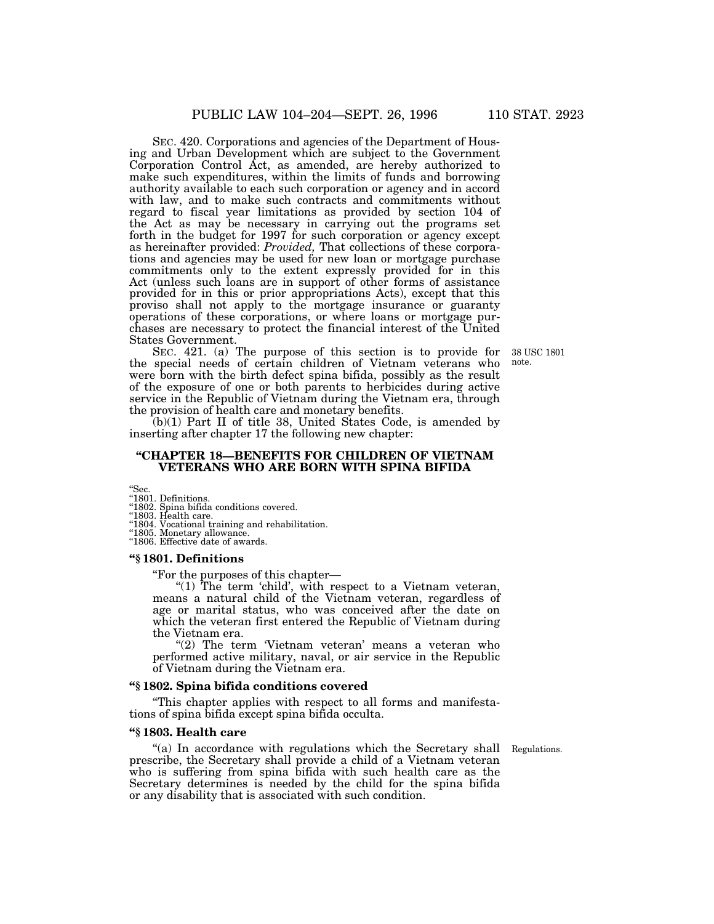SEC. 420. Corporations and agencies of the Department of Housing and Urban Development which are subject to the Government Corporation Control Act, as amended, are hereby authorized to make such expenditures, within the limits of funds and borrowing authority available to each such corporation or agency and in accord with law, and to make such contracts and commitments without regard to fiscal year limitations as provided by section 104 of the Act as may be necessary in carrying out the programs set forth in the budget for 1997 for such corporation or agency except as hereinafter provided: *Provided,* That collections of these corporations and agencies may be used for new loan or mortgage purchase commitments only to the extent expressly provided for in this Act (unless such loans are in support of other forms of assistance provided for in this or prior appropriations Acts), except that this proviso shall not apply to the mortgage insurance or guaranty operations of these corporations, or where loans or mortgage purchases are necessary to protect the financial interest of the United States Government.

> 38 USC 1801 note.

SEC. 421. (a) The purpose of this section is to provide for the special needs of certain children of Vietnam veterans who were born with the birth defect spina bifida, possibly as the result of the exposure of one or both parents to herbicides during active service in the Republic of Vietnam during the Vietnam era, through the provision of health care and monetary benefits.

(b)(1) Part II of title 38, United States Code, is amended by inserting after chapter 17 the following new chapter:

# **''CHAPTER 18—BENEFITS FOR CHILDREN OF VIETNAM VETERANS WHO ARE BORN WITH SPINA BIFIDA**

''Sec. ''1801. Definitions.

''1802. Spina bifida conditions covered. ''1803. Health care. ''1804. Vocational training and rehabilitation. ''1805. Monetary allowance. ''1806. Effective date of awards.

# **''§ 1801. Definitions**

''For the purposes of this chapter—

"(1) The term 'child', with respect to a Vietnam veteran, means a natural child of the Vietnam veteran, regardless of age or marital status, who was conceived after the date on which the veteran first entered the Republic of Vietnam during the Vietnam era.

"(2) The term 'Vietnam veteran' means a veteran who performed active military, naval, or air service in the Republic of Vietnam during the Vietnam era.

### **''§ 1802. Spina bifida conditions covered**

''This chapter applies with respect to all forms and manifestations of spina bifida except spina bifida occulta.

# **''§ 1803. Health care**

''(a) In accordance with regulations which the Secretary shall Regulations. prescribe, the Secretary shall provide a child of a Vietnam veteran who is suffering from spina bifida with such health care as the Secretary determines is needed by the child for the spina bifida or any disability that is associated with such condition.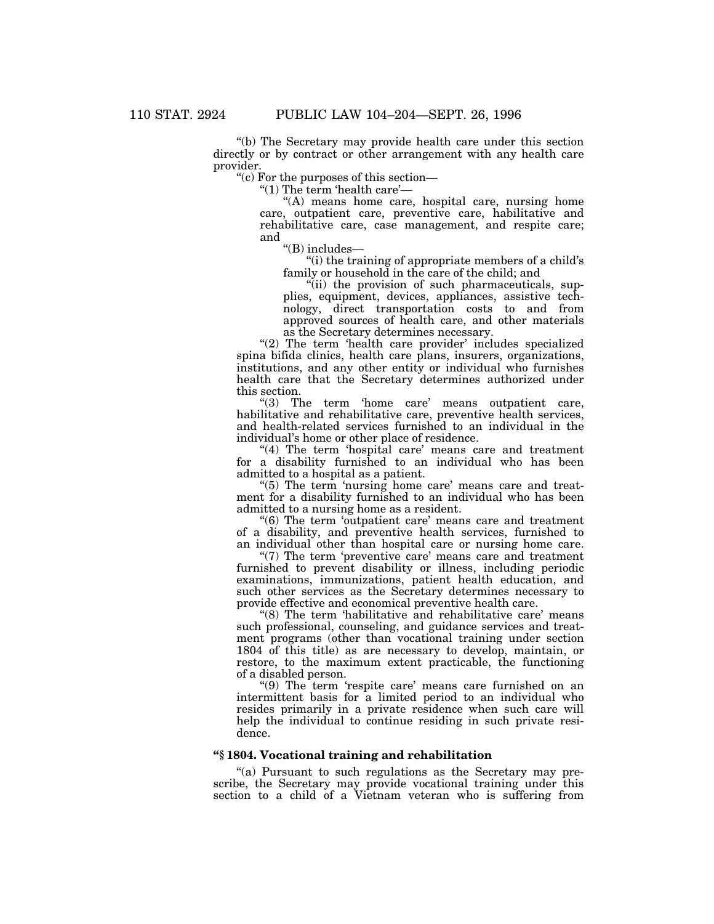''(b) The Secretary may provide health care under this section directly or by contract or other arrangement with any health care provider.

''(c) For the purposes of this section—

''(1) The term 'health care'—

"(A) means home care, hospital care, nursing home care, outpatient care, preventive care, habilitative and rehabilitative care, case management, and respite care; and

''(B) includes—

''(i) the training of appropriate members of a child's family or household in the care of the child; and

''(ii) the provision of such pharmaceuticals, supplies, equipment, devices, appliances, assistive technology, direct transportation costs to and from approved sources of health care, and other materials as the Secretary determines necessary.

"(2) The term 'health care provider' includes specialized spina bifida clinics, health care plans, insurers, organizations, institutions, and any other entity or individual who furnishes health care that the Secretary determines authorized under this section.

"(3) The term 'home care' means outpatient care, habilitative and rehabilitative care, preventive health services, and health-related services furnished to an individual in the individual's home or other place of residence.

"(4) The term 'hospital care' means care and treatment for a disability furnished to an individual who has been admitted to a hospital as a patient.

"(5) The term 'nursing home care' means care and treatment for a disability furnished to an individual who has been admitted to a nursing home as a resident.

''(6) The term 'outpatient care' means care and treatment of a disability, and preventive health services, furnished to an individual other than hospital care or nursing home care.

"(7) The term 'preventive care' means care and treatment furnished to prevent disability or illness, including periodic examinations, immunizations, patient health education, and such other services as the Secretary determines necessary to provide effective and economical preventive health care.

"(8) The term 'habilitative and rehabilitative care' means such professional, counseling, and guidance services and treatment programs (other than vocational training under section 1804 of this title) as are necessary to develop, maintain, or restore, to the maximum extent practicable, the functioning of a disabled person.

"(9) The term 'respite care' means care furnished on an intermittent basis for a limited period to an individual who resides primarily in a private residence when such care will help the individual to continue residing in such private residence.

# **''§ 1804. Vocational training and rehabilitation**

''(a) Pursuant to such regulations as the Secretary may prescribe, the Secretary may provide vocational training under this section to a child of a Vietnam veteran who is suffering from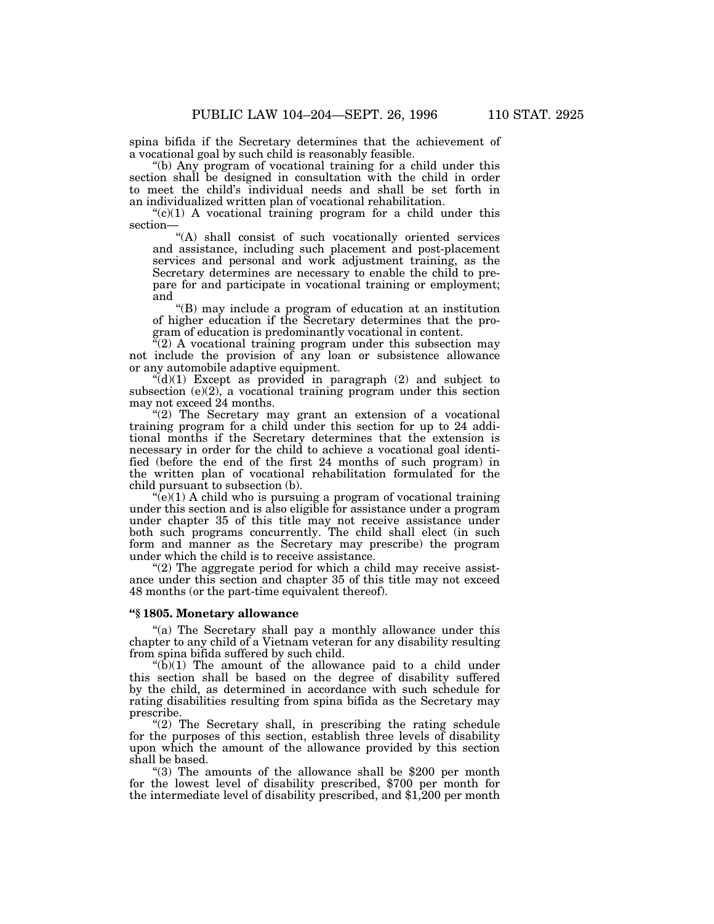spina bifida if the Secretary determines that the achievement of a vocational goal by such child is reasonably feasible.

"(b) Any program of vocational training for a child under this section shall be designed in consultation with the child in order to meet the child's individual needs and shall be set forth in an individualized written plan of vocational rehabilitation.

 $C(1)$  A vocational training program for a child under this section—

''(A) shall consist of such vocationally oriented services and assistance, including such placement and post-placement services and personal and work adjustment training, as the Secretary determines are necessary to enable the child to prepare for and participate in vocational training or employment; and

''(B) may include a program of education at an institution of higher education if the Secretary determines that the program of education is predominantly vocational in content.

"(2) A vocational training program under this subsection may not include the provision of any loan or subsistence allowance or any automobile adaptive equipment.

 $\mathcal{H}(d)(1)$  Except as provided in paragraph (2) and subject to subsection  $(e)(2)$ , a vocational training program under this section may not exceed 24 months.

" $(2)$  The Secretary may grant an extension of a vocational training program for a child under this section for up to 24 additional months if the Secretary determines that the extension is necessary in order for the child to achieve a vocational goal identified (before the end of the first 24 months of such program) in the written plan of vocational rehabilitation formulated for the child pursuant to subsection (b).

" $(e)(1)$  A child who is pursuing a program of vocational training under this section and is also eligible for assistance under a program under chapter 35 of this title may not receive assistance under both such programs concurrently. The child shall elect (in such form and manner as the Secretary may prescribe) the program under which the child is to receive assistance.

" $(2)$  The aggregate period for which a child may receive assistance under this section and chapter 35 of this title may not exceed 48 months (or the part-time equivalent thereof).

# **''§ 1805. Monetary allowance**

''(a) The Secretary shall pay a monthly allowance under this chapter to any child of a Vietnam veteran for any disability resulting from spina bifida suffered by such child.

" $(b)(1)$  The amount of the allowance paid to a child under this section shall be based on the degree of disability suffered by the child, as determined in accordance with such schedule for rating disabilities resulting from spina bifida as the Secretary may prescribe.

"(2) The Secretary shall, in prescribing the rating schedule for the purposes of this section, establish three levels of disability upon which the amount of the allowance provided by this section shall be based.

''(3) The amounts of the allowance shall be \$200 per month for the lowest level of disability prescribed, \$700 per month for the intermediate level of disability prescribed, and \$1,200 per month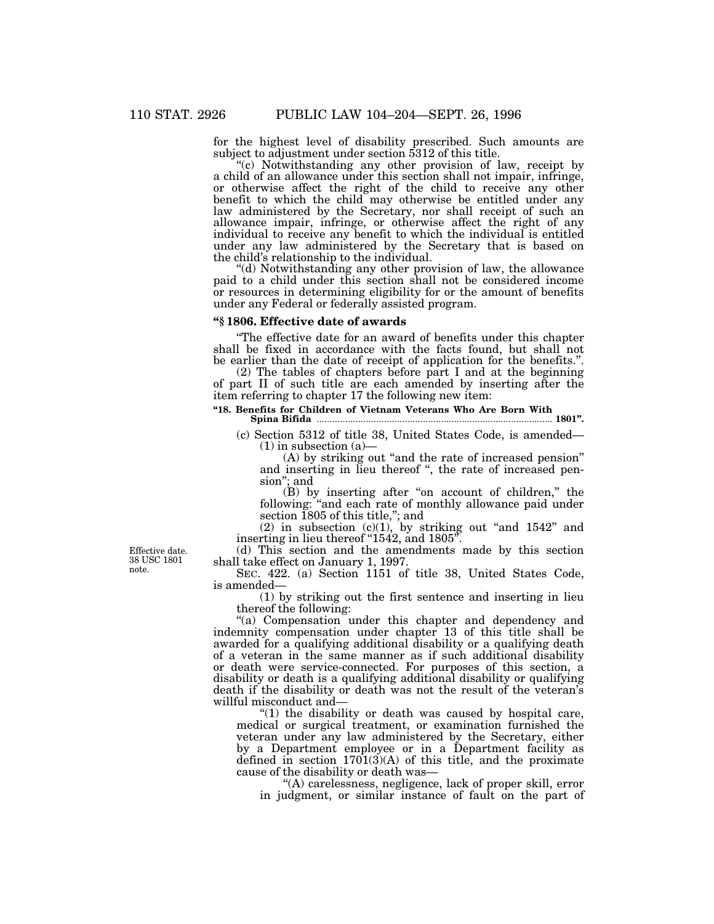for the highest level of disability prescribed. Such amounts are subject to adjustment under section 5312 of this title.

''(c) Notwithstanding any other provision of law, receipt by a child of an allowance under this section shall not impair, infringe, or otherwise affect the right of the child to receive any other benefit to which the child may otherwise be entitled under any law administered by the Secretary, nor shall receipt of such an allowance impair, infringe, or otherwise affect the right of any individual to receive any benefit to which the individual is entitled under any law administered by the Secretary that is based on the child's relationship to the individual.

''(d) Notwithstanding any other provision of law, the allowance paid to a child under this section shall not be considered income or resources in determining eligibility for or the amount of benefits under any Federal or federally assisted program.

# **''§ 1806. Effective date of awards**

The effective date for an award of benefits under this chapter shall be fixed in accordance with the facts found, but shall not be earlier than the date of receipt of application for the benefits.''.

(2) The tables of chapters before part I and at the beginning of part II of such title are each amended by inserting after the item referring to chapter 17 the following new item:

# **''18. Benefits for Children of Vietnam Veterans Who Are Born With**

**Spina Bifida** ........................................................................................... **1801''.** (c) Section 5312 of title 38, United States Code, is amended—

 $(1)$  in subsection  $(a)$ (A) by striking out ''and the rate of increased pension''

and inserting in lieu thereof ", the rate of increased pension''; and

(B) by inserting after "on account of children," the following: ''and each rate of monthly allowance paid under section 1805 of this title,''; and

(2) in subsection  $(c)(1)$ , by striking out "and  $1542$ " and inserting in lieu thereof ''1542, and 1805''.

(d) This section and the amendments made by this section shall take effect on January 1, 1997.

SEC. 422. (a) Section 1151 of title 38, United States Code, is amended—

(1) by striking out the first sentence and inserting in lieu thereof the following:

"(a) Compensation under this chapter and dependency and indemnity compensation under chapter 13 of this title shall be awarded for a qualifying additional disability or a qualifying death of a veteran in the same manner as if such additional disability or death were service-connected. For purposes of this section, a disability or death is a qualifying additional disability or qualifying death if the disability or death was not the result of the veteran's willful misconduct and—

" $(1)$  the disability or death was caused by hospital care, medical or surgical treatment, or examination furnished the veteran under any law administered by the Secretary, either by a Department employee or in a Department facility as defined in section  $1701(3)(A)$  of this title, and the proximate cause of the disability or death was—

''(A) carelessness, negligence, lack of proper skill, error in judgment, or similar instance of fault on the part of

Effective date. 38 USC 1801 note.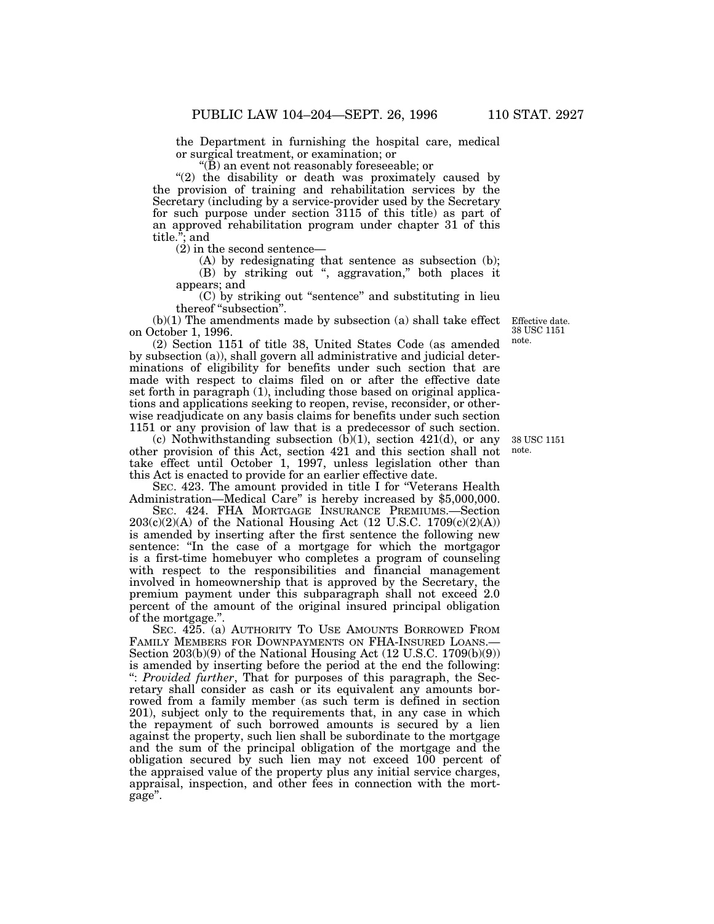the Department in furnishing the hospital care, medical or surgical treatment, or examination; or

" $(B)$  an event not reasonably foreseeable; or

"(2) the disability or death was proximately caused by the provision of training and rehabilitation services by the Secretary (including by a service-provider used by the Secretary for such purpose under section 3115 of this title) as part of an approved rehabilitation program under chapter 31 of this title.''; and

(2) in the second sentence—

(A) by redesignating that sentence as subsection (b);

(B) by striking out '', aggravation,'' both places it appears; and

(C) by striking out ''sentence'' and substituting in lieu thereof "subsection".

(b)(1) The amendments made by subsection (a) shall take effect on October 1, 1996.

(2) Section 1151 of title 38, United States Code (as amended by subsection (a)), shall govern all administrative and judicial determinations of eligibility for benefits under such section that are made with respect to claims filed on or after the effective date set forth in paragraph (1), including those based on original applications and applications seeking to reopen, revise, reconsider, or otherwise readjudicate on any basis claims for benefits under such section 1151 or any provision of law that is a predecessor of such section.

(c) Nothwithstanding subsection  $(b)(1)$ , section 421(d), or any other provision of this Act, section 421 and this section shall not take effect until October 1, 1997, unless legislation other than this Act is enacted to provide for an earlier effective date.

SEC. 423. The amount provided in title I for "Veterans Health Administration—Medical Care'' is hereby increased by \$5,000,000.

SEC. 424. FHA MORTGAGE INSURANCE PREMIUMS.—Section  $203(c)(2)(A)$  of the National Housing Act (12 U.S.C. 1709 $(c)(2)(A)$ ) is amended by inserting after the first sentence the following new sentence: "In the case of a mortgage for which the mortgagor is a first-time homebuyer who completes a program of counseling with respect to the responsibilities and financial management involved in homeownership that is approved by the Secretary, the premium payment under this subparagraph shall not exceed 2.0 percent of the amount of the original insured principal obligation of the mortgage.''.

SEC. 425. (a) AUTHORITY TO USE AMOUNTS BORROWED FROM FAMILY MEMBERS FOR DOWNPAYMENTS ON FHA-INSURED LOANS. Section 203(b)(9) of the National Housing Act (12 U.S.C. 1709(b)(9)) is amended by inserting before the period at the end the following: '': *Provided further*, That for purposes of this paragraph, the Secretary shall consider as cash or its equivalent any amounts borrowed from a family member (as such term is defined in section 201), subject only to the requirements that, in any case in which the repayment of such borrowed amounts is secured by a lien against the property, such lien shall be subordinate to the mortgage and the sum of the principal obligation of the mortgage and the obligation secured by such lien may not exceed 100 percent of the appraised value of the property plus any initial service charges, appraisal, inspection, and other fees in connection with the mortgage''.

Effective date. 38 USC 1151 note.

38 USC 1151 note.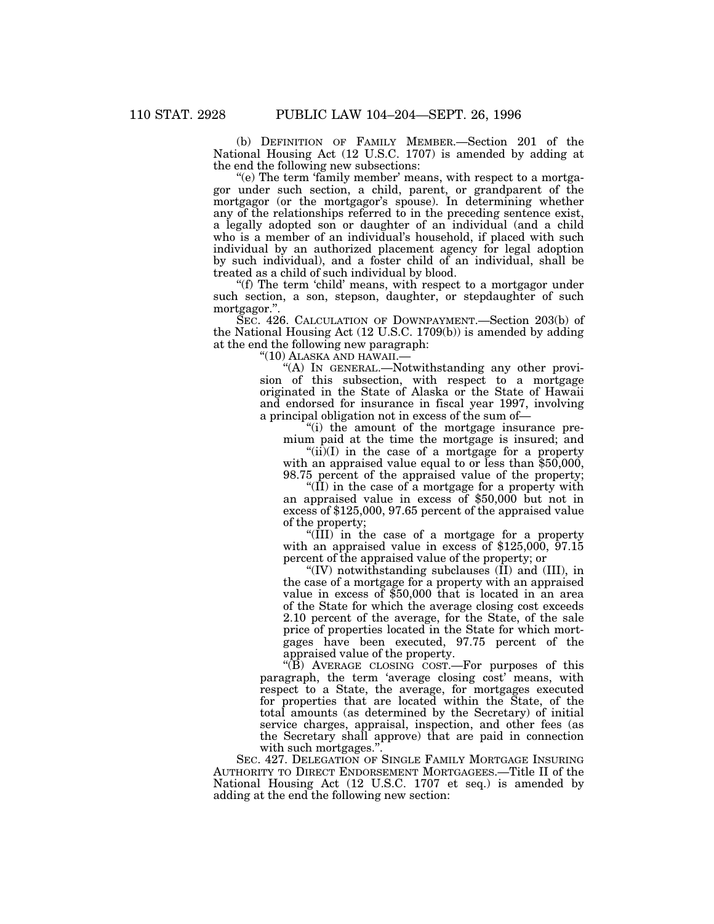(b) DEFINITION OF FAMILY MEMBER.—Section 201 of the National Housing Act (12 U.S.C. 1707) is amended by adding at the end the following new subsections:

"(e) The term 'family member' means, with respect to a mortgagor under such section, a child, parent, or grandparent of the mortgagor (or the mortgagor's spouse). In determining whether any of the relationships referred to in the preceding sentence exist, a legally adopted son or daughter of an individual (and a child who is a member of an individual's household, if placed with such individual by an authorized placement agency for legal adoption by such individual), and a foster child of an individual, shall be treated as a child of such individual by blood.

''(f) The term 'child' means, with respect to a mortgagor under such section, a son, stepson, daughter, or stepdaughter of such mortgagor.''.

SEC. 426. CALCULATION OF DOWNPAYMENT.—Section 203(b) of the National Housing Act (12 U.S.C. 1709(b)) is amended by adding at the end the following new paragraph:

"(10) ALASKA AND HAWAII.-

''(A) IN GENERAL.—Notwithstanding any other provision of this subsection, with respect to a mortgage originated in the State of Alaska or the State of Hawaii and endorsed for insurance in fiscal year 1997, involving a principal obligation not in excess of the sum of—

''(i) the amount of the mortgage insurance premium paid at the time the mortgage is insured; and

 $\text{``(ii)(I)}$  in the case of a mortgage for a property with an appraised value equal to or less than  $$50,000$ , 98.75 percent of the appraised value of the property;

" $(\overline{II})$  in the case of a mortgage for a property with an appraised value in excess of \$50,000 but not in excess of \$125,000, 97.65 percent of the appraised value of the property;

''(III) in the case of a mortgage for a property with an appraised value in excess of  $$125,000$ ,  $$97.15$ percent of the appraised value of the property; or

"(IV) notwithstanding subclauses  $(\tilde{II})$  and  $(III)$ , in the case of a mortgage for a property with an appraised value in excess of \$50,000 that is located in an area of the State for which the average closing cost exceeds 2.10 percent of the average, for the State, of the sale price of properties located in the State for which mortgages have been executed, 97.75 percent of the appraised value of the property.

 $\sqrt{\hat{B}}$ ) AVERAGE CLOSING COST.—For purposes of this paragraph, the term 'average closing cost' means, with respect to a State, the average, for mortgages executed for properties that are located within the State, of the total amounts (as determined by the Secretary) of initial service charges, appraisal, inspection, and other fees (as the Secretary shall approve) that are paid in connection with such mortgages."

SEC. 427. DELEGATION OF SINGLE FAMILY MORTGAGE INSURING AUTHORITY TO DIRECT ENDORSEMENT MORTGAGEES.—Title II of the National Housing Act (12 U.S.C. 1707 et seq.) is amended by adding at the end the following new section: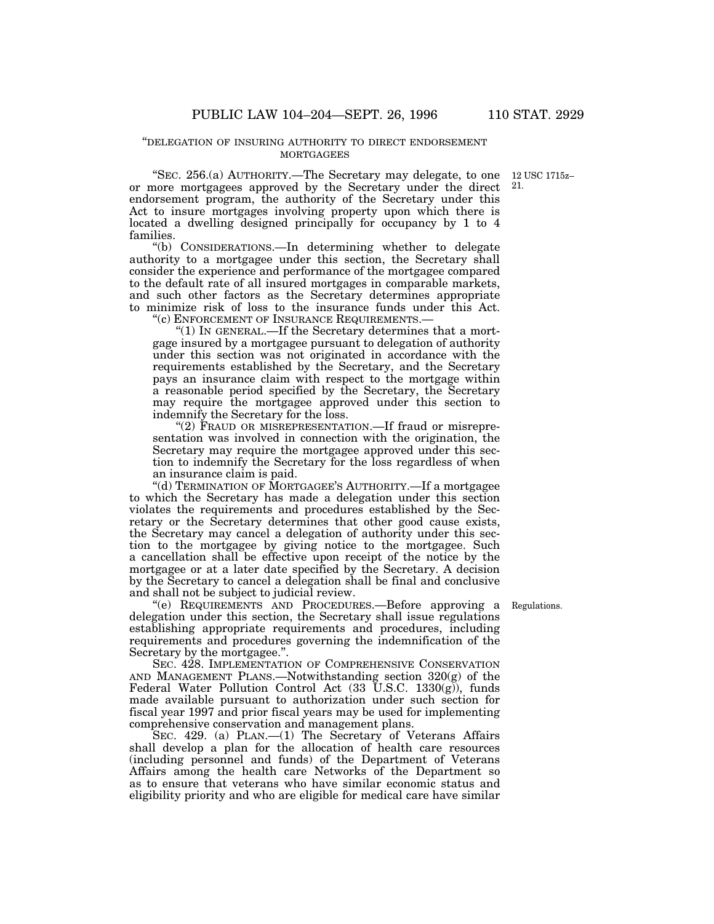#### ''DELEGATION OF INSURING AUTHORITY TO DIRECT ENDORSEMENT **MORTGAGEES**

"SEC. 256.(a) AUTHORITY.—The Secretary may delegate, to one 12 USC 1715zor more mortgagees approved by the Secretary under the direct 21.endorsement program, the authority of the Secretary under this Act to insure mortgages involving property upon which there is located a dwelling designed principally for occupancy by 1 to 4 families.

''(b) CONSIDERATIONS.—In determining whether to delegate authority to a mortgagee under this section, the Secretary shall consider the experience and performance of the mortgagee compared to the default rate of all insured mortgages in comparable markets, and such other factors as the Secretary determines appropriate to minimize risk of loss to the insurance funds under this Act.

''(c) ENFORCEMENT OF INSURANCE REQUIREMENTS.—

''(1) IN GENERAL.—If the Secretary determines that a mortgage insured by a mortgagee pursuant to delegation of authority under this section was not originated in accordance with the requirements established by the Secretary, and the Secretary pays an insurance claim with respect to the mortgage within a reasonable period specified by the Secretary, the Secretary may require the mortgagee approved under this section to indemnify the Secretary for the loss.

"(2) FRAUD OR MISREPRESENTATION.—If fraud or misrepresentation was involved in connection with the origination, the Secretary may require the mortgagee approved under this section to indemnify the Secretary for the loss regardless of when an insurance claim is paid.

''(d) TERMINATION OF MORTGAGEE'S AUTHORITY.—If a mortgagee to which the Secretary has made a delegation under this section violates the requirements and procedures established by the Secretary or the Secretary determines that other good cause exists, the Secretary may cancel a delegation of authority under this section to the mortgagee by giving notice to the mortgagee. Such a cancellation shall be effective upon receipt of the notice by the mortgagee or at a later date specified by the Secretary. A decision by the Secretary to cancel a delegation shall be final and conclusive and shall not be subject to judicial review.

''(e) REQUIREMENTS AND PROCEDURES.—Before approving a Regulations. delegation under this section, the Secretary shall issue regulations establishing appropriate requirements and procedures, including requirements and procedures governing the indemnification of the Secretary by the mortgagee.''.

SEC. 428. IMPLEMENTATION OF COMPREHENSIVE CONSERVATION AND MANAGEMENT PLANS.—Notwithstanding section 320(g) of the Federal Water Pollution Control Act  $(33 \text{ U.S.C. } 1330(\text{g}))$ , funds made available pursuant to authorization under such section for fiscal year 1997 and prior fiscal years may be used for implementing comprehensive conservation and management plans.

SEC. 429. (a) PLAN.—(1) The Secretary of Veterans Affairs shall develop a plan for the allocation of health care resources (including personnel and funds) of the Department of Veterans Affairs among the health care Networks of the Department so as to ensure that veterans who have similar economic status and eligibility priority and who are eligible for medical care have similar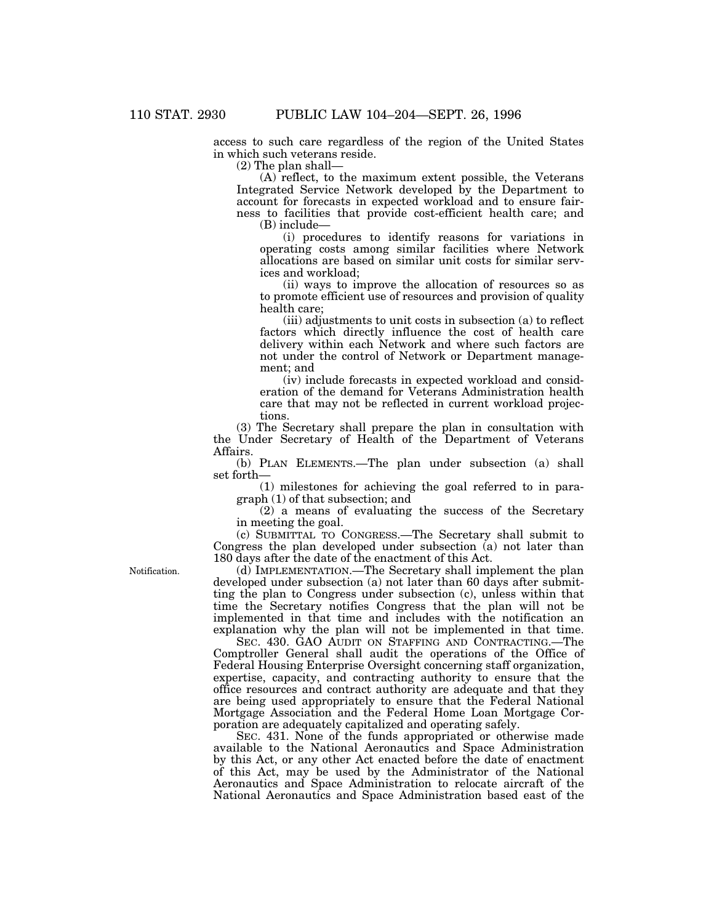access to such care regardless of the region of the United States in which such veterans reside.

(2) The plan shall—

(A) reflect, to the maximum extent possible, the Veterans Integrated Service Network developed by the Department to account for forecasts in expected workload and to ensure fairness to facilities that provide cost-efficient health care; and

(B) include—

(i) procedures to identify reasons for variations in operating costs among similar facilities where Network allocations are based on similar unit costs for similar services and workload;

(ii) ways to improve the allocation of resources so as to promote efficient use of resources and provision of quality health care;

(iii) adjustments to unit costs in subsection (a) to reflect factors which directly influence the cost of health care delivery within each Network and where such factors are not under the control of Network or Department management; and

(iv) include forecasts in expected workload and consideration of the demand for Veterans Administration health care that may not be reflected in current workload projections.

(3) The Secretary shall prepare the plan in consultation with the Under Secretary of Health of the Department of Veterans Affairs.

(b) PLAN ELEMENTS.—The plan under subsection (a) shall set forth—

(1) milestones for achieving the goal referred to in paragraph (1) of that subsection; and

(2) a means of evaluating the success of the Secretary in meeting the goal.

(c) SUBMITTAL TO CONGRESS.—The Secretary shall submit to Congress the plan developed under subsection (a) not later than 180 days after the date of the enactment of this Act.

Notification.

(d) IMPLEMENTATION.—The Secretary shall implement the plan developed under subsection (a) not later than 60 days after submitting the plan to Congress under subsection (c), unless within that time the Secretary notifies Congress that the plan will not be implemented in that time and includes with the notification an explanation why the plan will not be implemented in that time.

SEC. 430. GAO AUDIT ON STAFFING AND CONTRACTING.—The Comptroller General shall audit the operations of the Office of Federal Housing Enterprise Oversight concerning staff organization, expertise, capacity, and contracting authority to ensure that the office resources and contract authority are adequate and that they are being used appropriately to ensure that the Federal National Mortgage Association and the Federal Home Loan Mortgage Corporation are adequately capitalized and operating safely.

SEC. 431. None of the funds appropriated or otherwise made available to the National Aeronautics and Space Administration by this Act, or any other Act enacted before the date of enactment of this Act, may be used by the Administrator of the National Aeronautics and Space Administration to relocate aircraft of the National Aeronautics and Space Administration based east of the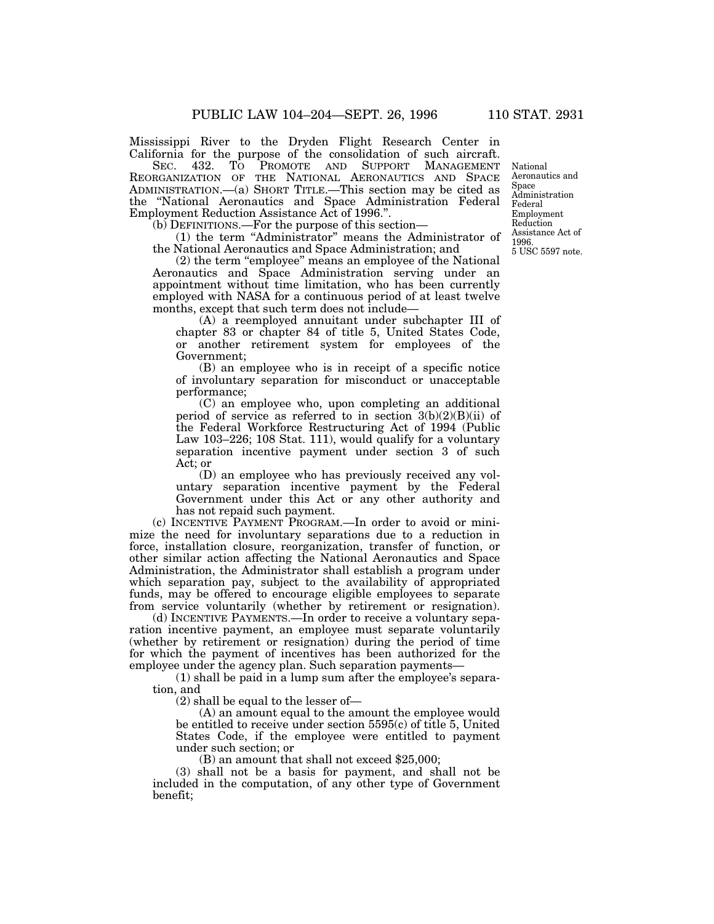Mississippi River to the Dryden Flight Research Center in California for the purpose of the consolidation of such aircraft.<br>SEC. 432. TO PROMOTE AND SUPPORT MANAGEMENT

SEC. 432. TO PROMOTE AND SUPPORT MANAGEMENT REORGANIZATION OF THE NATIONAL AERONAUTICS AND SPACE ADMINISTRATION.—(a) SHORT TITLE.—This section may be cited as the ''National Aeronautics and Space Administration Federal Employment Reduction Assistance Act of 1996.''.

(b) DEFINITIONS.—For the purpose of this section—

(1) the term ''Administrator'' means the Administrator of the National Aeronautics and Space Administration; and

(2) the term ''employee'' means an employee of the National Aeronautics and Space Administration serving under an appointment without time limitation, who has been currently employed with NASA for a continuous period of at least twelve months, except that such term does not include—

(A) a reemployed annuitant under subchapter III of chapter 83 or chapter 84 of title 5, United States Code, or another retirement system for employees of the Government;

(B) an employee who is in receipt of a specific notice of involuntary separation for misconduct or unacceptable performance;

(C) an employee who, upon completing an additional period of service as referred to in section  $3(b)(2)(B)(ii)$  of the Federal Workforce Restructuring Act of 1994 (Public Law 103–226; 108 Stat. 111), would qualify for a voluntary separation incentive payment under section 3 of such Act; or

(D) an employee who has previously received any voluntary separation incentive payment by the Federal Government under this Act or any other authority and has not repaid such payment.

(c) INCENTIVE PAYMENT PROGRAM.—In order to avoid or minimize the need for involuntary separations due to a reduction in force, installation closure, reorganization, transfer of function, or other similar action affecting the National Aeronautics and Space Administration, the Administrator shall establish a program under which separation pay, subject to the availability of appropriated funds, may be offered to encourage eligible employees to separate from service voluntarily (whether by retirement or resignation).

(d) INCENTIVE PAYMENTS.—In order to receive a voluntary separation incentive payment, an employee must separate voluntarily (whether by retirement or resignation) during the period of time for which the payment of incentives has been authorized for the employee under the agency plan. Such separation payments—

(1) shall be paid in a lump sum after the employee's separation, and

(2) shall be equal to the lesser of—

(A) an amount equal to the amount the employee would be entitled to receive under section 5595(c) of title 5, United States Code, if the employee were entitled to payment under such section; or

(B) an amount that shall not exceed \$25,000;

(3) shall not be a basis for payment, and shall not be included in the computation, of any other type of Government benefit;

National Aeronautics and Space Administration Federal Employment Reduction Assistance Act of 1996. 5 USC 5597 note.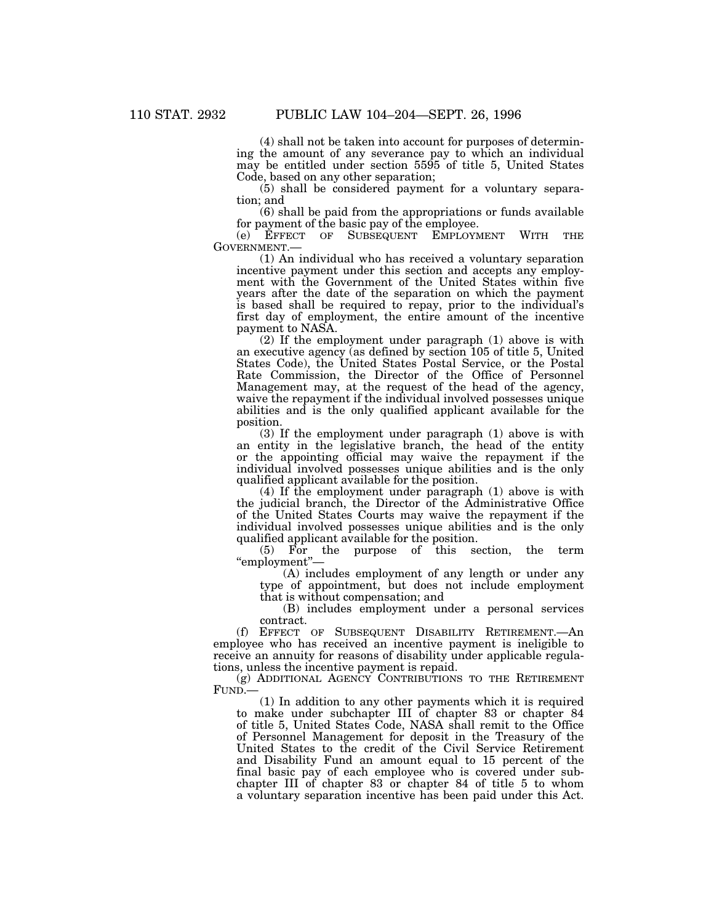(4) shall not be taken into account for purposes of determining the amount of any severance pay to which an individual may be entitled under section 5595 of title 5, United States Code, based on any other separation;

(5) shall be considered payment for a voluntary separation; and

(6) shall be paid from the appropriations or funds available for payment of the basic pay of the employee.

(e) EFFECT OF SUBSEQUENT EMPLOYMENT WITH THE GOVERNMENT.—

(1) An individual who has received a voluntary separation incentive payment under this section and accepts any employment with the Government of the United States within five years after the date of the separation on which the payment is based shall be required to repay, prior to the individual's first day of employment, the entire amount of the incentive payment to NASA.

(2) If the employment under paragraph (1) above is with an executive agency (as defined by section 105 of title 5, United States Code), the United States Postal Service, or the Postal Rate Commission, the Director of the Office of Personnel Management may, at the request of the head of the agency, waive the repayment if the individual involved possesses unique abilities and is the only qualified applicant available for the position.

(3) If the employment under paragraph (1) above is with an entity in the legislative branch, the head of the entity or the appointing official may waive the repayment if the individual involved possesses unique abilities and is the only qualified applicant available for the position.

(4) If the employment under paragraph (1) above is with the judicial branch, the Director of the Administrative Office of the United States Courts may waive the repayment if the individual involved possesses unique abilities and is the only qualified applicant available for the position.<br>
(5) For the purpose of this section, the term

 $(5)$  For the purpose of this ''employment''—

(A) includes employment of any length or under any type of appointment, but does not include employment that is without compensation; and

(B) includes employment under a personal services contract.

(f) EFFECT OF SUBSEQUENT DISABILITY RETIREMENT.—An employee who has received an incentive payment is ineligible to receive an annuity for reasons of disability under applicable regulations, unless the incentive payment is repaid.

(g) ADDITIONAL AGENCY CONTRIBUTIONS TO THE RETIREMENT FUND.—

(1) In addition to any other payments which it is required to make under subchapter III of chapter 83 or chapter 84 of title 5, United States Code, NASA shall remit to the Office of Personnel Management for deposit in the Treasury of the United States to the credit of the Civil Service Retirement and Disability Fund an amount equal to 15 percent of the final basic pay of each employee who is covered under subchapter III of chapter 83 or chapter 84 of title 5 to whom a voluntary separation incentive has been paid under this Act.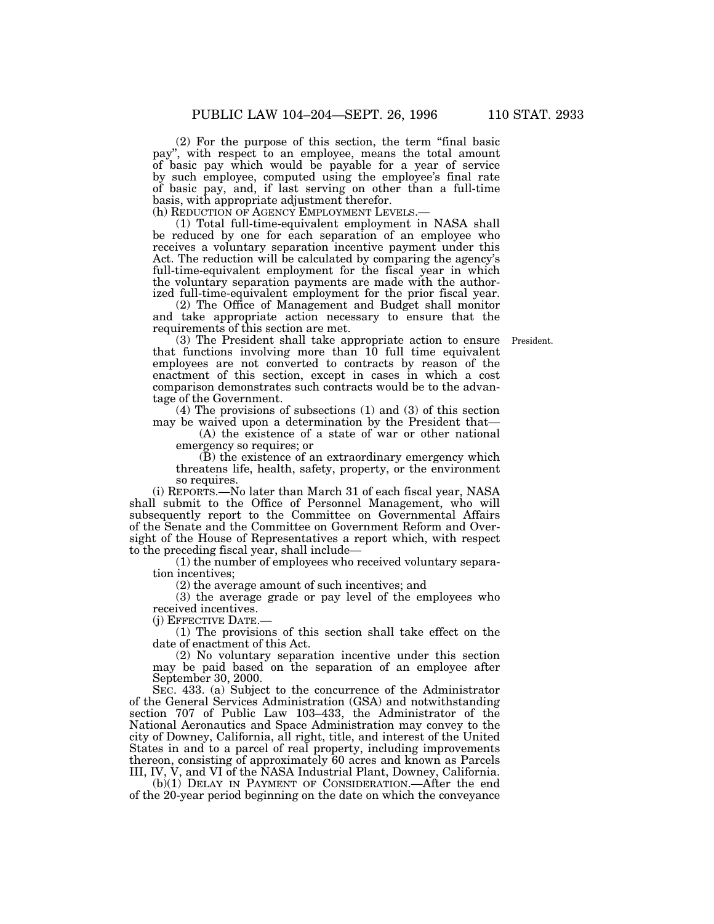(2) For the purpose of this section, the term ''final basic pay'', with respect to an employee, means the total amount of basic pay which would be payable for a year of service by such employee, computed using the employee's final rate of basic pay, and, if last serving on other than a full-time basis, with appropriate adjustment therefor.

(h) REDUCTION OF AGENCY EMPLOYMENT LEVELS.—

(1) Total full-time-equivalent employment in NASA shall be reduced by one for each separation of an employee who receives a voluntary separation incentive payment under this Act. The reduction will be calculated by comparing the agency's full-time-equivalent employment for the fiscal year in which the voluntary separation payments are made with the authorized full-time-equivalent employment for the prior fiscal year.

(2) The Office of Management and Budget shall monitor and take appropriate action necessary to ensure that the requirements of this section are met.

(3) The President shall take appropriate action to ensure President.that functions involving more than 10 full time equivalent employees are not converted to contracts by reason of the enactment of this section, except in cases in which a cost comparison demonstrates such contracts would be to the advantage of the Government.

(4) The provisions of subsections (1) and (3) of this section may be waived upon a determination by the President that—

(A) the existence of a state of war or other national emergency so requires; or

(B) the existence of an extraordinary emergency which threatens life, health, safety, property, or the environment so requires.

(i) REPORTS.—No later than March 31 of each fiscal year, NASA shall submit to the Office of Personnel Management, who will subsequently report to the Committee on Governmental Affairs of the Senate and the Committee on Government Reform and Oversight of the House of Representatives a report which, with respect to the preceding fiscal year, shall include—

(1) the number of employees who received voluntary separation incentives;

(2) the average amount of such incentives; and

(3) the average grade or pay level of the employees who received incentives.

(j) EFFECTIVE DATE.—

(1) The provisions of this section shall take effect on the date of enactment of this Act.

(2) No voluntary separation incentive under this section may be paid based on the separation of an employee after September 30, 2000.

SEC. 433. (a) Subject to the concurrence of the Administrator of the General Services Administration (GSA) and notwithstanding section 707 of Public Law 103–433, the Administrator of the National Aeronautics and Space Administration may convey to the city of Downey, California, all right, title, and interest of the United States in and to a parcel of real property, including improvements thereon, consisting of approximately 60 acres and known as Parcels III, IV, V, and VI of the NASA Industrial Plant, Downey, California.

(b)(1) DELAY IN PAYMENT OF CONSIDERATION.—After the end of the 20-year period beginning on the date on which the conveyance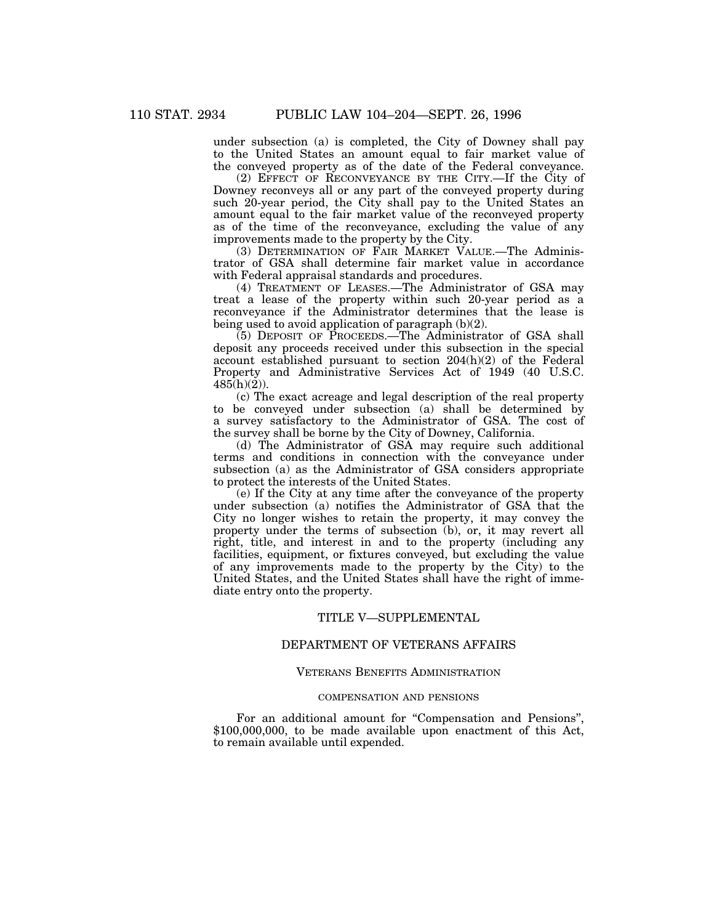under subsection (a) is completed, the City of Downey shall pay to the United States an amount equal to fair market value of the conveyed property as of the date of the Federal conveyance.

(2) EFFECT OF RECONVEYANCE BY THE CITY.—If the City of Downey reconveys all or any part of the conveyed property during such 20-year period, the City shall pay to the United States an amount equal to the fair market value of the reconveyed property as of the time of the reconveyance, excluding the value of any improvements made to the property by the City.

(3) DETERMINATION OF FAIR MARKET VALUE.—The Administrator of GSA shall determine fair market value in accordance with Federal appraisal standards and procedures.

(4) TREATMENT OF LEASES.—The Administrator of GSA may treat a lease of the property within such 20-year period as a reconveyance if the Administrator determines that the lease is being used to avoid application of paragraph (b)(2).

(5) DEPOSIT OF PROCEEDS.—The Administrator of GSA shall deposit any proceeds received under this subsection in the special account established pursuant to section 204(h)(2) of the Federal Property and Administrative Services Act of 1949 (40 U.S.C. 485(h)(2)).

(c) The exact acreage and legal description of the real property to be conveyed under subsection (a) shall be determined by a survey satisfactory to the Administrator of GSA. The cost of the survey shall be borne by the City of Downey, California.

(d) The Administrator of GSA may require such additional terms and conditions in connection with the conveyance under subsection (a) as the Administrator of GSA considers appropriate to protect the interests of the United States.

(e) If the City at any time after the conveyance of the property under subsection (a) notifies the Administrator of GSA that the City no longer wishes to retain the property, it may convey the property under the terms of subsection (b), or, it may revert all right, title, and interest in and to the property (including any facilities, equipment, or fixtures conveyed, but excluding the value of any improvements made to the property by the City) to the United States, and the United States shall have the right of immediate entry onto the property.

#### TITLE V—SUPPLEMENTAL

# DEPARTMENT OF VETERANS AFFAIRS

### VETERANS BENEFITS ADMINISTRATION

### COMPENSATION AND PENSIONS

For an additional amount for ''Compensation and Pensions'', \$100,000,000, to be made available upon enactment of this Act, to remain available until expended.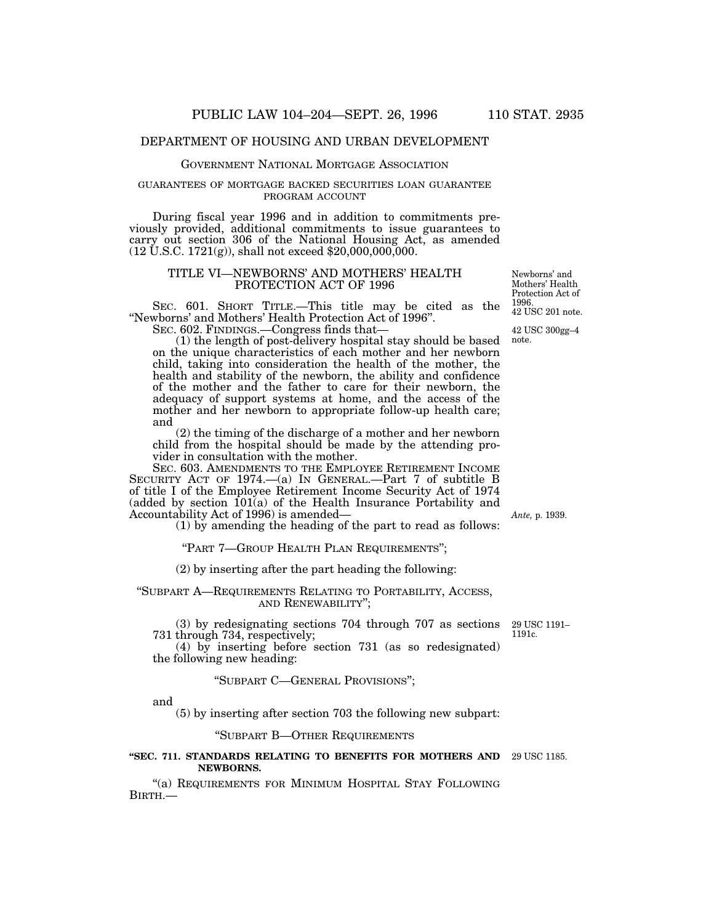# DEPARTMENT OF HOUSING AND URBAN DEVELOPMENT

## GOVERNMENT NATIONAL MORTGAGE ASSOCIATION

## GUARANTEES OF MORTGAGE BACKED SECURITIES LOAN GUARANTEE PROGRAM ACCOUNT

During fiscal year 1996 and in addition to commitments previously provided, additional commitments to issue guarantees to carry out section 306 of the National Housing Act, as amended  $(12 \text{ U.S.C. } 1721(g))$ , shall not exceed \$20,000,000,000.

### TITLE VI—NEWBORNS' AND MOTHERS' HEALTH PROTECTION ACT OF 1996

SEC. 601. SHORT TITLE.—This title may be cited as the ''Newborns' and Mothers' Health Protection Act of 1996''. SEC. 602. FINDINGS.—Congress finds that—

(1) the length of post-delivery hospital stay should be based on the unique characteristics of each mother and her newborn child, taking into consideration the health of the mother, the health and stability of the newborn, the ability and confidence of the mother and the father to care for their newborn, the adequacy of support systems at home, and the access of the mother and her newborn to appropriate follow-up health care; and

(2) the timing of the discharge of a mother and her newborn child from the hospital should be made by the attending provider in consultation with the mother.

SEC. 603. AMENDMENTS TO THE EMPLOYEE RETIREMENT INCOME SECURITY ACT OF 1974.—(a) IN GENERAL.—Part 7 of subtitle B of title I of the Employee Retirement Income Security Act of 1974  $(added by section 101(a) of the Health Insurance Portability and)$ Accountability Act of 1996) is amended—

(1) by amending the heading of the part to read as follows:

''PART 7—GROUP HEALTH PLAN REQUIREMENTS'';

(2) by inserting after the part heading the following:

''SUBPART A—REQUIREMENTS RELATING TO PORTABILITY, ACCESS, AND RENEWABILITY'';

(3) by redesignating sections 704 through 707 as sections 731 through 734, respectively; 29 USC 1191– 1191c.

(4) by inserting before section 731 (as so redesignated) the following new heading:

# ''SUBPART C—GENERAL PROVISIONS'';

and

(5) by inserting after section 703 the following new subpart:

''SUBPART B—OTHER REQUIREMENTS

#### **''SEC. 711. STANDARDS RELATING TO BENEFITS FOR MOTHERS AND** 29 USC 1185. **NEWBORNS.**

"(a) REQUIREMENTS FOR MINIMUM HOSPITAL STAY FOLLOWING BIRTH.—

*Ante,* p. 1939.

42 USC 201 note. Newborns' and Mothers' Health Protection Act of 1996.

42 USC 300gg–4

note.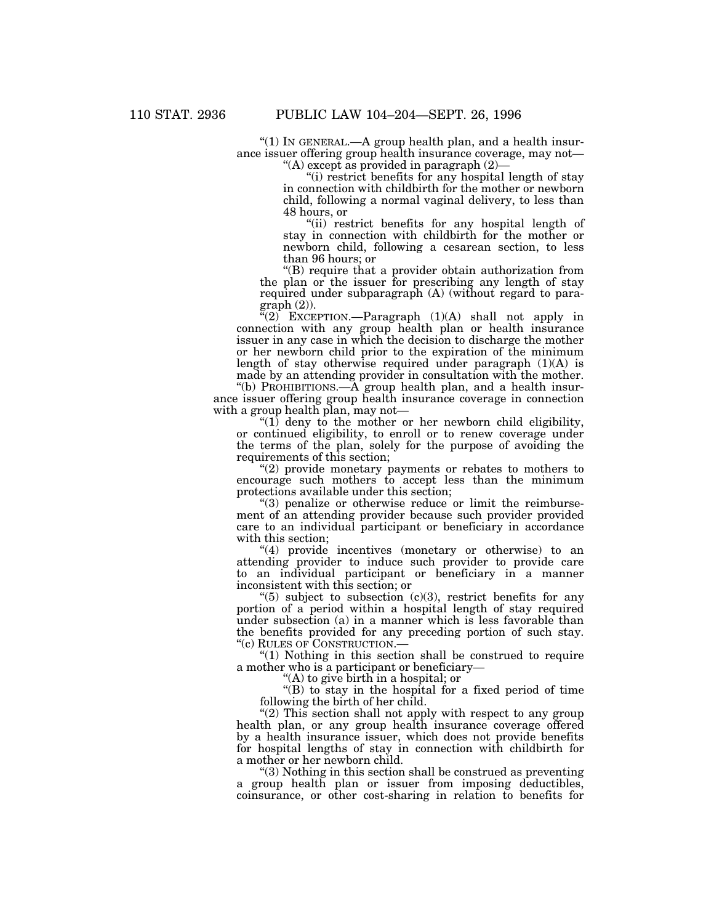''(1) IN GENERAL.—A group health plan, and a health insurance issuer offering group health insurance coverage, may not— ''(A) except as provided in paragraph (2)—

''(i) restrict benefits for any hospital length of stay

in connection with childbirth for the mother or newborn child, following a normal vaginal delivery, to less than 48 hours, or

"(ii) restrict benefits for any hospital length of stay in connection with childbirth for the mother or newborn child, following a cesarean section, to less than 96 hours; or

''(B) require that a provider obtain authorization from the plan or the issuer for prescribing any length of stay required under subparagraph (A) (without regard to paragraph (2)).

 $(2)$  EXCEPTION.—Paragraph  $(1)(A)$  shall not apply in connection with any group health plan or health insurance issuer in any case in which the decision to discharge the mother or her newborn child prior to the expiration of the minimum length of stay otherwise required under paragraph  $(1)(A)$  is made by an attending provider in consultation with the mother.

''(b) PROHIBITIONS.—A group health plan, and a health insurance issuer offering group health insurance coverage in connection with a group health plan, may not—

" $(1)$  deny to the mother or her newborn child eligibility, or continued eligibility, to enroll or to renew coverage under the terms of the plan, solely for the purpose of avoiding the requirements of this section;

"(2) provide monetary payments or rebates to mothers to encourage such mothers to accept less than the minimum protections available under this section;

 $\degree$ (3) penalize or otherwise reduce or limit the reimbursement of an attending provider because such provider provided care to an individual participant or beneficiary in accordance with this section;

''(4) provide incentives (monetary or otherwise) to an attending provider to induce such provider to provide care to an individual participant or beneficiary in a manner inconsistent with this section; or

" $(5)$  subject to subsection  $(c)(3)$ , restrict benefits for any portion of a period within a hospital length of stay required under subsection (a) in a manner which is less favorable than the benefits provided for any preceding portion of such stay. ''(c) RULES OF CONSTRUCTION.—

" $(1)$  Nothing in this section shall be construed to require a mother who is a participant or beneficiary—

''(A) to give birth in a hospital; or

''(B) to stay in the hospital for a fixed period of time following the birth of her child.

"(2) This section shall not apply with respect to any group health plan, or any group health insurance coverage offered by a health insurance issuer, which does not provide benefits for hospital lengths of stay in connection with childbirth for a mother or her newborn child.

''(3) Nothing in this section shall be construed as preventing a group health plan or issuer from imposing deductibles, coinsurance, or other cost-sharing in relation to benefits for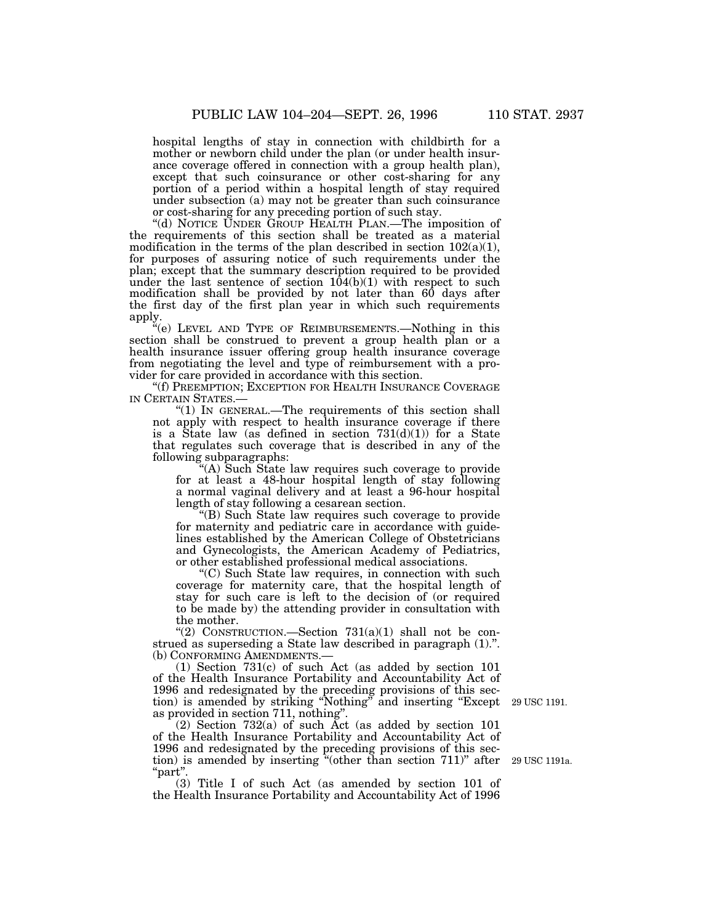hospital lengths of stay in connection with childbirth for a mother or newborn child under the plan (or under health insurance coverage offered in connection with a group health plan), except that such coinsurance or other cost-sharing for any portion of a period within a hospital length of stay required under subsection (a) may not be greater than such coinsurance or cost-sharing for any preceding portion of such stay.

''(d) NOTICE UNDER GROUP HEALTH PLAN.—The imposition of the requirements of this section shall be treated as a material modification in the terms of the plan described in section  $102(a)(1)$ , for purposes of assuring notice of such requirements under the plan; except that the summary description required to be provided under the last sentence of section  $104(b)(1)$  with respect to such modification shall be provided by not later than 60 days after the first day of the first plan year in which such requirements apply.

''(e) LEVEL AND TYPE OF REIMBURSEMENTS.—Nothing in this section shall be construed to prevent a group health plan or a health insurance issuer offering group health insurance coverage from negotiating the level and type of reimbursement with a provider for care provided in accordance with this section.

''(f) PREEMPTION; EXCEPTION FOR HEALTH INSURANCE COVERAGE IN CERTAIN STATES.—

" $(1)$  In GENERAL.—The requirements of this section shall not apply with respect to health insurance coverage if there is a State law (as defined in section  $731(d)(1)$ ) for a State that regulates such coverage that is described in any of the following subparagraphs:

'(A) Such State law requires such coverage to provide for at least a 48-hour hospital length of stay following a normal vaginal delivery and at least a 96-hour hospital length of stay following a cesarean section.

''(B) Such State law requires such coverage to provide for maternity and pediatric care in accordance with guidelines established by the American College of Obstetricians and Gynecologists, the American Academy of Pediatrics, or other established professional medical associations.

''(C) Such State law requires, in connection with such coverage for maternity care, that the hospital length of stay for such care is left to the decision of (or required to be made by) the attending provider in consultation with the mother.

"(2) CONSTRUCTION.—Section  $731(a)(1)$  shall not be construed as superseding a State law described in paragraph (1).''. (b) CONFORMING AMENDMENTS.—

(1) Section 731(c) of such Act (as added by section 101 of the Health Insurance Portability and Accountability Act of 1996 and redesignated by the preceding provisions of this section) is amended by striking ''Nothing'' and inserting ''Except as provided in section 711, nothing''.

(2) Section 732(a) of such Act (as added by section 101 of the Health Insurance Portability and Accountability Act of 1996 and redesignated by the preceding provisions of this section) is amended by inserting ''(other than section 711)'' after ''part''.

(3) Title I of such Act (as amended by section 101 of the Health Insurance Portability and Accountability Act of 1996

29 USC 1191.

29 USC 1191a.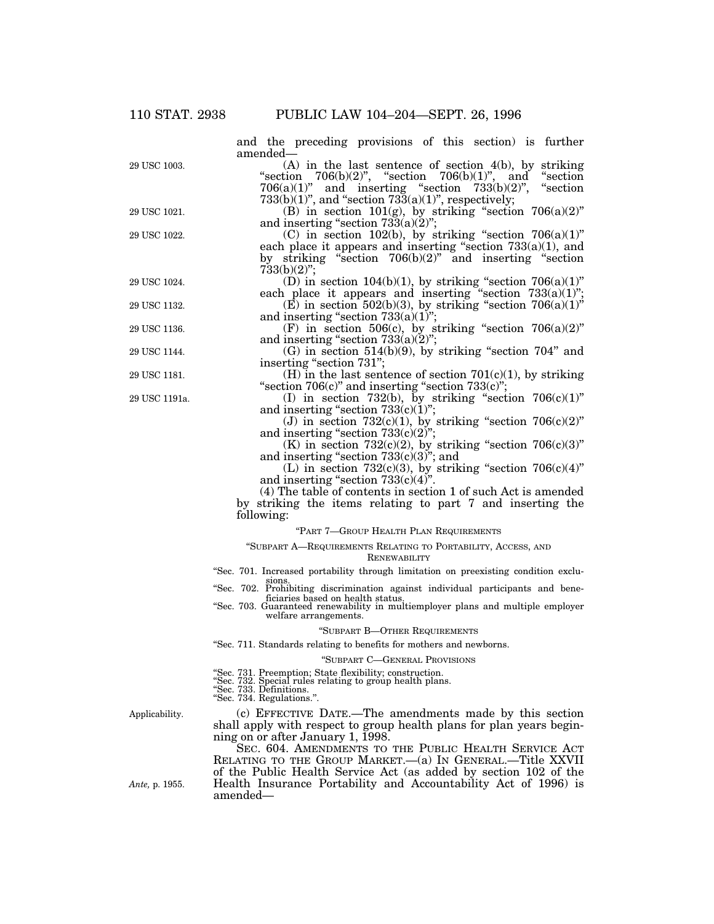and the preceding provisions of this section) is further amended— (A) in the last sentence of section 4(b), by striking "section  $706(b)(2)$ ", "section  $706(b)(1)$ ", and "section  $706(a)(1)$ " and inserting "section  $733(b)(2)$ ", "section  $733(b)(1)$ ", and "section  $733(a)(1)$ ", respectively;  $(B)$  in section 101(g), by striking "section 706(a)(2)" and inserting "section  $733(a)(2)$ "; (C) in section 102(b), by striking "section  $706(a)(1)$ " each place it appears and inserting "section 733(a)(1), and by striking ''section 706(b)(2)'' and inserting ''section 733(b)(2)''; (D) in section  $104(b)(1)$ , by striking "section  $706(a)(1)$ " each place it appears and inserting "section  $733(a)(1)$ ";  $(E)$  in section 502(b)(3), by striking "section 706(a)(1)" and inserting "section  $733(a)(1)$ "; (F) in section 506(c), by striking "section  $706(a)(2)$ " and inserting "section  $733(a)(2)$ ";  $(G)$  in section 514(b)(9), by striking "section 704" and inserting "section 731"; (H) in the last sentence of section  $701(c)(1)$ , by striking " $\text{section } 706(c)$ " and inserting " $\text{section } 733(c)$ "; (I) in section 732(b), by striking "section  $706(c)(1)$ " and inserting "section  $733(c)(1)$ "; (J) in section  $732(c)(1)$ , by striking "section  $706(c)(2)$ " and inserting "section  $733(c)(2)$ "; (K) in section  $732(c)(2)$ , by striking "section  $706(c)(3)$ " and inserting "section  $733(c)(3)$ "; and (L) in section  $732(c)(3)$ , by striking "section  $706(c)(4)$ " and inserting "section  $733(c)(4)$ ". (4) The table of contents in section 1 of such Act is amended by striking the items relating to part 7 and inserting the following: ''PART 7—GROUP HEALTH PLAN REQUIREMENTS ''SUBPART A—REQUIREMENTS RELATING TO PORTABILITY, ACCESS, AND **RENEWABILITY** ''Sec. 701. Increased portability through limitation on preexisting condition exclusions. ''Sec. 702. Prohibiting discrimination against individual participants and beneficiaries based on health status. ficiaries based on health status.<br>"Sec. 703. Guaranteed renewability in multiemployer plans and multiple employer welfare arrangements. ''SUBPART B—OTHER REQUIREMENTS ''Sec. 711. Standards relating to benefits for mothers and newborns. ''SUBPART C—GENERAL PROVISIONS ''Sec. 731. Preemption; State flexibility; construction. ''Sec. 732. Special rules relating to group health plans. ''Sec. 733. Definitions. ''Sec. 734. Regulations.''. (c) EFFECTIVE DATE.—The amendments made by this section shall apply with respect to group health plans for plan years beginning on or after January 1, 1998. Applicability. 29 USC 1191a. 29 USC 1181. 29 USC 1144. 29 USC 1136. 29 USC 1132. 29 USC 1024. 29 USC 1022. 29 USC 1021. 29 USC 1003.

SEC. 604. AMENDMENTS TO THE PUBLIC HEALTH SERVICE ACT RELATING TO THE GROUP MARKET.—(a) IN GENERAL.—Title XXVII of the Public Health Service Act (as added by section 102 of the Health Insurance Portability and Accountability Act of 1996) is amended—

*Ante,* p. 1955.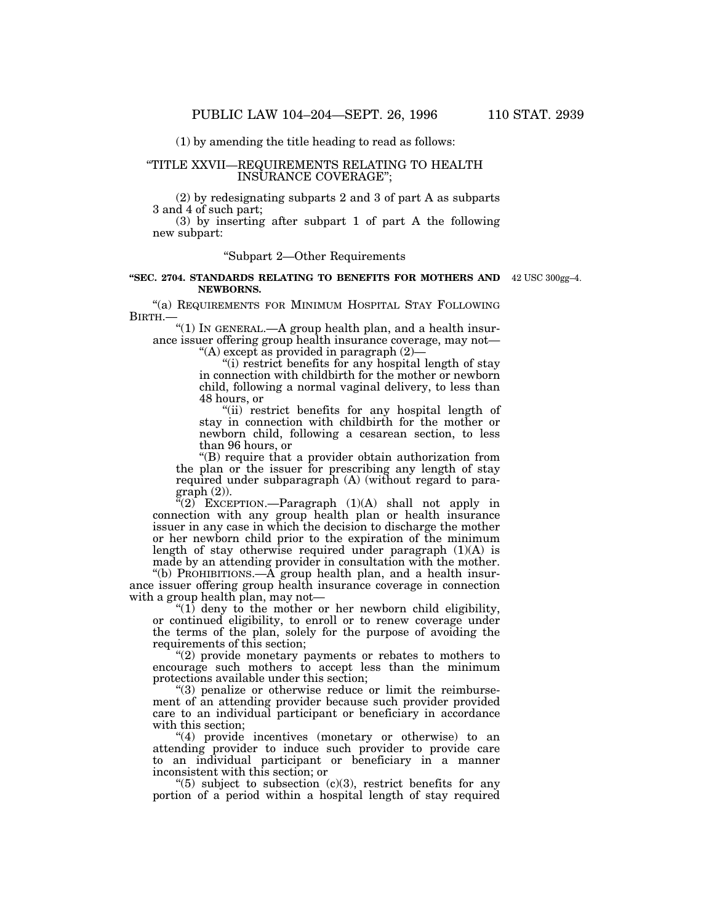(1) by amending the title heading to read as follows:

# ''TITLE XXVII—REQUIREMENTS RELATING TO HEALTH INSURANCE COVERAGE'';

(2) by redesignating subparts 2 and 3 of part A as subparts 3 and 4 of such part;

(3) by inserting after subpart 1 of part A the following new subpart:

# ''Subpart 2—Other Requirements

#### **''SEC. 2704. STANDARDS RELATING TO BENEFITS FOR MOTHERS AND** 42 USC 300gg–4.**NEWBORNS.**

''(a) REQUIREMENTS FOR MINIMUM HOSPITAL STAY FOLLOWING BIRTH.—

''(1) IN GENERAL.—A group health plan, and a health insurance issuer offering group health insurance coverage, may not—

''(A) except as provided in paragraph (2)—

"(i) restrict benefits for any hospital length of stay in connection with childbirth for the mother or newborn child, following a normal vaginal delivery, to less than 48 hours, or

''(ii) restrict benefits for any hospital length of stay in connection with childbirth for the mother or newborn child, following a cesarean section, to less than 96 hours, or

''(B) require that a provider obtain authorization from the plan or the issuer for prescribing any length of stay required under subparagraph (A) (without regard to paragraph (2)).

''(2) EXCEPTION.—Paragraph (1)(A) shall not apply in connection with any group health plan or health insurance issuer in any case in which the decision to discharge the mother or her newborn child prior to the expiration of the minimum length of stay otherwise required under paragraph  $(1)(A)$  is made by an attending provider in consultation with the mother.

"(b) PROHIBITIONS.— $\overrightarrow{A}$  group health plan, and a health insurance issuer offering group health insurance coverage in connection with a group health plan, may not—

" $(1)$  deny to the mother or her newborn child eligibility, or continued eligibility, to enroll or to renew coverage under the terms of the plan, solely for the purpose of avoiding the requirements of this section;

 $''(2)$  provide monetary payments or rebates to mothers to encourage such mothers to accept less than the minimum protections available under this section;

''(3) penalize or otherwise reduce or limit the reimbursement of an attending provider because such provider provided care to an individual participant or beneficiary in accordance with this section;

"(4) provide incentives (monetary or otherwise) to an attending provider to induce such provider to provide care to an individual participant or beneficiary in a manner inconsistent with this section; or

" $(5)$  subject to subsection  $(c)(3)$ , restrict benefits for any portion of a period within a hospital length of stay required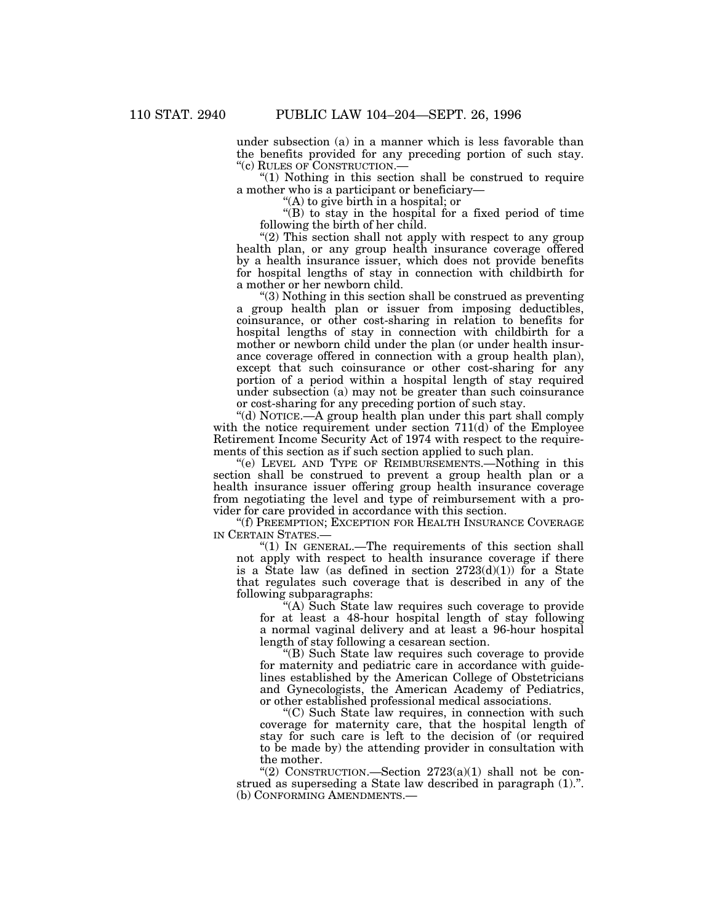under subsection (a) in a manner which is less favorable than the benefits provided for any preceding portion of such stay. ''(c) RULES OF CONSTRUCTION.—

" $(1)$  Nothing in this section shall be construed to require a mother who is a participant or beneficiary—

''(A) to give birth in a hospital; or

''(B) to stay in the hospital for a fixed period of time following the birth of her child.

"(2) This section shall not apply with respect to any group health plan, or any group health insurance coverage offered by a health insurance issuer, which does not provide benefits for hospital lengths of stay in connection with childbirth for a mother or her newborn child.

''(3) Nothing in this section shall be construed as preventing a group health plan or issuer from imposing deductibles, coinsurance, or other cost-sharing in relation to benefits for hospital lengths of stay in connection with childbirth for a mother or newborn child under the plan (or under health insurance coverage offered in connection with a group health plan), except that such coinsurance or other cost-sharing for any portion of a period within a hospital length of stay required under subsection (a) may not be greater than such coinsurance or cost-sharing for any preceding portion of such stay.

''(d) NOTICE.—A group health plan under this part shall comply with the notice requirement under section 711(d) of the Employee Retirement Income Security Act of 1974 with respect to the requirements of this section as if such section applied to such plan.

''(e) LEVEL AND TYPE OF REIMBURSEMENTS.—Nothing in this section shall be construed to prevent a group health plan or a health insurance issuer offering group health insurance coverage from negotiating the level and type of reimbursement with a provider for care provided in accordance with this section.

''(f) PREEMPTION; EXCEPTION FOR HEALTH INSURANCE COVERAGE IN CERTAIN STATES.—

" $(1)$  In GENERAL.—The requirements of this section shall not apply with respect to health insurance coverage if there is a State law (as defined in section  $2723(d)(1)$ ) for a State that regulates such coverage that is described in any of the following subparagraphs:

''(A) Such State law requires such coverage to provide for at least a 48-hour hospital length of stay following a normal vaginal delivery and at least a 96-hour hospital length of stay following a cesarean section.

''(B) Such State law requires such coverage to provide for maternity and pediatric care in accordance with guidelines established by the American College of Obstetricians and Gynecologists, the American Academy of Pediatrics, or other established professional medical associations.

''(C) Such State law requires, in connection with such coverage for maternity care, that the hospital length of stay for such care is left to the decision of (or required to be made by) the attending provider in consultation with the mother.

"(2) CONSTRUCTION.—Section  $2723(a)(1)$  shall not be construed as superseding a State law described in paragraph (1).''. (b) CONFORMING AMENDMENTS.—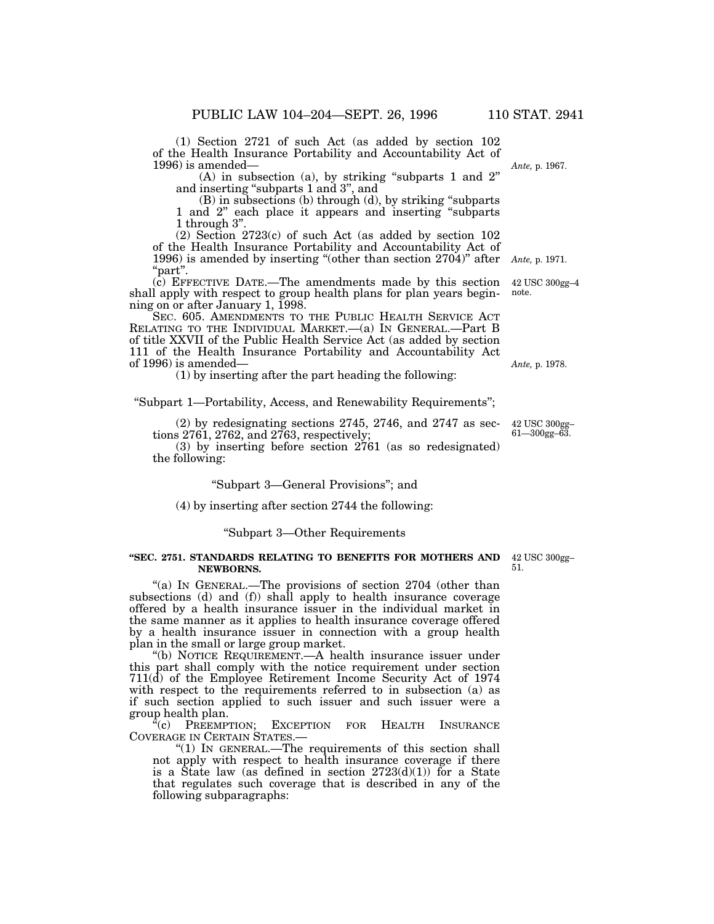(1) Section 2721 of such Act (as added by section 102 of the Health Insurance Portability and Accountability Act of 1996) is amended—

(A) in subsection (a), by striking ''subparts 1 and 2'' and inserting ''subparts 1 and 3'', and

(B) in subsections (b) through (d), by striking ''subparts 1 and 2'' each place it appears and inserting ''subparts 1 through 3''.

(2) Section 2723(c) of such Act (as added by section 102 of the Health Insurance Portability and Accountability Act of 1996) is amended by inserting ''(other than section 2704)'' after ''part''. *Ante,* p. 1971.

(c) EFFECTIVE DATE.—The amendments made by this section shall apply with respect to group health plans for plan years beginning on or after January 1, 1998.

SEC. 605. AMENDMENTS TO THE PUBLIC HEALTH SERVICE ACT RELATING TO THE INDIVIDUAL MARKET.—(a) IN GENERAL.—Part B of title XXVII of the Public Health Service Act (as added by section 111 of the Health Insurance Portability and Accountability Act of 1996) is amended—

(1) by inserting after the part heading the following:

''Subpart 1—Portability, Access, and Renewability Requirements'';

(2) by redesignating sections 2745, 2746, and 2747 as sections 2761, 2762, and 2763, respectively;

(3) by inserting before section 2761 (as so redesignated) the following:

# ''Subpart 3—General Provisions''; and

# (4) by inserting after section 2744 the following:

## ''Subpart 3—Other Requirements

#### **''SEC. 2751. STANDARDS RELATING TO BENEFITS FOR MOTHERS AND** 42 USC 300gg– **NEWBORNS.**

"(a) IN GENERAL.—The provisions of section  $2704$  (other than subsections (d) and (f)) shall apply to health insurance coverage offered by a health insurance issuer in the individual market in the same manner as it applies to health insurance coverage offered by a health insurance issuer in connection with a group health plan in the small or large group market.

''(b) NOTICE REQUIREMENT.—A health insurance issuer under this part shall comply with the notice requirement under section 711(d) of the Employee Retirement Income Security Act of 1974 with respect to the requirements referred to in subsection (a) as if such section applied to such issuer and such issuer were a group health plan.

"(c) PREEMPTION; EXCEPTION FOR HEALTH INSURANCE COVERAGE IN CERTAIN STATES.—

" $(1)$  In GENERAL.—The requirements of this section shall not apply with respect to health insurance coverage if there is a State law (as defined in section  $2723(d)(1)$ ) for a State that regulates such coverage that is described in any of the following subparagraphs:

51.

42 USC 300gg–4 note.

*Ante,* p. 1978.

42 USC 300gg– 61—300gg–63.

*Ante,* p. 1967.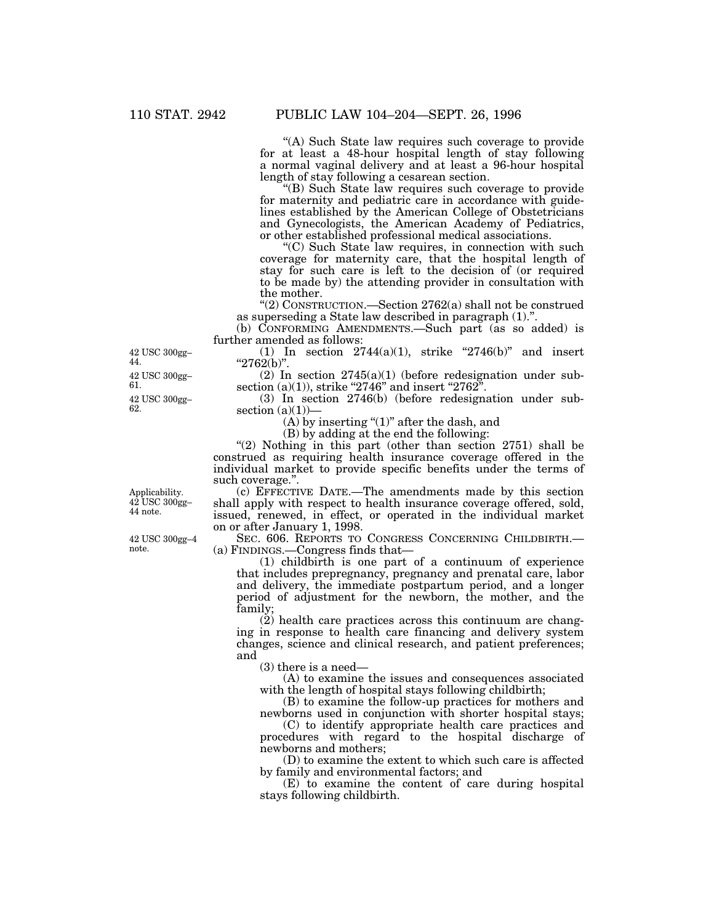''(A) Such State law requires such coverage to provide for at least a 48-hour hospital length of stay following a normal vaginal delivery and at least a 96-hour hospital length of stay following a cesarean section.

''(B) Such State law requires such coverage to provide for maternity and pediatric care in accordance with guidelines established by the American College of Obstetricians and Gynecologists, the American Academy of Pediatrics, or other established professional medical associations.

''(C) Such State law requires, in connection with such coverage for maternity care, that the hospital length of stay for such care is left to the decision of (or required to be made by) the attending provider in consultation with the mother.

''(2) CONSTRUCTION.—Section 2762(a) shall not be construed as superseding a State law described in paragraph (1).''.

(b) CONFORMING AMENDMENTS.—Such part (as so added) is further amended as follows:

(1) In section  $2744(a)(1)$ , strike "2746(b)" and insert " $2762(b)$ ".

 $(2)$  In section  $2745(a)(1)$  (before redesignation under subsection (a)(1)), strike "2746" and insert "2762".

(3) In section 2746(b) (before redesignation under subsection  $(a)(1)$ ) $-$ 

(A) by inserting " $(1)$ " after the dash, and

(B) by adding at the end the following:

" $(2)$  Nothing in this part (other than section 2751) shall be construed as requiring health insurance coverage offered in the individual market to provide specific benefits under the terms of such coverage.''.

(c) EFFECTIVE DATE.—The amendments made by this section shall apply with respect to health insurance coverage offered, sold, issued, renewed, in effect, or operated in the individual market on or after January 1, 1998.

SEC. 606. REPORTS TO CONGRESS CONCERNING CHILDBIRTH.— (a) FINDINGS.—Congress finds that—

(1) childbirth is one part of a continuum of experience that includes prepregnancy, pregnancy and prenatal care, labor and delivery, the immediate postpartum period, and a longer period of adjustment for the newborn, the mother, and the family;

(2) health care practices across this continuum are changing in response to health care financing and delivery system changes, science and clinical research, and patient preferences; and

(3) there is a need—

(A) to examine the issues and consequences associated with the length of hospital stays following childbirth;

(B) to examine the follow-up practices for mothers and newborns used in conjunction with shorter hospital stays;

(C) to identify appropriate health care practices and procedures with regard to the hospital discharge of newborns and mothers;

(D) to examine the extent to which such care is affected by family and environmental factors; and

(E) to examine the content of care during hospital stays following childbirth.

42 USC 300gg– 62. 42 USC 300gg– 61. 42 USC 300gg– 44.

Applicability. 42 USC 300gg– 44 note.

42 USC 300gg–4 note.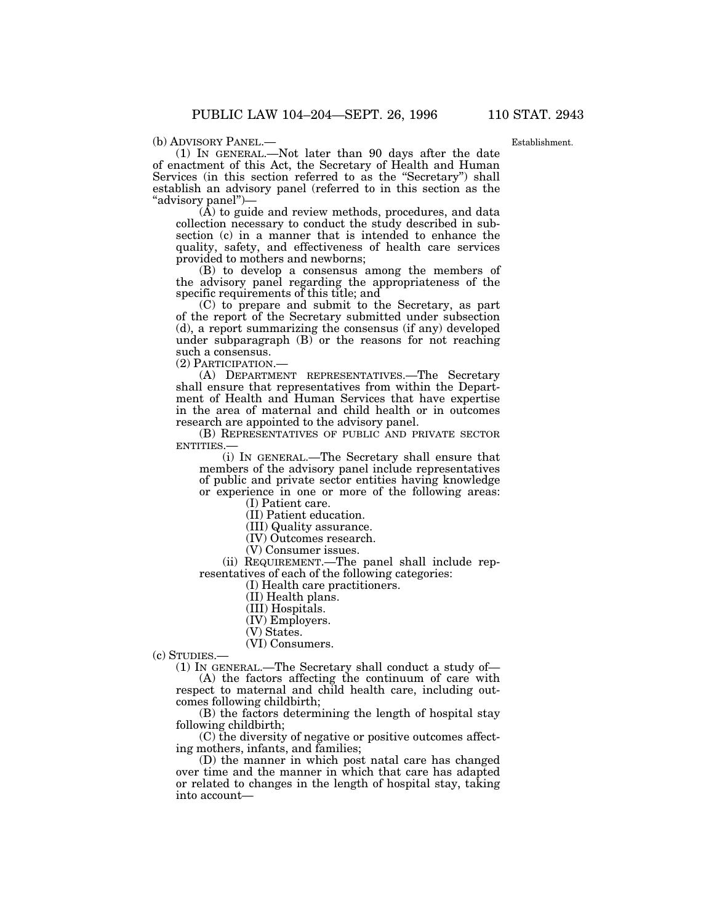Establishment.

(b) ADVISORY PANEL.— (1) IN GENERAL.—Not later than 90 days after the date of enactment of this Act, the Secretary of Health and Human Services (in this section referred to as the ''Secretary'') shall establish an advisory panel (referred to in this section as the ''advisory panel'')—

(A) to guide and review methods, procedures, and data collection necessary to conduct the study described in subsection (c) in a manner that is intended to enhance the quality, safety, and effectiveness of health care services provided to mothers and newborns;

(B) to develop a consensus among the members of the advisory panel regarding the appropriateness of the specific requirements of this title; and

(C) to prepare and submit to the Secretary, as part of the report of the Secretary submitted under subsection (d), a report summarizing the consensus (if any) developed under subparagraph  $(B)$  or the reasons for not reaching such a consensus.

(2) PARTICIPATION.—

(A) DEPARTMENT REPRESENTATIVES.—The Secretary shall ensure that representatives from within the Department of Health and Human Services that have expertise in the area of maternal and child health or in outcomes research are appointed to the advisory panel.

(B) REPRESENTATIVES OF PUBLIC AND PRIVATE SECTOR ENTITIES.—

(i) IN GENERAL.—The Secretary shall ensure that members of the advisory panel include representatives of public and private sector entities having knowledge or experience in one or more of the following areas:

(I) Patient care.

(II) Patient education.

(III) Quality assurance.

(IV) Outcomes research.

(V) Consumer issues.

(ii) REQUIREMENT.—The panel shall include representatives of each of the following categories:

(I) Health care practitioners.

(II) Health plans.

(III) Hospitals.

(IV) Employers.

(V) States.

(VI) Consumers.

(c) STUDIES.—

(1) IN GENERAL.—The Secretary shall conduct a study of— (A) the factors affecting the continuum of care with

respect to maternal and child health care, including outcomes following childbirth;

(B) the factors determining the length of hospital stay following childbirth;

(C) the diversity of negative or positive outcomes affecting mothers, infants, and families;

(D) the manner in which post natal care has changed over time and the manner in which that care has adapted or related to changes in the length of hospital stay, taking into account—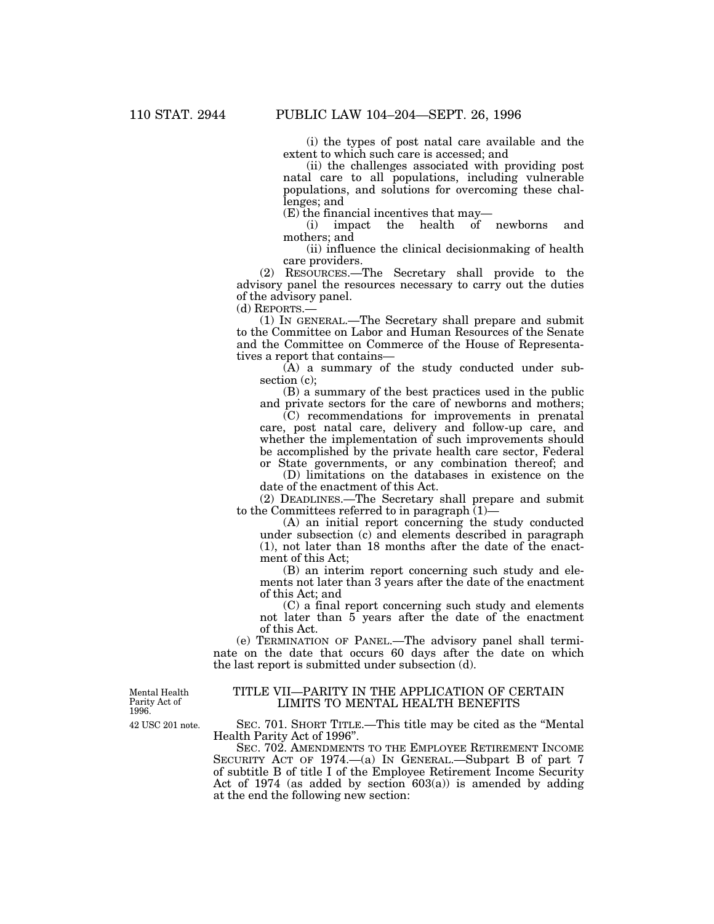(i) the types of post natal care available and the extent to which such care is accessed; and

(ii) the challenges associated with providing post natal care to all populations, including vulnerable populations, and solutions for overcoming these challenges; and

 $(E)$  the financial incentives that may—<br>(i) impact the health of

the health of newborns and mothers; and

(ii) influence the clinical decisionmaking of health care providers.

(2) RESOURCES.—The Secretary shall provide to the advisory panel the resources necessary to carry out the duties of the advisory panel.

(d) REPORTS.—

(1) IN GENERAL.—The Secretary shall prepare and submit to the Committee on Labor and Human Resources of the Senate and the Committee on Commerce of the House of Representatives a report that contains—

(A) a summary of the study conducted under subsection (c);

(B) a summary of the best practices used in the public and private sectors for the care of newborns and mothers;

(C) recommendations for improvements in prenatal care, post natal care, delivery and follow-up care, and whether the implementation of such improvements should be accomplished by the private health care sector, Federal or State governments, or any combination thereof; and

(D) limitations on the databases in existence on the date of the enactment of this Act.

(2) DEADLINES.—The Secretary shall prepare and submit to the Committees referred to in paragraph  $(1)$ —

(A) an initial report concerning the study conducted under subsection (c) and elements described in paragraph (1), not later than 18 months after the date of the enactment of this Act;

(B) an interim report concerning such study and elements not later than 3 years after the date of the enactment of this Act; and

(C) a final report concerning such study and elements not later than 5 years after the date of the enactment of this Act.

(e) TERMINATION OF PANEL.—The advisory panel shall terminate on the date that occurs 60 days after the date on which the last report is submitted under subsection (d).

Mental Health Parity Act of 1996.

## TITLE VII—PARITY IN THE APPLICATION OF CERTAIN LIMITS TO MENTAL HEALTH BENEFITS

SEC. 701. SHORT TITLE.—This title may be cited as the ''Mental Health Parity Act of 1996''.

SEC. 702. AMENDMENTS TO THE EMPLOYEE RETIREMENT INCOME SECURITY ACT OF 1974.—(a) IN GENERAL.—Subpart B of part 7 of subtitle B of title I of the Employee Retirement Income Security Act of 1974 (as added by section  $603(a)$ ) is amended by adding at the end the following new section:

42 USC 201 note.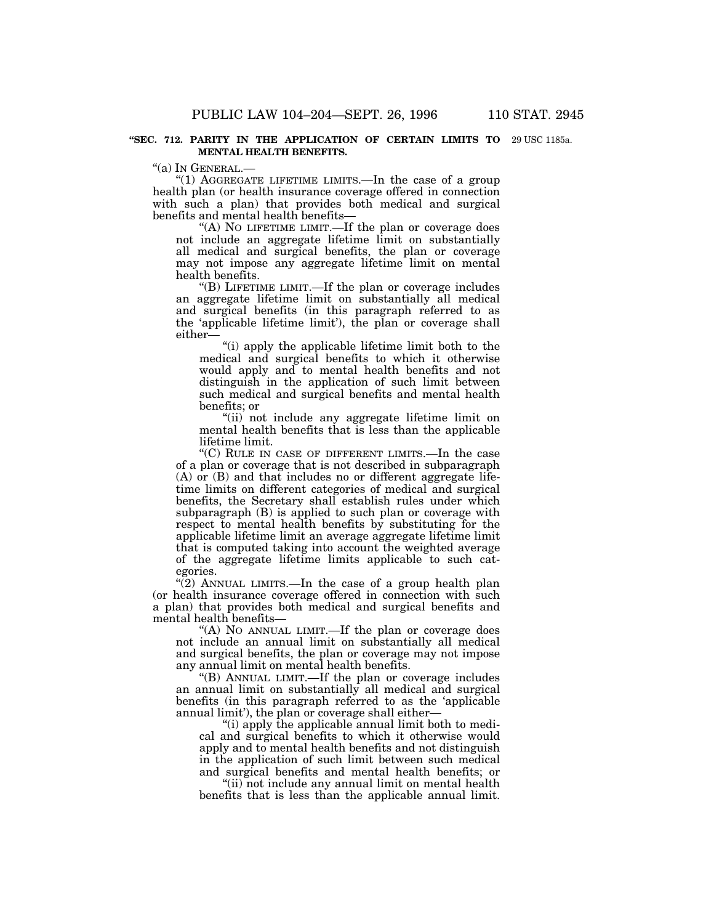## **''SEC. 712. PARITY IN THE APPLICATION OF CERTAIN LIMITS TO** 29 USC 1185a.**MENTAL HEALTH BENEFITS.**

''(a) IN GENERAL.—

"(1) AGGREGATE LIFETIME LIMITS.—In the case of a group health plan (or health insurance coverage offered in connection with such a plan) that provides both medical and surgical benefits and mental health benefits—

"(A) NO LIFETIME LIMIT.—If the plan or coverage does not include an aggregate lifetime limit on substantially all medical and surgical benefits, the plan or coverage may not impose any aggregate lifetime limit on mental health benefits.

''(B) LIFETIME LIMIT.—If the plan or coverage includes an aggregate lifetime limit on substantially all medical and surgical benefits (in this paragraph referred to as the 'applicable lifetime limit'), the plan or coverage shall either—

''(i) apply the applicable lifetime limit both to the medical and surgical benefits to which it otherwise would apply and to mental health benefits and not distinguish in the application of such limit between such medical and surgical benefits and mental health benefits; or

''(ii) not include any aggregate lifetime limit on mental health benefits that is less than the applicable lifetime limit.

''(C) RULE IN CASE OF DIFFERENT LIMITS.—In the case of a plan or coverage that is not described in subparagraph  $(A)$  or  $(B)$  and that includes no or different aggregate lifetime limits on different categories of medical and surgical benefits, the Secretary shall establish rules under which subparagraph (B) is applied to such plan or coverage with respect to mental health benefits by substituting for the applicable lifetime limit an average aggregate lifetime limit that is computed taking into account the weighted average of the aggregate lifetime limits applicable to such categories.

"(2) ANNUAL LIMITS.—In the case of a group health plan (or health insurance coverage offered in connection with such a plan) that provides both medical and surgical benefits and mental health benefits—

"(A) NO ANNUAL LIMIT.—If the plan or coverage does not include an annual limit on substantially all medical and surgical benefits, the plan or coverage may not impose any annual limit on mental health benefits.

''(B) ANNUAL LIMIT.—If the plan or coverage includes an annual limit on substantially all medical and surgical benefits (in this paragraph referred to as the 'applicable annual limit'), the plan or coverage shall either—

''(i) apply the applicable annual limit both to medical and surgical benefits to which it otherwise would apply and to mental health benefits and not distinguish in the application of such limit between such medical and surgical benefits and mental health benefits; or

"(ii) not include any annual limit on mental health benefits that is less than the applicable annual limit.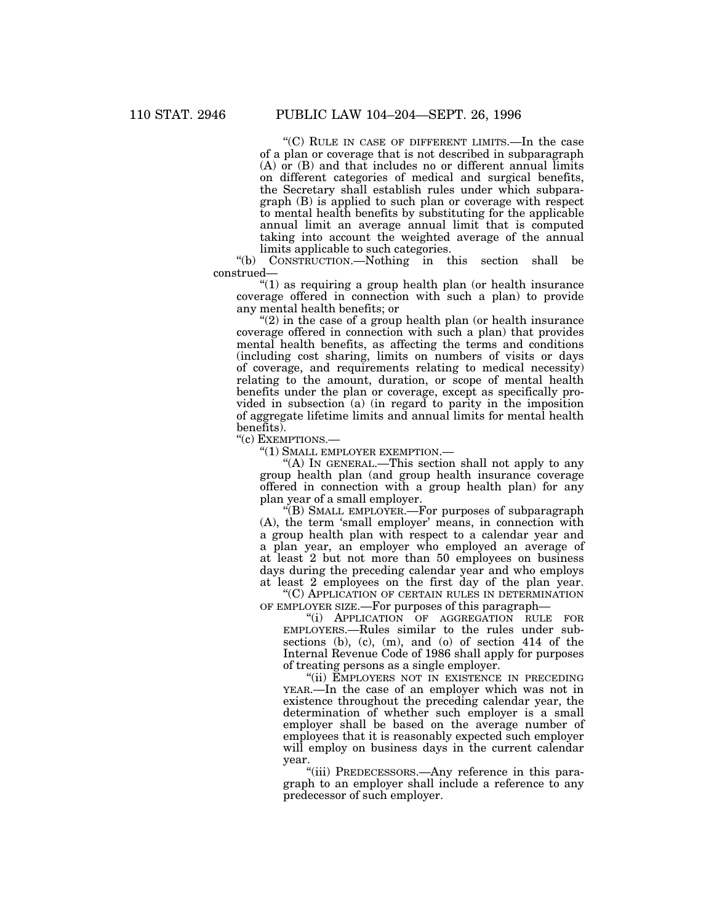"(C) RULE IN CASE OF DIFFERENT LIMITS.—In the case of a plan or coverage that is not described in subparagraph  $(A)$  or  $(B)$  and that includes no or different annual limits on different categories of medical and surgical benefits, the Secretary shall establish rules under which subparagraph (B) is applied to such plan or coverage with respect to mental health benefits by substituting for the applicable annual limit an average annual limit that is computed taking into account the weighted average of the annual limits applicable to such categories.

''(b) CONSTRUCTION.—Nothing in this section shall be construed—

''(1) as requiring a group health plan (or health insurance coverage offered in connection with such a plan) to provide any mental health benefits; or

 $''(2)$  in the case of a group health plan (or health insurance coverage offered in connection with such a plan) that provides mental health benefits, as affecting the terms and conditions (including cost sharing, limits on numbers of visits or days of coverage, and requirements relating to medical necessity) relating to the amount, duration, or scope of mental health benefits under the plan or coverage, except as specifically provided in subsection (a) (in regard to parity in the imposition of aggregate lifetime limits and annual limits for mental health benefits).

''(c) EXEMPTIONS.—

''(1) SMALL EMPLOYER EXEMPTION.—

''(A) IN GENERAL.—This section shall not apply to any group health plan (and group health insurance coverage offered in connection with a group health plan) for any plan year of a small employer.

''(B) SMALL EMPLOYER.—For purposes of subparagraph (A), the term 'small employer' means, in connection with a group health plan with respect to a calendar year and a plan year, an employer who employed an average of at least 2 but not more than 50 employees on business days during the preceding calendar year and who employs at least 2 employees on the first day of the plan year.

''(C) APPLICATION OF CERTAIN RULES IN DETERMINATION OF EMPLOYER SIZE.—For purposes of this paragraph—

''(i) APPLICATION OF AGGREGATION RULE FOR EMPLOYERS.—Rules similar to the rules under subsections (b), (c), (m), and (o) of section 414 of the Internal Revenue Code of 1986 shall apply for purposes of treating persons as a single employer.

"(ii) EMPLOYERS NOT IN EXISTENCE IN PRECEDING YEAR.—In the case of an employer which was not in existence throughout the preceding calendar year, the determination of whether such employer is a small employer shall be based on the average number of employees that it is reasonably expected such employer will employ on business days in the current calendar year.

''(iii) PREDECESSORS.—Any reference in this paragraph to an employer shall include a reference to any predecessor of such employer.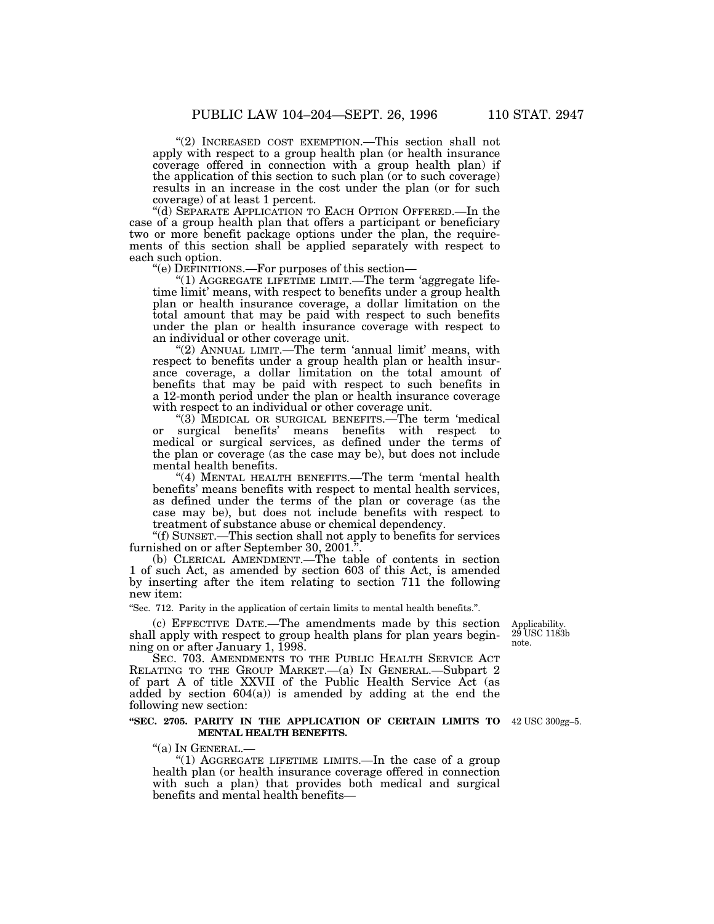''(2) INCREASED COST EXEMPTION.—This section shall not apply with respect to a group health plan (or health insurance coverage offered in connection with a group health plan) if the application of this section to such plan (or to such coverage) results in an increase in the cost under the plan (or for such coverage) of at least 1 percent.

''(d) SEPARATE APPLICATION TO EACH OPTION OFFERED.—In the case of a group health plan that offers a participant or beneficiary two or more benefit package options under the plan, the requirements of this section shall be applied separately with respect to each such option.

''(e) DEFINITIONS.—For purposes of this section—

"(1) AGGREGATE LIFETIME LIMIT.—The term 'aggregate lifetime limit' means, with respect to benefits under a group health plan or health insurance coverage, a dollar limitation on the total amount that may be paid with respect to such benefits under the plan or health insurance coverage with respect to an individual or other coverage unit.

"(2) ANNUAL LIMIT.—The term 'annual limit' means, with respect to benefits under a group health plan or health insurance coverage, a dollar limitation on the total amount of benefits that may be paid with respect to such benefits in a 12-month period under the plan or health insurance coverage with respect to an individual or other coverage unit.

''(3) MEDICAL OR SURGICAL BENEFITS.—The term 'medical or surgical benefits' means benefits with respect to medical or surgical services, as defined under the terms of the plan or coverage (as the case may be), but does not include mental health benefits.

"(4) MENTAL HEALTH BENEFITS.—The term 'mental health benefits' means benefits with respect to mental health services, as defined under the terms of the plan or coverage (as the case may be), but does not include benefits with respect to treatment of substance abuse or chemical dependency.

''(f) SUNSET.—This section shall not apply to benefits for services furnished on or after September 30, 2001.

(b) CLERICAL AMENDMENT.—The table of contents in section 1 of such Act, as amended by section 603 of this Act, is amended by inserting after the item relating to section 711 the following new item:

''Sec. 712. Parity in the application of certain limits to mental health benefits.''.

(c) EFFECTIVE DATE.—The amendments made by this section shall apply with respect to group health plans for plan years beginning on or after January 1, 1998.

SEC. 703. AMENDMENTS TO THE PUBLIC HEALTH SERVICE ACT RELATING TO THE GROUP MARKET.—(a) IN GENERAL.—Subpart 2 of part A of title XXVII of the Public Health Service Act (as added by section  $604(a)$  is amended by adding at the end the following new section:

## **''SEC. 2705. PARITY IN THE APPLICATION OF CERTAIN LIMITS TO** 42 USC 300gg–5. **MENTAL HEALTH BENEFITS.**

''(a) IN GENERAL.— ''(1) AGGREGATE LIFETIME LIMITS.—In the case of a group health plan (or health insurance coverage offered in connection with such a plan) that provides both medical and surgical benefits and mental health benefits—

29 USC 1183b note.

Applicability.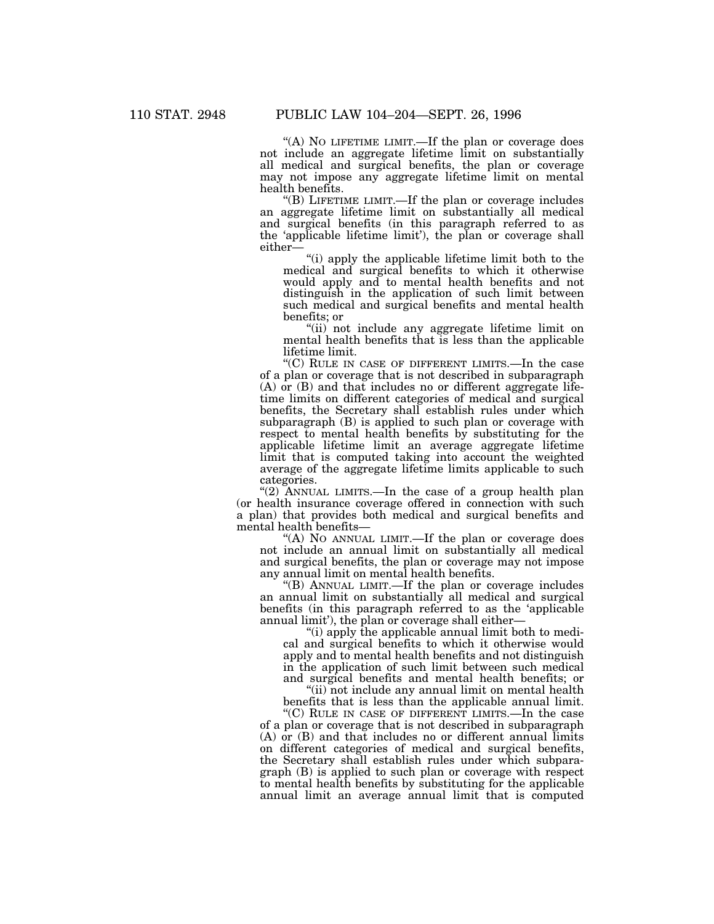"(A) No LIFETIME LIMIT.—If the plan or coverage does not include an aggregate lifetime limit on substantially all medical and surgical benefits, the plan or coverage may not impose any aggregate lifetime limit on mental health benefits.

''(B) LIFETIME LIMIT.—If the plan or coverage includes an aggregate lifetime limit on substantially all medical and surgical benefits (in this paragraph referred to as the 'applicable lifetime limit'), the plan or coverage shall either—

''(i) apply the applicable lifetime limit both to the medical and surgical benefits to which it otherwise would apply and to mental health benefits and not distinguish in the application of such limit between such medical and surgical benefits and mental health benefits; or

''(ii) not include any aggregate lifetime limit on mental health benefits that is less than the applicable lifetime limit.

"(C) RULE IN CASE OF DIFFERENT LIMITS.—In the case of a plan or coverage that is not described in subparagraph (A) or (B) and that includes no or different aggregate lifetime limits on different categories of medical and surgical benefits, the Secretary shall establish rules under which subparagraph (B) is applied to such plan or coverage with respect to mental health benefits by substituting for the applicable lifetime limit an average aggregate lifetime limit that is computed taking into account the weighted average of the aggregate lifetime limits applicable to such categories.

"(2) ANNUAL LIMITS.—In the case of a group health plan (or health insurance coverage offered in connection with such a plan) that provides both medical and surgical benefits and mental health benefits—

"(A) NO ANNUAL LIMIT.—If the plan or coverage does not include an annual limit on substantially all medical and surgical benefits, the plan or coverage may not impose any annual limit on mental health benefits.

''(B) ANNUAL LIMIT.—If the plan or coverage includes an annual limit on substantially all medical and surgical benefits (in this paragraph referred to as the 'applicable annual limit'), the plan or coverage shall either—

''(i) apply the applicable annual limit both to medical and surgical benefits to which it otherwise would apply and to mental health benefits and not distinguish in the application of such limit between such medical and surgical benefits and mental health benefits; or

"(ii) not include any annual limit on mental health benefits that is less than the applicable annual limit.

''(C) RULE IN CASE OF DIFFERENT LIMITS.—In the case of a plan or coverage that is not described in subparagraph  $(A)$  or  $(B)$  and that includes no or different annual limits on different categories of medical and surgical benefits, the Secretary shall establish rules under which subparagraph (B) is applied to such plan or coverage with respect to mental health benefits by substituting for the applicable annual limit an average annual limit that is computed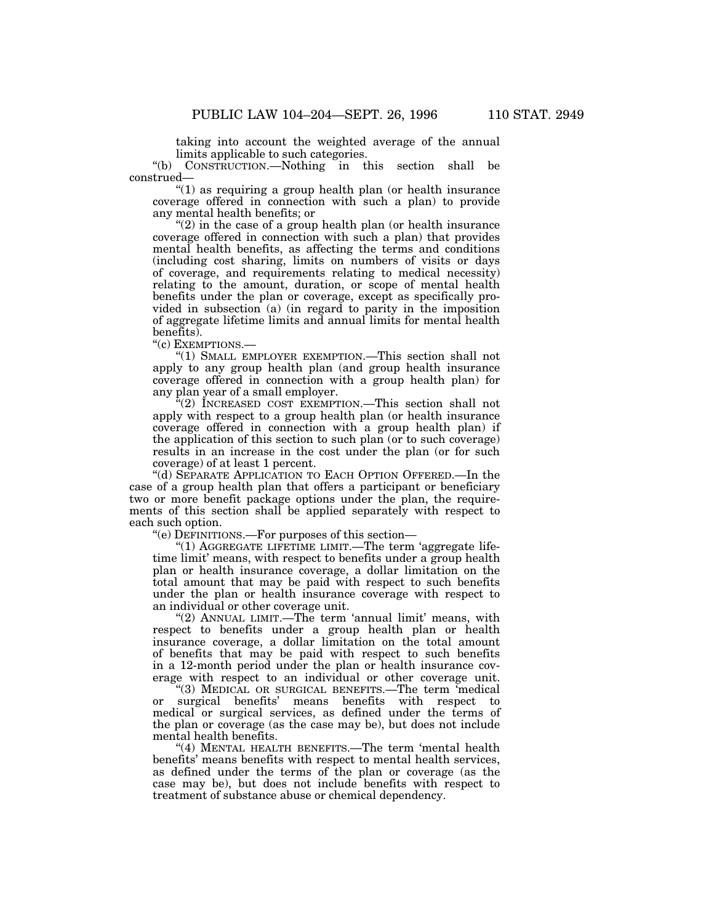taking into account the weighted average of the annual limits applicable to such categories.<br>"(b) CONSTRUCTION.—Nothing in tl

CONSTRUCTION.—Nothing in this section shall be construed—

''(1) as requiring a group health plan (or health insurance coverage offered in connection with such a plan) to provide any mental health benefits; or

 $(2)$  in the case of a group health plan (or health insurance coverage offered in connection with such a plan) that provides mental health benefits, as affecting the terms and conditions (including cost sharing, limits on numbers of visits or days of coverage, and requirements relating to medical necessity) relating to the amount, duration, or scope of mental health benefits under the plan or coverage, except as specifically provided in subsection (a) (in regard to parity in the imposition of aggregate lifetime limits and annual limits for mental health benefits).

''(c) EXEMPTIONS.—

''(1) SMALL EMPLOYER EXEMPTION.—This section shall not apply to any group health plan (and group health insurance coverage offered in connection with a group health plan) for any plan year of a small employer.

 $\sqrt[4]{(2)}$  INCREASED COST EXEMPTION.—This section shall not apply with respect to a group health plan (or health insurance coverage offered in connection with a group health plan) if the application of this section to such plan (or to such coverage) results in an increase in the cost under the plan (or for such coverage) of at least 1 percent.

''(d) SEPARATE APPLICATION TO EACH OPTION OFFERED.—In the case of a group health plan that offers a participant or beneficiary two or more benefit package options under the plan, the requirements of this section shall be applied separately with respect to each such option.

''(e) DEFINITIONS.—For purposes of this section—

"(1) AGGREGATE LIFETIME LIMIT.—The term 'aggregate lifetime limit' means, with respect to benefits under a group health plan or health insurance coverage, a dollar limitation on the total amount that may be paid with respect to such benefits under the plan or health insurance coverage with respect to an individual or other coverage unit.

" $(2)$  ANNUAL LIMIT.—The term 'annual limit' means, with respect to benefits under a group health plan or health insurance coverage, a dollar limitation on the total amount of benefits that may be paid with respect to such benefits in a 12-month period under the plan or health insurance coverage with respect to an individual or other coverage unit.

''(3) MEDICAL OR SURGICAL BENEFITS.—The term 'medical or surgical benefits' means benefits with respect to medical or surgical services, as defined under the terms of the plan or coverage (as the case may be), but does not include mental health benefits.

"(4) MENTAL HEALTH BENEFITS.—The term 'mental health benefits' means benefits with respect to mental health services, as defined under the terms of the plan or coverage (as the case may be), but does not include benefits with respect to treatment of substance abuse or chemical dependency.